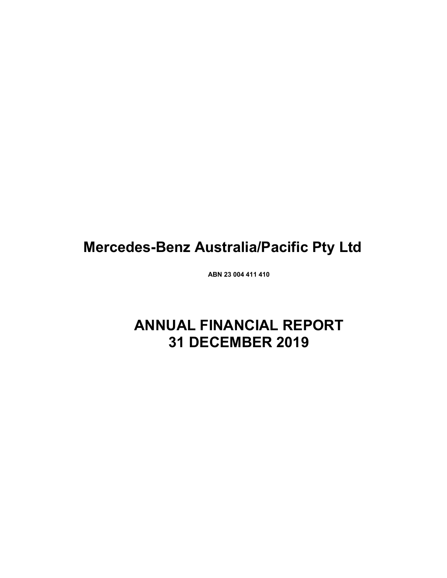# **Mercedes-Benz Australia/Pacific Pty Ltd**

**ABN 23 004 411 410**

# **ANNUAL FINANCIAL REPORT 31 DECEMBER 2019**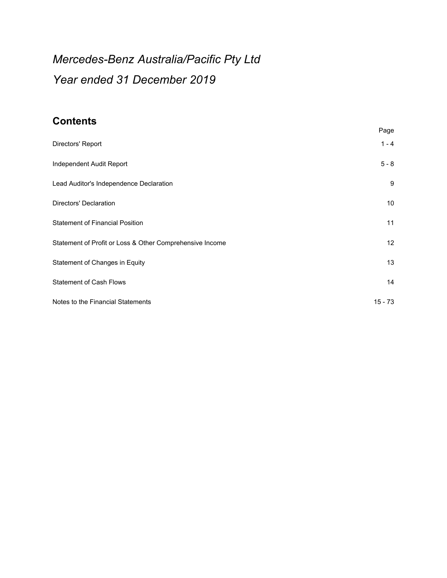# *Mercedes-Benz Australia/Pacific Pty Ltd Year ended 31 December 2019*

# **Contents**

|                                                          | Page      |
|----------------------------------------------------------|-----------|
| Directors' Report                                        | $1 - 4$   |
| Independent Audit Report                                 | $5 - 8$   |
| Lead Auditor's Independence Declaration                  | 9         |
| Directors' Declaration                                   | 10        |
| <b>Statement of Financial Position</b>                   | 11        |
| Statement of Profit or Loss & Other Comprehensive Income | 12        |
| Statement of Changes in Equity                           | 13        |
| <b>Statement of Cash Flows</b>                           | 14        |
| Notes to the Financial Statements                        | $15 - 73$ |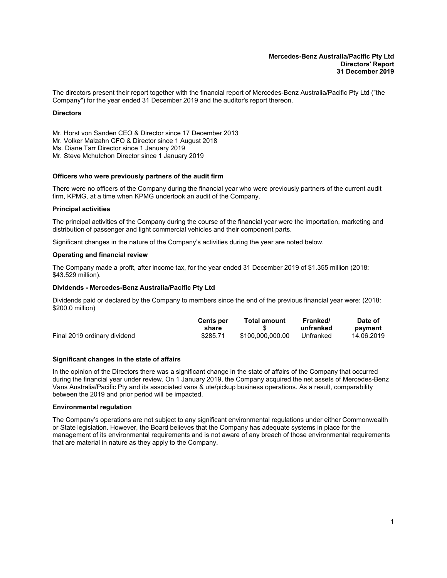<span id="page-2-0"></span>The directors present their report together with the financial report of Mercedes-Benz Australia/Pacific Pty Ltd ("the Company") for the year ended 31 December 2019 and the auditor's report thereon.

#### **Directors**

Mr. Horst von Sanden CEO & Director since 17 December 2013 Mr. Volker Malzahn CFO & Director since 1 August 2018 Ms. Diane Tarr Director since 1 January 2019 Mr. Steve Mchutchon Director since 1 January 2019

# **Officers who were previously partners of the audit firm**

There were no officers of the Company during the financial year who were previously partners of the current audit firm, KPMG, at a time when KPMG undertook an audit of the Company.

#### **Principal activities**

The principal activities of the Company during the course of the financial year were the importation, marketing and distribution of passenger and light commercial vehicles and their component parts.

Significant changes in the nature of the Company's activities during the year are noted below.

#### **Operating and financial review**

The Company made a profit, after income tax, for the year ended 31 December 2019 of \$1.355 million (2018: \$43.529 million).

#### **Dividends - Mercedes-Benz Australia/Pacific Pty Ltd**

Dividends paid or declared by the Company to members since the end of the previous financial year were: (2018: \$200.0 million)

|                              | <b>Cents per</b><br>share | <b>Total amount</b> | Franked/<br>unfranked | Date of<br>payment |
|------------------------------|---------------------------|---------------------|-----------------------|--------------------|
| Final 2019 ordinary dividend | \$285.71                  | \$100.000.000.00    | Unfranked             | 14.06.2019         |

#### **Significant changes in the state of affairs**

In the opinion of the Directors there was a significant change in the state of affairs of the Company that occurred during the financial year under review. On 1 January 2019, the Company acquired the net assets of Mercedes-Benz Vans Australia/Pacific Pty and its associated vans & ute/pickup business operations. As a result, comparability between the 2019 and prior period will be impacted.

#### **Environmental regulation**

The Company's operations are not subject to any significant environmental regulations under either Commonwealth or State legislation. However, the Board believes that the Company has adequate systems in place for the management of its environmental requirements and is not aware of any breach of those environmental requirements that are material in nature as they apply to the Company.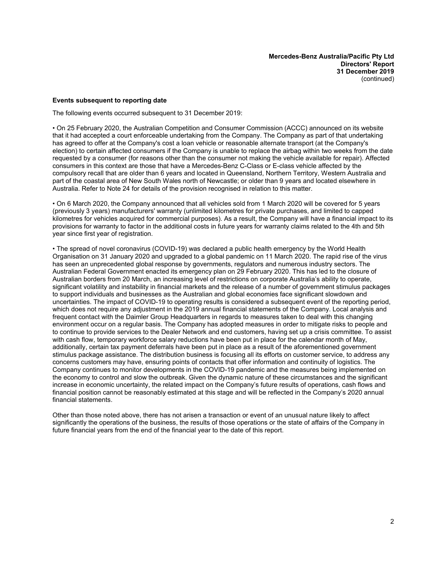#### **Events subsequent to reporting date**

The following events occurred subsequent to 31 December 2019:

• On 25 February 2020, the Australian Competition and Consumer Commission (ACCC) announced on its website that it had accepted a court enforceable undertaking from the Company. The Company as part of that undertaking has agreed to offer at the Company's cost a loan vehicle or reasonable alternate transport (at the Company's election) to certain affected consumers if the Company is unable to replace the airbag within two weeks from the date requested by a consumer (for reasons other than the consumer not making the vehicle available for repair). Affected consumers in this context are those that have a Mercedes-Benz C-Class or E-class vehicle affected by the compulsory recall that are older than 6 years and located in Queensland, Northern Territory, Western Australia and part of the coastal area of New South Wales north of Newcastle; or older than 9 years and located elsewhere in Australia. Refer to Note 24 for details of the provision recognised in relation to this matter.

• On 6 March 2020, the Company announced that all vehicles sold from 1 March 2020 will be covered for 5 years (previously 3 years) manufacturers' warranty (unlimited kilometres for private purchases, and limited to capped kilometres for vehicles acquired for commercial purposes). As a result, the Company will have a financial impact to its provisions for warranty to factor in the additional costs in future years for warranty claims related to the 4th and 5th year since first year of registration.

• The spread of novel coronavirus (COVID-19) was declared a public health emergency by the World Health Organisation on 31 January 2020 and upgraded to a global pandemic on 11 March 2020. The rapid rise of the virus has seen an unprecedented global response by governments, regulators and numerous industry sectors. The Australian Federal Government enacted its emergency plan on 29 February 2020. This has led to the closure of Australian borders from 20 March, an increasing level of restrictions on corporate Australia's ability to operate, significant volatility and instability in financial markets and the release of a number of government stimulus packages to support individuals and businesses as the Australian and global economies face significant slowdown and uncertainties. The impact of COVID-19 to operating results is considered a subsequent event of the reporting period, which does not require any adjustment in the 2019 annual financial statements of the Company. Local analysis and frequent contact with the Daimler Group Headquarters in regards to measures taken to deal with this changing environment occur on a regular basis. The Company has adopted measures in order to mitigate risks to people and to continue to provide services to the Dealer Network and end customers, having set up a crisis committee. To assist with cash flow, temporary workforce salary reductions have been put in place for the calendar month of May, additionally, certain tax payment deferrals have been put in place as a result of the aforementioned government stimulus package assistance. The distribution business is focusing all its efforts on customer service, to address any concerns customers may have, ensuring points of contacts that offer information and continuity of logistics. The Company continues to monitor developments in the COVID-19 pandemic and the measures being implemented on the economy to control and slow the outbreak. Given the dynamic nature of these circumstances and the significant increase in economic uncertainty, the related impact on the Company's future results of operations, cash flows and financial position cannot be reasonably estimated at this stage and will be reflected in the Company's 2020 annual financial statements.

Other than those noted above, there has not arisen a transaction or event of an unusual nature likely to affect significantly the operations of the business, the results of those operations or the state of affairs of the Company in future financial years from the end of the financial year to the date of this report.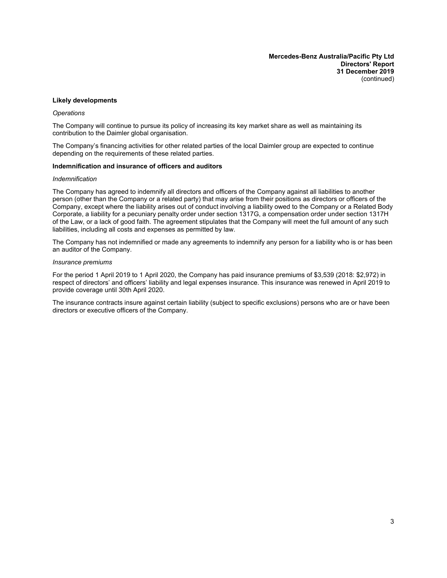**Mercedes-Benz Australia/Pacific Pty Ltd Directors' Report 31 December 2019** (continued)

#### **Likely developments**

#### *Operations*

The Company will continue to pursue its policy of increasing its key market share as well as maintaining its contribution to the Daimler global organisation.

The Company's financing activities for other related parties of the local Daimler group are expected to continue depending on the requirements of these related parties.

#### **Indemnification and insurance of officers and auditors**

#### *Indemnification*

The Company has agreed to indemnify all directors and officers of the Company against all liabilities to another person (other than the Company or a related party) that may arise from their positions as directors or officers of the Company, except where the liability arises out of conduct involving a liability owed to the Company or a Related Body Corporate, a liability for a pecuniary penalty order under section 1317G, a compensation order under section 1317H of the Law, or a lack of good faith. The agreement stipulates that the Company will meet the full amount of any such liabilities, including all costs and expenses as permitted by law.

The Company has not indemnified or made any agreements to indemnify any person for a liability who is or has been an auditor of the Company.

#### *Insurance premiums*

For the period 1 April 2019 to 1 April 2020, the Company has paid insurance premiums of \$3,539 (2018: \$2,972) in respect of directors' and officers' liability and legal expenses insurance. This insurance was renewed in April 2019 to provide coverage until 30th April 2020.

The insurance contracts insure against certain liability (subject to specific exclusions) persons who are or have been directors or executive officers of the Company.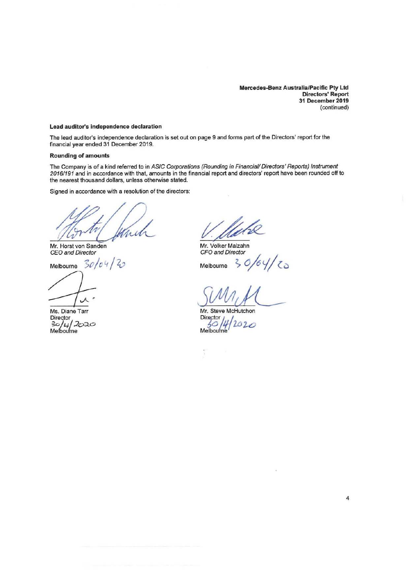**Mercedes-Benz Australia/Pacific Pty Ltd Directors' Report 31 December 2019**  ( continued)

#### **Lead auditor's independence declaration**

The lead auditor's independence declaration is set out on page 9 and forms part of the Directors' report for the financial year ended 31 December 2019.

#### **Rounding of amounts**

The Company is of a kind referred to in ASIC Corporations (Rounding in Financial/ Directors' Reports) Instrument 2016/191 and in accordance with that, amounts in the financial report and directors' report have been rounded off to the nearest thousand dollars, unless otherwise stated.

Signed in accordance with a resolution of the directors:

in À

Mr. Horst von Sanden CEO and Director

Melbourne *3c IO* 4 I 4)

Ms. Diane Tarr

Director<br>30/4/*2*020 Melbourne

Mr. Volker Malzahn CFO and Director

Melbourne <;- *o;4* cj *I* **Cw** 

Mr. Steve McHutchon Mr. Steve McH<br>Director<br>30/4/2  $M$ elbou.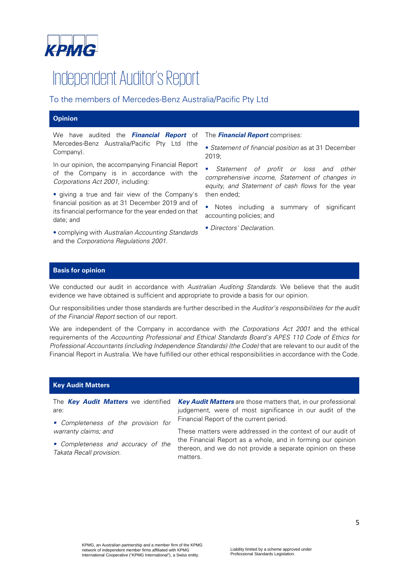

# Independent Auditor's Report

# To the members of Mercedes-Benz Australia/Pacific Pty Ltd

# **Opinion**

We have audited the **Financial Report** of Mercedes-Benz Australia/Pacific Pty Ltd (the Company).

In our opinion, the accompanying Financial Report of the Company is in accordance with the Corporations Act 2001, including:

• giving a true and fair view of the Company's financial position as at 31 December 2019 and of its financial performance for the year ended on that date; and

• complying with Australian Accounting Standards and the Corporations Regulations 2001.

The **Financial Report** comprises:

• Statement of financial position as at 31 December 2019;

Statement of profit or loss and other comprehensive income, Statement of changes in equity, and Statement of cash flows for the year then ended;

Notes including a summary of significant accounting policies; and

• Directors' Declaration.

## **Basis for opinion**

We conducted our audit in accordance with Australian Auditing Standards. We believe that the audit evidence we have obtained is sufficient and appropriate to provide a basis for our opinion.

Our responsibilities under those standards are further described in the Auditor's responsibilities for the audit of the Financial Report section of our report.

We are independent of the Company in accordance with the Corporations Act 2001 and the ethical requirements of the Accounting Professional and Ethical Standards Board's APES 110 Code of Ethics for Professional Accountants (including Independence Standards) (the Code) that are relevant to our audit of the Financial Report in Australia. We have fulfilled our other ethical responsibilities in accordance with the Code.

## **Key Audit Matters**

The **Key Audit Matters** we identified are:

**Key Audit Matters** are those matters that, in our professional judgement, were of most significance in our audit of the Financial Report of the current period.

• Completeness of the provision for warranty claims; and

• Completeness and accuracy of the Takata Recall provision.

These matters were addressed in the context of our audit of the Financial Report as a whole, and in forming our opinion thereon, and we do not provide a separate opinion on these matters.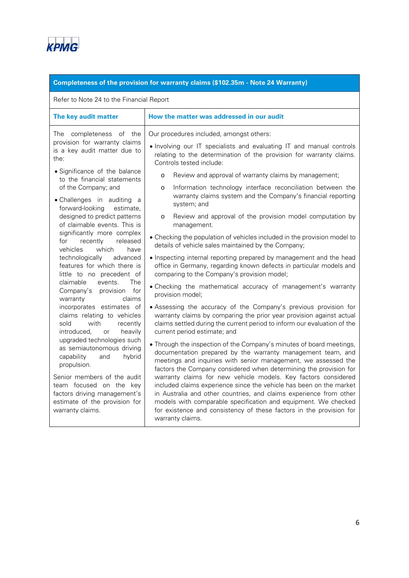

# **Completeness of the provision for warranty claims (\$102.35m - Note 24 Warranty)**

Refer to Note 24 to the Financial Report

| The key audit matter                                                                                                                                                                                                                                                                                                                                                                                                                                                                                 | How the matter was addressed in our audit                                                                                                                                                                                                                                                                                                                                                                                                                                                                                                                                                                                                                                                                                                                                                                                                                                                                                                                                                                                      |
|------------------------------------------------------------------------------------------------------------------------------------------------------------------------------------------------------------------------------------------------------------------------------------------------------------------------------------------------------------------------------------------------------------------------------------------------------------------------------------------------------|--------------------------------------------------------------------------------------------------------------------------------------------------------------------------------------------------------------------------------------------------------------------------------------------------------------------------------------------------------------------------------------------------------------------------------------------------------------------------------------------------------------------------------------------------------------------------------------------------------------------------------------------------------------------------------------------------------------------------------------------------------------------------------------------------------------------------------------------------------------------------------------------------------------------------------------------------------------------------------------------------------------------------------|
| completeness of the<br>The<br>provision for warranty claims<br>is a key audit matter due to<br>the:<br>• Significance of the balance<br>to the financial statements<br>of the Company; and<br>• Challenges in auditing a<br>forward-looking estimate,<br>designed to predict patterns<br>of claimable events. This is<br>significantly more complex<br>for<br>recently<br>released<br>vehicles<br>which<br>have<br>technologically<br>advanced                                                       | Our procedures included, amongst others:<br>. Involving our IT specialists and evaluating IT and manual controls<br>relating to the determination of the provision for warranty claims.<br>Controls tested include:<br>Review and approval of warranty claims by management;<br>$\circ$<br>Information technology interface reconciliation between the<br>$\circ$<br>warranty claims system and the Company's financial reporting<br>system; and<br>Review and approval of the provision model computation by<br>$\circ$<br>management.<br>• Checking the population of vehicles included in the provision model to<br>details of vehicle sales maintained by the Company;<br>• Inspecting internal reporting prepared by management and the head                                                                                                                                                                                                                                                                              |
| features for which there is<br>little to no precedent of<br>claimable<br>The<br>events.<br>Company's provision for<br>claims<br>warranty<br>incorporates estimates of<br>claims relating to vehicles<br>with<br>recently<br>sold<br>introduced,<br>heavily<br>or<br>upgraded technologies such<br>as semiautonomous driving<br>capability<br>hybrid<br>and<br>propulsion.<br>Senior members of the audit<br>team focused on the key<br>factors driving management's<br>estimate of the provision for | office in Germany, regarding known defects in particular models and<br>comparing to the Company's provision model;<br>• Checking the mathematical accuracy of management's warranty<br>provision model;<br>• Assessing the accuracy of the Company's previous provision for<br>warranty claims by comparing the prior year provision against actual<br>claims settled during the current period to inform our evaluation of the<br>current period estimate; and<br>• Through the inspection of the Company's minutes of board meetings,<br>documentation prepared by the warranty management team, and<br>meetings and inquiries with senior management, we assessed the<br>factors the Company considered when determining the provision for<br>warranty claims for new vehicle models. Key factors considered<br>included claims experience since the vehicle has been on the market<br>in Australia and other countries, and claims experience from other<br>models with comparable specification and equipment. We checked |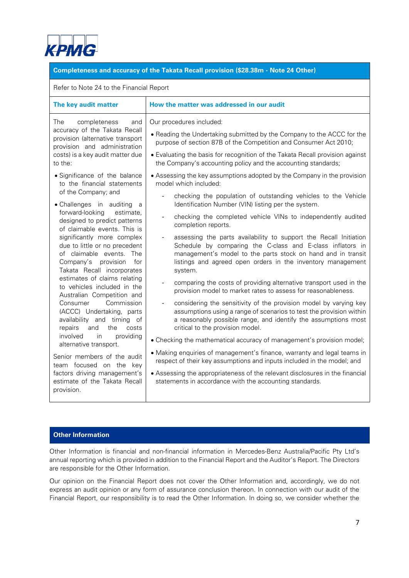

## **Completeness and accuracy of the Takata Recall provision (\$28.38m - Note 24 Other)**

#### Refer to Note 24 to the Financial Report

| Our procedures included:<br>The<br>completeness<br>and                                                                                                                                                                                                                                                                                                                                                                                                                                                                                                                                                                                                                                                                                                                                                                              | • Reading the Undertaking submitted by the Company to the ACCC for the                                                                                                                                                                                                                                                                                                                                                                                                                                                                                                                                                                                                                                                                                                                                                                                                                                                                                                                                                                                                                                                                                                                                                                                                                                                      |
|-------------------------------------------------------------------------------------------------------------------------------------------------------------------------------------------------------------------------------------------------------------------------------------------------------------------------------------------------------------------------------------------------------------------------------------------------------------------------------------------------------------------------------------------------------------------------------------------------------------------------------------------------------------------------------------------------------------------------------------------------------------------------------------------------------------------------------------|-----------------------------------------------------------------------------------------------------------------------------------------------------------------------------------------------------------------------------------------------------------------------------------------------------------------------------------------------------------------------------------------------------------------------------------------------------------------------------------------------------------------------------------------------------------------------------------------------------------------------------------------------------------------------------------------------------------------------------------------------------------------------------------------------------------------------------------------------------------------------------------------------------------------------------------------------------------------------------------------------------------------------------------------------------------------------------------------------------------------------------------------------------------------------------------------------------------------------------------------------------------------------------------------------------------------------------|
| accuracy of the Takata Recall<br>provision (alternative transport<br>provision and administration<br>costs) is a key audit matter due<br>to the:                                                                                                                                                                                                                                                                                                                                                                                                                                                                                                                                                                                                                                                                                    | purpose of section 87B of the Competition and Consumer Act 2010;<br>• Evaluating the basis for recognition of the Takata Recall provision against<br>the Company's accounting policy and the accounting standards;                                                                                                                                                                                                                                                                                                                                                                                                                                                                                                                                                                                                                                                                                                                                                                                                                                                                                                                                                                                                                                                                                                          |
| • Significance of the balance<br>to the financial statements<br>model which included:<br>of the Company; and<br>• Challenges in auditing<br>- a<br>forward-looking<br>estimate,<br>designed to predict patterns<br>of claimable events. This is<br>significantly more complex<br>due to little or no precedent<br>of claimable events. The<br>Company's<br>provision<br>for<br>Takata Recall incorporates<br>system.<br>estimates of claims relating<br>to vehicles included in the<br>Australian Competition and<br>Commission<br>Consumer<br>(ACCC) Undertaking, parts<br>availability and timing of<br>the<br>repairs<br>and<br>costs<br>involved<br>providing<br><i>in</i><br>alternative transport.<br>Senior members of the audit<br>team focused on the key<br>factors driving management's<br>estimate of the Takata Recall | • Assessing the key assumptions adopted by the Company in the provision<br>checking the population of outstanding vehicles to the Vehicle<br>Identification Number (VIN) listing per the system.<br>checking the completed vehicle VINs to independently audited<br>completion reports.<br>assessing the parts availability to support the Recall Initiation<br>Schedule by comparing the C-class and E-class inflators in<br>management's model to the parts stock on hand and in transit<br>listings and agreed open orders in the inventory management<br>comparing the costs of providing alternative transport used in the<br>provision model to market rates to assess for reasonableness.<br>considering the sensitivity of the provision model by varying key<br>assumptions using a range of scenarios to test the provision within<br>a reasonably possible range, and identify the assumptions most<br>critical to the provision model.<br>• Checking the mathematical accuracy of management's provision model;<br>• Making enquiries of management's finance, warranty and legal teams in<br>respect of their key assumptions and inputs included in the model; and<br>• Assessing the appropriateness of the relevant disclosures in the financial<br>statements in accordance with the accounting standards. |
| provision.                                                                                                                                                                                                                                                                                                                                                                                                                                                                                                                                                                                                                                                                                                                                                                                                                          |                                                                                                                                                                                                                                                                                                                                                                                                                                                                                                                                                                                                                                                                                                                                                                                                                                                                                                                                                                                                                                                                                                                                                                                                                                                                                                                             |

# **Other Information**

Other Information is financial and non-financial information in Mercedes-Benz Australia/Pacific Pty Ltd's annual reporting which is provided in addition to the Financial Report and the Auditor's Report. The Directors are responsible for the Other Information.

Our opinion on the Financial Report does not cover the Other Information and, accordingly, we do not express an audit opinion or any form of assurance conclusion thereon. In connection with our audit of the Financial Report, our responsibility is to read the Other Information. In doing so, we consider whether the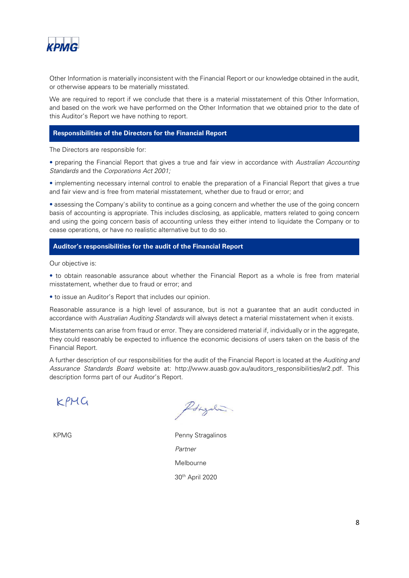

Other Information is materially inconsistent with the Financial Report or our knowledge obtained in the audit, or otherwise appears to be materially misstated.

We are required to report if we conclude that there is a material misstatement of this Other Information, and based on the work we have performed on the Other Information that we obtained prior to the date of this Auditor's Report we have nothing to report.

#### **Responsibilities of the Directors for the Financial Report**

The Directors are responsible for:

• preparing the Financial Report that gives a true and fair view in accordance with Australian Accounting Standards and the Corporations Act 2001;

• implementing necessary internal control to enable the preparation of a Financial Report that gives a true and fair view and is free from material misstatement, whether due to fraud or error; and

• assessing the Company's ability to continue as a going concern and whether the use of the going concern basis of accounting is appropriate. This includes disclosing, as applicable, matters related to going concern and using the going concern basis of accounting unless they either intend to liquidate the Company or to cease operations, or have no realistic alternative but to do so.

## **Auditor's responsibilities for the audit of the Financial Report**

Our objective is:

• to obtain reasonable assurance about whether the Financial Report as a whole is free from material misstatement, whether due to fraud or error; and

• to issue an Auditor's Report that includes our opinion.

Reasonable assurance is a high level of assurance, but is not a guarantee that an audit conducted in accordance with Australian Auditing Standards will always detect a material misstatement when it exists.

Misstatements can arise from fraud or error. They are considered material if, individually or in the aggregate, they could reasonably be expected to influence the economic decisions of users taken on the basis of the Financial Report.

A further description of our responsibilities for the audit of the Financial Report is located at the Auditing and Assurance Standards Board website at: http://www.auasb.gov.au/auditors\_responsibilities/ar2.pdf. This description forms part of our Auditor's Report.

 $K$  $P$  $H$  $G$ 

Longali

KPMG **Penny Stragalinos** Partner Melbourne 30th April 2020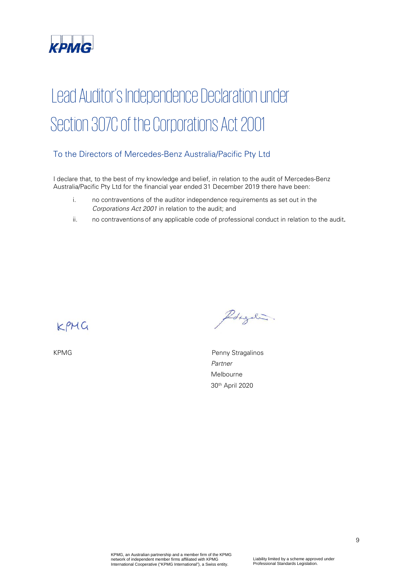

# Lead Auditor's Independence Declaration under Section 307C of the Corporations Act 2001

# To the Directors of Mercedes-Benz Australia/Pacific Pty Ltd

I declare that, to the best of my knowledge and belief, in relation to the audit of Mercedes-Benz Australia/Pacific Pty Ltd for the financial year ended 31 December 2019 there have been:

- i. no contraventions of the auditor independence requirements as set out in the Corporations Act 2001 in relation to the audit; and
- ii. no contraventions of any applicable code of professional conduct in relation to the audit.

KPMG

PStgali.

KPMG **Penny Stragalinos**  Partner Melbourne 30th April 2020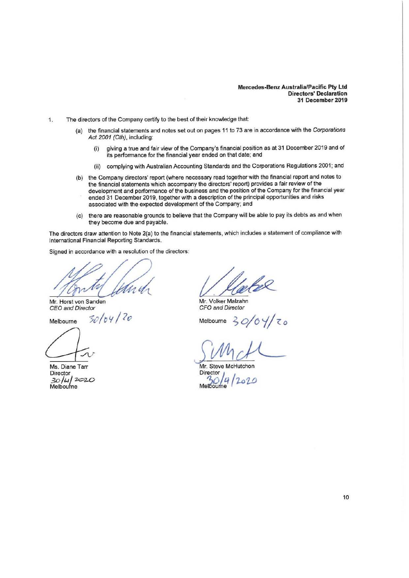#### **Mercedes-Benz Australia/Pacific Pty Ltd Directors' Declaration 31 December 2019**

- 1. The directors of the Company certify to the best of their knowledge that:
	- (a) the financial statements and notes set out on pages 11 to 73 are in accordance with the Corporations Act 2001 (Cth), including:
		- (i) giving a true and fair view of the Company's financial position as at 31 December 2019 and of its performance for the financial year ended on that date; and
		- (iti) complying with Australian Accounting Standards and the Corporations Regulations 2001; and
	- (b) the Company directors' report (where necessary read together with the financial report and notes to the financial statements which accompany the directors' report) provides a fair review of the development and performance of the business and the position of the Company for the financial year ended 31 December 2019, together with a description of the principal opportunities and risks associated with the expected development of the Company; and
	- (c) there are reasonable grounds to believe that the Company will be able to pay its debts as and when they become due and payable.

The directors draw attention to Note 2{a) to the financial statements, which includes a statement of compliance with International Financial Reporting Standards.

Signed in accordance with a resolution of the directors:

Mr. Horst von Sanden CEO and Director

Melbourne *-Sc/ot;* / *lo* 

Melbourne

**Director** 3o / **LI J** *202-0*  Melboufne

Mr. Volker Malzahn CFO and Director

 $Melbourne$ 

*rv111Y-*

Mr. Steve McHutchon Director **1**<br>30 4 2020 Metbourne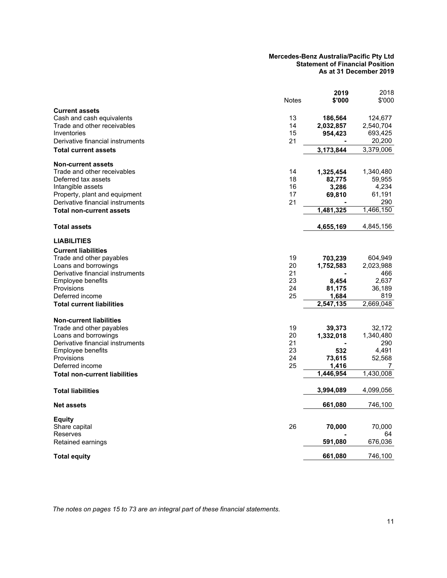#### **Mercedes-Benz Australia/Pacific Pty Ltd Statement of Financial Position As at 31 December 2019**

|                                                                   | <b>Notes</b> | 2019<br>\$'000  | 2018<br>\$'000    |
|-------------------------------------------------------------------|--------------|-----------------|-------------------|
| <b>Current assets</b>                                             |              |                 |                   |
| Cash and cash equivalents                                         | 13           | 186,564         | 124,677           |
| Trade and other receivables<br>Inventories                        | 14<br>15     | 2,032,857       | 2,540,704         |
| Derivative financial instruments                                  | 21           | 954,423         | 693,425<br>20,200 |
|                                                                   |              |                 |                   |
| <b>Total current assets</b>                                       |              | 3,173,844       | 3,379,006         |
| <b>Non-current assets</b><br>Trade and other receivables          |              |                 |                   |
| Deferred tax assets                                               | 14<br>18     | 1,325,454       | 1,340,480         |
|                                                                   | 16           | 82,775<br>3,286 | 59,955            |
| Intangible assets                                                 | 17           |                 | 4,234<br>61,191   |
| Property, plant and equipment<br>Derivative financial instruments | 21           | 69,810          | 290               |
| <b>Total non-current assets</b>                                   |              | 1,481,325       | 1,466,150         |
|                                                                   |              |                 |                   |
| <b>Total assets</b>                                               |              | 4,655,169       | 4,845,156         |
| <b>LIABILITIES</b>                                                |              |                 |                   |
| <b>Current liabilities</b>                                        |              |                 |                   |
| Trade and other payables                                          | 19           | 703,239         | 604,949           |
| Loans and borrowings                                              | 20           | 1,752,583       | 2,023,988         |
| Derivative financial instruments                                  | 21           |                 | 466               |
| <b>Employee benefits</b>                                          | 23           | 8,454           | 2,637             |
| Provisions                                                        | 24           | 81,175          | 36,189            |
| Deferred income                                                   | 25           | 1,684           | 819               |
| <b>Total current liabilities</b>                                  |              | 2,547,135       | 2,669,048         |
| <b>Non-current liabilities</b>                                    |              |                 |                   |
| Trade and other payables                                          | 19           | 39,373          | 32,172            |
| Loans and borrowings                                              | 20           | 1,332,018       | 1,340,480         |
| Derivative financial instruments                                  | 21           |                 | 290               |
| Employee benefits                                                 | 23           | 532             | 4,491             |
| Provisions                                                        | 24           | 73,615          | 52,568            |
| Deferred income                                                   | 25           | 1,416           | 7                 |
| <b>Total non-current liabilities</b>                              |              | 1,446,954       | 1,430,008         |
| <b>Total liabilities</b>                                          |              | 3,994,089       | 4,099,056         |
| <b>Net assets</b>                                                 |              | 661,080         | 746,100           |
| Equity                                                            |              |                 |                   |
| Share capital                                                     | 26           | 70,000          | 70,000            |
| Reserves                                                          |              |                 | 64                |
| Retained earnings                                                 |              | 591,080         | 676,036           |
| Total equity                                                      |              | 661,080         | 746,100           |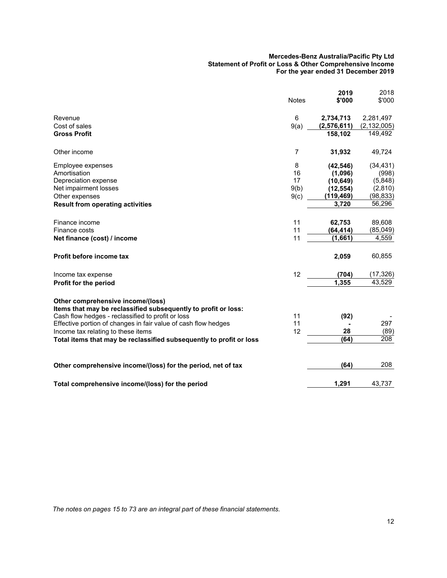#### **Mercedes-Benz Australia/Pacific Pty Ltd Statement of Profit or Loss & Other Comprehensive Income For the year ended 31 December 2019**

|                                                                                                     | <b>Notes</b>   | 2019<br>\$'000 | 2018<br>\$'000 |
|-----------------------------------------------------------------------------------------------------|----------------|----------------|----------------|
| Revenue                                                                                             | 6              | 2,734,713      | 2,281,497      |
| Cost of sales                                                                                       | 9(a)           | (2,576,611)    | (2, 132, 005)  |
| <b>Gross Profit</b>                                                                                 |                | 158,102        | 149,492        |
| Other income                                                                                        | $\overline{7}$ | 31,932         | 49,724         |
| Employee expenses                                                                                   | 8              | (42, 546)      | (34, 431)      |
| Amortisation                                                                                        | 16             | (1,096)        | (998)          |
| Depreciation expense                                                                                | 17             | (10, 649)      | (5,848)        |
| Net impairment losses                                                                               | 9(b)           | (12, 554)      | (2,810)        |
| Other expenses                                                                                      | 9(c)           | (119, 469)     | (98, 833)      |
| <b>Result from operating activities</b>                                                             |                | 3,720          | 56,296         |
| Finance income                                                                                      | 11             | 62,753         | 89,608         |
| Finance costs                                                                                       | 11             | (64, 414)      | (85,049)       |
| Net finance (cost) / income                                                                         | 11             | (1,661)        | 4,559          |
| Profit before income tax                                                                            |                | 2,059          | 60,855         |
| Income tax expense                                                                                  | 12             | (704)          | (17, 326)      |
| Profit for the period                                                                               |                | 1,355          | 43,529         |
| Other comprehensive income/(loss)<br>Items that may be reclassified subsequently to profit or loss: |                |                |                |
| Cash flow hedges - reclassified to profit or loss                                                   | 11             | (92)           |                |
| Effective portion of changes in fair value of cash flow hedges                                      | 11             |                | 297            |
| Income tax relating to these items                                                                  | 12             | 28             | (89)           |
| Total items that may be reclassified subsequently to profit or loss                                 |                | (64)           | 208            |
| Other comprehensive income/(loss) for the period, net of tax                                        |                | (64)           | 208            |
| Total comprehensive income/(loss) for the period                                                    |                | 1,291          | 43,737         |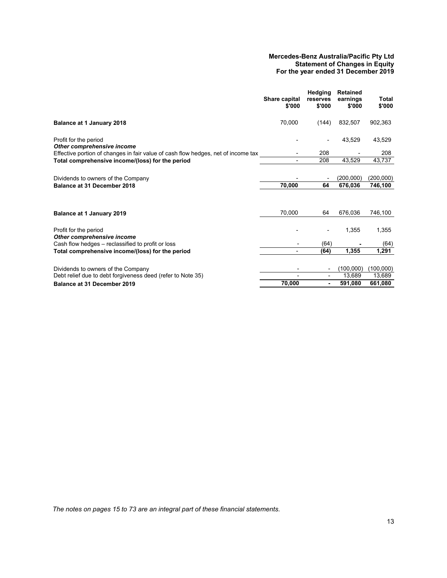#### **Mercedes-Benz Australia/Pacific Pty Ltd Statement of Changes in Equity For the year ended 31 December 2019**

|                                                                                   | Share capital<br>\$'000 | Hedging<br>reserves<br>\$'000 | <b>Retained</b><br>earnings<br>\$'000 | Total<br>\$'000 |
|-----------------------------------------------------------------------------------|-------------------------|-------------------------------|---------------------------------------|-----------------|
| Balance at 1 January 2018                                                         | 70.000                  | (144)                         | 832.507                               | 902,363         |
| Profit for the period<br>Other comprehensive income                               |                         |                               | 43,529                                | 43,529          |
| Effective portion of changes in fair value of cash flow hedges, net of income tax |                         | 208                           |                                       | 208             |
| Total comprehensive income/(loss) for the period                                  |                         | 208                           | 43,529                                | 43,737          |
| Dividends to owners of the Company                                                |                         | 64                            | (200,000)                             | (200,000)       |
| Balance at 31 December 2018                                                       | 70,000                  |                               | 676,036                               | 746,100         |
| Balance at 1 January 2019                                                         | 70,000                  | 64                            | 676,036                               | 746,100         |
| Profit for the period<br>Other comprehensive income                               |                         |                               | 1,355                                 | 1,355           |
| Cash flow hedges - reclassified to profit or loss                                 |                         | (64)                          |                                       | (64)            |
| Total comprehensive income/(loss) for the period                                  | -                       | (64)                          | 1,355                                 | 1,291           |
|                                                                                   |                         |                               |                                       |                 |
| Dividends to owners of the Company                                                |                         | $\overline{\phantom{a}}$      | (100,000)                             | (100,000)       |
| Debt relief due to debt forgiveness deed (refer to Note 35)                       |                         | $\overline{\phantom{a}}$      | 13,689                                | 13,689          |
| <b>Balance at 31 December 2019</b>                                                | 70,000                  | ٠                             | 591,080                               | 661,080         |
|                                                                                   |                         |                               |                                       |                 |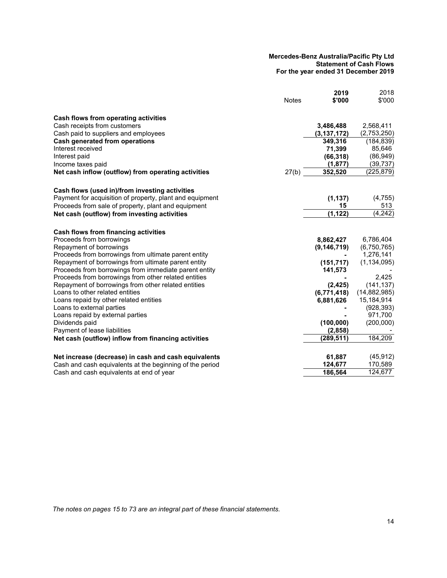#### **Mercedes-Benz Australia/Pacific Pty Ltd Statement of Cash Flows For the year ended 31 December 2019**

|                                                          |              | 2019          | 2018           |
|----------------------------------------------------------|--------------|---------------|----------------|
|                                                          | <b>Notes</b> | \$'000        | \$'000         |
| Cash flows from operating activities                     |              |               |                |
| Cash receipts from customers                             |              | 3,486,488     | 2,568,411      |
| Cash paid to suppliers and employees                     |              | (3, 137, 172) | (2,753,250)    |
| Cash generated from operations                           |              | 349,316       | (184, 839)     |
| Interest received                                        |              | 71,399        | 85,646         |
| Interest paid                                            |              | (66, 318)     | (86, 949)      |
| Income taxes paid                                        |              | (1, 877)      | (39,737)       |
| Net cash inflow (outflow) from operating activities      | 27(b)        | 352,520       | (225,879)      |
| Cash flows (used in)/from investing activities           |              |               |                |
| Payment for acquisition of property, plant and equipment |              | (1, 137)      | (4, 755)       |
| Proceeds from sale of property, plant and equipment      |              | 15            | 513            |
| Net cash (outflow) from investing activities             |              | (1, 122)      | (4, 242)       |
| Cash flows from financing activities                     |              |               |                |
| Proceeds from borrowings                                 |              | 8,862,427     | 6,786,404      |
| Repayment of borrowings                                  |              | (9, 146, 719) | (6,750,765)    |
| Proceeds from borrowings from ultimate parent entity     |              |               | 1,276,141      |
| Repayment of borrowings from ultimate parent entity      |              | (151, 717)    | (1, 134, 095)  |
| Proceeds from borrowings from immediate parent entity    |              | 141,573       |                |
| Proceeds from borrowings from other related entities     |              |               | 2,425          |
| Repayment of borrowings from other related entities      |              | (2, 425)      | (141, 137)     |
| Loans to other related entities                          |              | (6,771,418)   | (14, 882, 985) |
| Loans repaid by other related entities                   |              | 6,881,626     | 15,184,914     |
| Loans to external parties                                |              |               | (928, 393)     |
| Loans repaid by external parties                         |              |               | 971,700        |
| Dividends paid                                           |              | (100, 000)    | (200,000)      |
| Payment of lease liabilities                             |              | (2,858)       |                |
| Net cash (outflow) inflow from financing activities      |              | (289, 511)    | 184,209        |
| Net increase (decrease) in cash and cash equivalents     |              | 61,887        | (45, 912)      |
| Cash and cash equivalents at the beginning of the period |              | 124,677       | 170,589        |
| Cash and cash equivalents at end of year                 |              | 186,564       | 124,677        |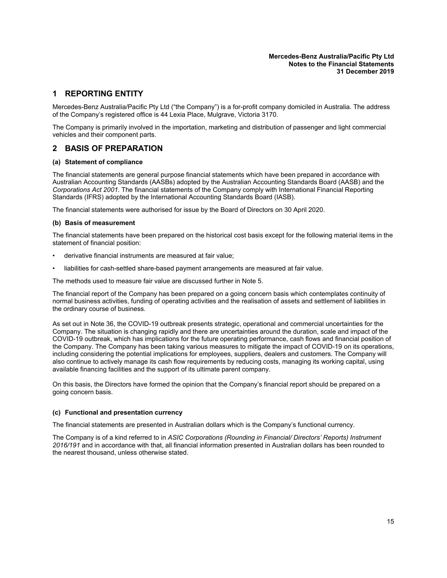# <span id="page-16-0"></span>**1 REPORTING ENTITY**

Mercedes-Benz Australia/Pacific Pty Ltd ("the Company") is a for-profit company domiciled in Australia. The address of the Company's registered office is 44 Lexia Place, Mulgrave, Victoria 3170.

The Company is primarily involved in the importation, marketing and distribution of passenger and light commercial vehicles and their component parts.

# **2 BASIS OF PREPARATION**

#### **(a) Statement of compliance**

The financial statements are general purpose financial statements which have been prepared in accordance with Australian Accounting Standards (AASBs) adopted by the Australian Accounting Standards Board (AASB) and the *Corporations Act 2001*. The financial statements of the Company comply with International Financial Reporting Standards (IFRS) adopted by the International Accounting Standards Board (IASB).

The financial statements were authorised for issue by the Board of Directors on 30 April 2020.

#### **(b) Basis of measurement**

The financial statements have been prepared on the historical cost basis except for the following material items in the statement of financial position:

- derivative financial instruments are measured at fair value;
- liabilities for cash-settled share-based payment arrangements are measured at fair value.

The methods used to measure fair value are discussed further in Note [5](#page-31-0).

The financial report of the Company has been prepared on a going concern basis which contemplates continuity of normal business activities, funding of operating activities and the realisation of assets and settlement of liabilities in the ordinary course of business.

As set out in Note [36,](#page-74-0) the COVID-19 outbreak presents strategic, operational and commercial uncertainties for the Company. The situation is changing rapidly and there are uncertainties around the duration, scale and impact of the COVID-19 outbreak, which has implications for the future operating performance, cash flows and financial position of the Company. The Company has been taking various measures to mitigate the impact of COVID-19 on its operations, including considering the potential implications for employees, suppliers, dealers and customers. The Company will also continue to actively manage its cash flow requirements by reducing costs, managing its working capital, using available financing facilities and the support of its ultimate parent company.

On this basis, the Directors have formed the opinion that the Company's financial report should be prepared on a going concern basis.

#### **(c) Functional and presentation currency**

The financial statements are presented in Australian dollars which is the Company's functional currency.

The Company is of a kind referred to in *ASIC Corporations (Rounding in Financial/ Directors' Reports) Instrument 2016/191* and in accordance with that, all financial information presented in Australian dollars has been rounded to the nearest thousand, unless otherwise stated.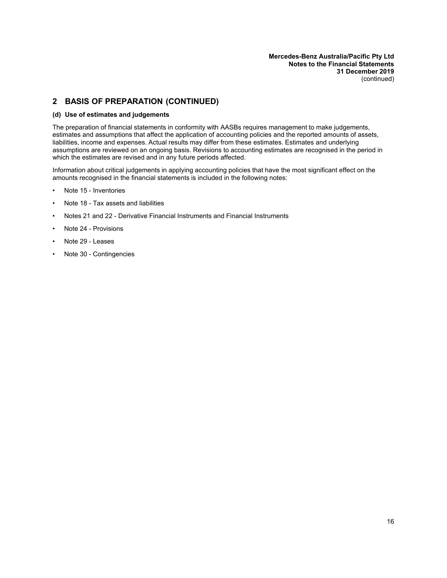# **2 BASIS OF PREPARATION (CONTINUED)**

#### **(d) Use of estimates and judgements**

The preparation of financial statements in conformity with AASBs requires management to make judgements, estimates and assumptions that affect the application of accounting policies and the reported amounts of assets, liabilities, income and expenses. Actual results may differ from these estimates. Estimates and underlying assumptions are reviewed on an ongoing basis. Revisions to accounting estimates are recognised in the period in which the estimates are revised and in any future periods affected.

Information about critical judgements in applying accounting policies that have the most significant effect on the amounts recognised in the financial statements is included in the following notes:

- Note 15 Inventories
- Note [18](#page-40-0) Tax assets and liabilities
- Notes [21](#page-48-0) and [22](#page-44-2) Derivative Financial Instruments and Financial Instruments
- Note [24](#page-60-1) Provisions
- Note [29](#page-65-0) Leases
- Note [30](#page-68-0) Contingencies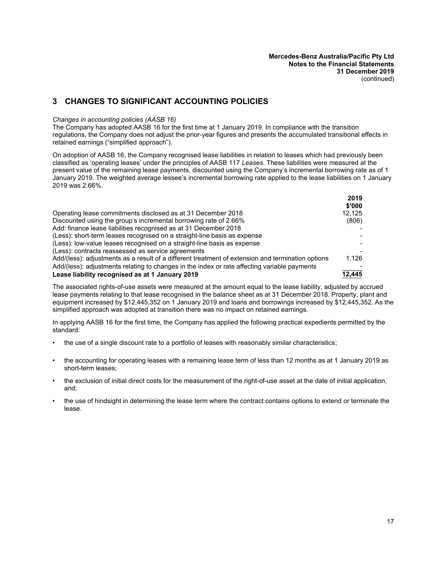# **3 CHANGES TO SIGNIFICANT ACCOUNTING POLICIES**

#### *Changes in accounting policies (AASB 16)*

The Company has adopted AASB 16 for the first time at 1 January 2019. In compliance with the transition regulations, the Company does not adjust the prior-year figures and presents the accumulated transitional effects in retained earnings ("simplified approach").

On adoption of AASB 16, the Company recognised lease liabilities in relation to leases which had previously been classified as 'operating leases' under the principles of AASB 117 *Leases*. These liabilities were measured at the present value of the remaining lease payments, discounted using the Company's incremental borrowing rate as of 1 January 2019. The weighted average lessee's incremental borrowing rate applied to the lease liabilities on 1 January 2019 was 2.66%.

|                                                                                                   | 2019   |
|---------------------------------------------------------------------------------------------------|--------|
|                                                                                                   | \$'000 |
| Operating lease commitments disclosed as at 31 December 2018                                      | 12.125 |
| Discounted using the group's incremental borrowing rate of 2.66%                                  | (806)  |
| Add: finance lease liabilities recognised as at 31 December 2018                                  |        |
| (Less): short-term leases recognised on a straight-line basis as expense                          |        |
| (Less): low-value leases recognised on a straight-line basis as expense                           |        |
| (Less): contracts reassessed as service agreements                                                |        |
| Add/(less): adjustments as a result of a different treatment of extension and termination options | 1.126  |
| Add/(less): adjustments relating to changes in the index or rate affecting variable payments      |        |
| Lease liability recognised as at 1 January 2019                                                   | 12.445 |

The associated rights-of-use assets were measured at the amount equal to the lease liability, adjusted by accrued lease payments relating to that lease recognised in the balance sheet as at 31 December 2018. Property, plant and equipment increased by \$12,445,352 on 1 January 2019 and loans and borrowings increased by \$12,445,352. As the simplified approach was adopted at transition there was no impact on retained earnings.

In applying AASB 16 for the first time, the Company has applied the following practical expedients permitted by the standard:

- the use of a single discount rate to a portfolio of leases with reasonably similar characteristics;
- the accounting for operating leases with a remaining lease term of less than 12 months as at 1 January 2019 as short-term leases;
- the exclusion of initial direct costs for the measurement of the right-of-use asset at the date of initial application, and;
- the use of hindsight in determining the lease term where the contract contains options to extend or terminate the lease.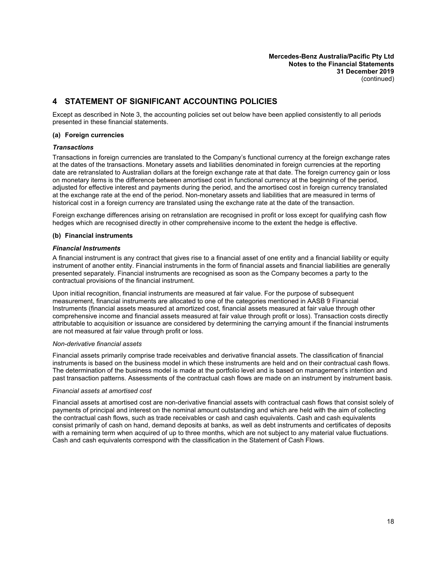# **4 STATEMENT OF SIGNIFICANT ACCOUNTING POLICIES**

Except as described in Note 3, the accounting policies set out below have been applied consistently to all periods presented in these financial statements.

#### **(a) Foreign currencies**

#### *Transactions*

Transactions in foreign currencies are translated to the Company's functional currency at the foreign exchange rates at the dates of the transactions. Monetary assets and liabilities denominated in foreign currencies at the reporting date are retranslated to Australian dollars at the foreign exchange rate at that date. The foreign currency gain or loss on monetary items is the difference between amortised cost in functional currency at the beginning of the period, adjusted for effective interest and payments during the period, and the amortised cost in foreign currency translated at the exchange rate at the end of the period. Non-monetary assets and liabilities that are measured in terms of historical cost in a foreign currency are translated using the exchange rate at the date of the transaction.

Foreign exchange differences arising on retranslation are recognised in profit or loss except for qualifying cash flow hedges which are recognised directly in other comprehensive income to the extent the hedge is effective.

#### **(b) Financial instruments**

#### *Financial Instruments*

A financial instrument is any contract that gives rise to a financial asset of one entity and a financial liability or equity instrument of another entity. Financial instruments in the form of financial assets and financial liabilities are generally presented separately. Financial instruments are recognised as soon as the Company becomes a party to the contractual provisions of the financial instrument.

Upon initial recognition, financial instruments are measured at fair value. For the purpose of subsequent measurement, financial instruments are allocated to one of the categories mentioned in AASB 9 Financial Instruments (financial assets measured at amortized cost, financial assets measured at fair value through other comprehensive income and financial assets measured at fair value through profit or loss). Transaction costs directly attributable to acquisition or issuance are considered by determining the carrying amount if the financial instruments are not measured at fair value through profit or loss.

#### *Non-derivative financial assets*

Financial assets primarily comprise trade receivables and derivative financial assets. The classification of financial instruments is based on the business model in which these instruments are held and on their contractual cash flows. The determination of the business model is made at the portfolio level and is based on management's intention and past transaction patterns. Assessments of the contractual cash flows are made on an instrument by instrument basis.

#### *Financial assets at amortised cost*

Financial assets at amortised cost are non-derivative financial assets with contractual cash flows that consist solely of payments of principal and interest on the nominal amount outstanding and which are held with the aim of collecting the contractual cash flows, such as trade receivables or cash and cash equivalents. Cash and cash equivalents consist primarily of cash on hand, demand deposits at banks, as well as debt instruments and certificates of deposits with a remaining term when acquired of up to three months, which are not subject to any material value fluctuations. Cash and cash equivalents correspond with the classification in the Statement of Cash Flows.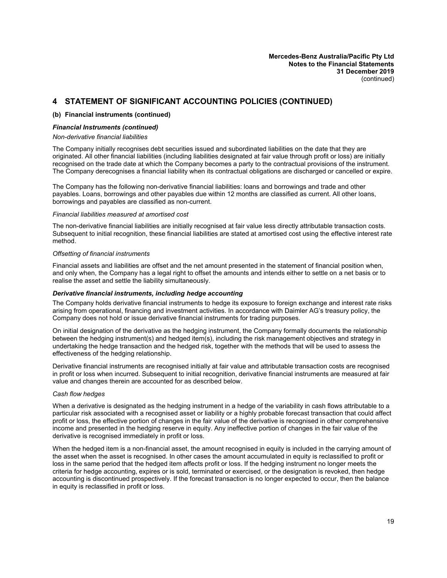# **4 STATEMENT OF SIGNIFICANT ACCOUNTING POLICIES (CONTINUED)**

#### **(b) Financial instruments (continued)**

#### *Financial Instruments (continued)*

#### *Non-derivative financial liabilities*

The Company initially recognises debt securities issued and subordinated liabilities on the date that they are originated. All other financial liabilities (including liabilities designated at fair value through profit or loss) are initially recognised on the trade date at which the Company becomes a party to the contractual provisions of the instrument. The Company derecognises a financial liability when its contractual obligations are discharged or cancelled or expire.

The Company has the following non-derivative financial liabilities: loans and borrowings and trade and other payables. Loans, borrowings and other payables due within 12 months are classified as current. All other loans, borrowings and payables are classified as non-current.

#### *Financial liabilities measured at amortised cost*

The non-derivative financial liabilities are initially recognised at fair value less directly attributable transaction costs. Subsequent to initial recognition, these financial liabilities are stated at amortised cost using the effective interest rate method.

#### *Offsetting of financial instruments*

Financial assets and liabilities are offset and the net amount presented in the statement of financial position when, and only when, the Company has a legal right to offset the amounts and intends either to settle on a net basis or to realise the asset and settle the liability simultaneously.

#### *Derivative financial instruments, including hedge accounting*

The Company holds derivative financial instruments to hedge its exposure to foreign exchange and interest rate risks arising from operational, financing and investment activities. In accordance with Daimler AG's treasury policy, the Company does not hold or issue derivative financial instruments for trading purposes.

On initial designation of the derivative as the hedging instrument, the Company formally documents the relationship between the hedging instrument(s) and hedged item(s), including the risk management objectives and strategy in undertaking the hedge transaction and the hedged risk, together with the methods that will be used to assess the effectiveness of the hedging relationship.

Derivative financial instruments are recognised initially at fair value and attributable transaction costs are recognised in profit or loss when incurred. Subsequent to initial recognition, derivative financial instruments are measured at fair value and changes therein are accounted for as described below.

#### *Cash flow hedges*

When a derivative is designated as the hedging instrument in a hedge of the variability in cash flows attributable to a particular risk associated with a recognised asset or liability or a highly probable forecast transaction that could affect profit or loss, the effective portion of changes in the fair value of the derivative is recognised in other comprehensive income and presented in the hedging reserve in equity. Any ineffective portion of changes in the fair value of the derivative is recognised immediately in profit or loss.

When the hedged item is a non-financial asset, the amount recognised in equity is included in the carrying amount of the asset when the asset is recognised. In other cases the amount accumulated in equity is reclassified to profit or loss in the same period that the hedged item affects profit or loss. If the hedging instrument no longer meets the criteria for hedge accounting, expires or is sold, terminated or exercised, or the designation is revoked, then hedge accounting is discontinued prospectively. If the forecast transaction is no longer expected to occur, then the balance in equity is reclassified in profit or loss.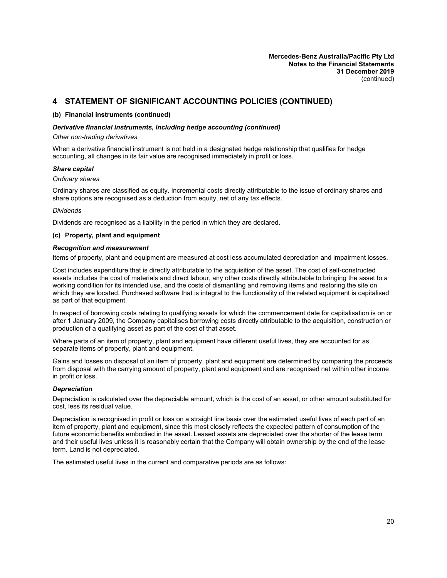# **4 STATEMENT OF SIGNIFICANT ACCOUNTING POLICIES (CONTINUED)**

#### **(b) Financial instruments (continued)**

#### *Derivative financial instruments, including hedge accounting (continued)*

#### *Other non-trading derivatives*

When a derivative financial instrument is not held in a designated hedge relationship that qualifies for hedge accounting, all changes in its fair value are recognised immediately in profit or loss.

#### *Share capital*

#### *Ordinary shares*

Ordinary shares are classified as equity. Incremental costs directly attributable to the issue of ordinary shares and share options are recognised as a deduction from equity, net of any tax effects.

#### *Dividends*

Dividends are recognised as a liability in the period in which they are declared.

#### **(c) Property, plant and equipment**

#### *Recognition and measurement*

Items of property, plant and equipment are measured at cost less accumulated depreciation and impairment losses.

Cost includes expenditure that is directly attributable to the acquisition of the asset. The cost of self-constructed assets includes the cost of materials and direct labour, any other costs directly attributable to bringing the asset to a working condition for its intended use, and the costs of dismantling and removing items and restoring the site on which they are located. Purchased software that is integral to the functionality of the related equipment is capitalised as part of that equipment.

In respect of borrowing costs relating to qualifying assets for which the commencement date for capitalisation is on or after 1 January 2009, the Company capitalises borrowing costs directly attributable to the acquisition, construction or production of a qualifying asset as part of the cost of that asset.

Where parts of an item of property, plant and equipment have different useful lives, they are accounted for as separate items of property, plant and equipment.

Gains and losses on disposal of an item of property, plant and equipment are determined by comparing the proceeds from disposal with the carrying amount of property, plant and equipment and are recognised net within other income in profit or loss.

#### *Depreciation*

Depreciation is calculated over the depreciable amount, which is the cost of an asset, or other amount substituted for cost, less its residual value.

Depreciation is recognised in profit or loss on a straight line basis over the estimated useful lives of each part of an item of property, plant and equipment, since this most closely reflects the expected pattern of consumption of the future economic benefits embodied in the asset. Leased assets are depreciated over the shorter of the lease term and their useful lives unless it is reasonably certain that the Company will obtain ownership by the end of the lease term. Land is not depreciated.

The estimated useful lives in the current and comparative periods are as follows: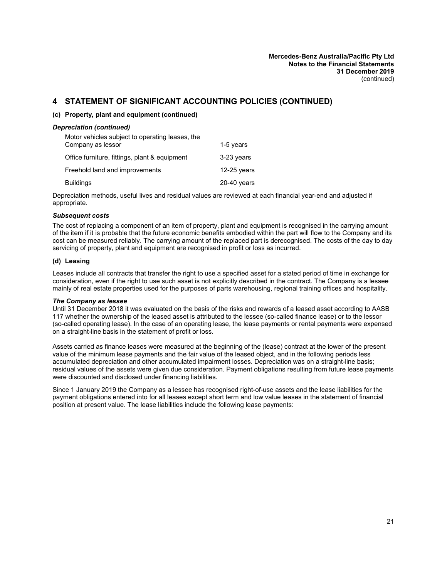# **4 STATEMENT OF SIGNIFICANT ACCOUNTING POLICIES (CONTINUED)**

#### **(c) Property, plant and equipment (continued)**

#### *Depreciation (continued)*

| Motor vehicles subject to operating leases, the |               |
|-------------------------------------------------|---------------|
| Company as lessor                               | 1-5 years     |
| Office furniture, fittings, plant & equipment   | 3-23 years    |
| Freehold land and improvements                  | $12-25$ years |
| <b>Buildings</b>                                | $20-40$ years |

Depreciation methods, useful lives and residual values are reviewed at each financial year-end and adjusted if appropriate.

#### *Subsequent costs*

The cost of replacing a component of an item of property, plant and equipment is recognised in the carrying amount of the item if it is probable that the future economic benefits embodied within the part will flow to the Company and its cost can be measured reliably. The carrying amount of the replaced part is derecognised. The costs of the day to day servicing of property, plant and equipment are recognised in profit or loss as incurred.

#### **(d) Leasing**

Leases include all contracts that transfer the right to use a specified asset for a stated period of time in exchange for consideration, even if the right to use such asset is not explicitly described in the contract. The Company is a lessee mainly of real estate properties used for the purposes of parts warehousing, regional training offices and hospitality.

#### *The Company as lessee*

Until 31 December 2018 it was evaluated on the basis of the risks and rewards of a leased asset according to AASB 117 whether the ownership of the leased asset is attributed to the lessee (so-called finance lease) or to the lessor (so-called operating lease). In the case of an operating lease, the lease payments or rental payments were expensed on a straight-line basis in the statement of profit or loss.

Assets carried as finance leases were measured at the beginning of the (lease) contract at the lower of the present value of the minimum lease payments and the fair value of the leased object, and in the following periods less accumulated depreciation and other accumulated impairment losses. Depreciation was on a straight-line basis; residual values of the assets were given due consideration. Payment obligations resulting from future lease payments were discounted and disclosed under financing liabilities.

Since 1 January 2019 the Company as a lessee has recognised right-of-use assets and the lease liabilities for the payment obligations entered into for all leases except short term and low value leases in the statement of financial position at present value. The lease liabilities include the following lease payments: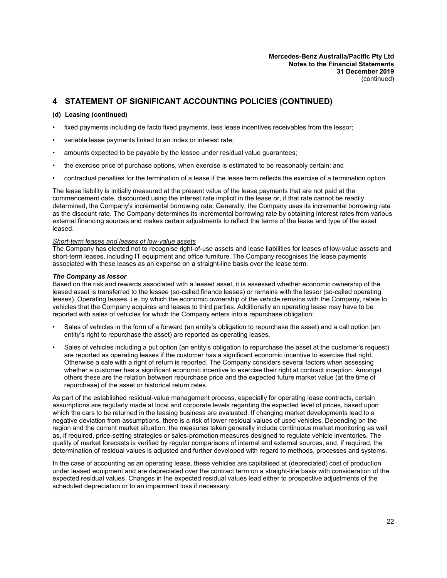# **4 STATEMENT OF SIGNIFICANT ACCOUNTING POLICIES (CONTINUED)**

#### **(d) Leasing (continued)**

- fixed payments including de facto fixed payments, less lease incentives receivables from the lessor;
- variable lease payments linked to an index or interest rate;
- amounts expected to be payable by the lessee under residual value guarantees;
- the exercise price of purchase options, when exercise is estimated to be reasonably certain; and
- contractual penalties for the termination of a lease if the lease term reflects the exercise of a termination option.

The lease liability is initially measured at the present value of the lease payments that are not paid at the commencement date, discounted using the interest rate implicit in the lease or, if that rate cannot be readily determined, the Company's incremental borrowing rate. Generally, the Company uses its incremental borrowing rate as the discount rate. The Company determines its incremental borrowing rate by obtaining interest rates from various external financing sources and makes certain adjustments to reflect the terms of the lease and type of the asset leased.

#### *Short-term leases and leases of low-value assets*

The Company has elected not to recognise right-of-use assets and lease liabilities for leases of low-value assets and short-term leases, including IT equipment and office furniture. The Company recognises the lease payments associated with these leases as an expense on a straight-line basis over the lease term.

#### *The Company as lessor*

Based on the risk and rewards associated with a leased asset, it is assessed whether economic ownership of the leased asset is transferred to the lessee (so-called finance leases) or remains with the lessor (so-called operating leases). Operating leases, i.e. by which the economic ownership of the vehicle remains with the Company, relate to vehicles that the Company acquires and leases to third parties. Additionally an operating lease may have to be reported with sales of vehicles for which the Company enters into a repurchase obligation:

- Sales of vehicles in the form of a forward (an entity's obligation to repurchase the asset) and a call option (an entity's right to repurchase the asset) are reported as operating leases.
- Sales of vehicles including a put option (an entity's obligation to repurchase the asset at the customer's request) are reported as operating leases if the customer has a significant economic incentive to exercise that right. Otherwise a sale with a right of return is reported. The Company considers several factors when assessing whether a customer has a significant economic incentive to exercise their right at contract inception. Amongst others these are the relation between repurchase price and the expected future market value (at the time of repurchase) of the asset or historical return rates.

As part of the established residual-value management process, especially for operating lease contracts, certain assumptions are regularly made at local and corporate levels regarding the expected level of prices, based upon which the cars to be returned in the leasing business are evaluated. If changing market developments lead to a negative deviation from assumptions, there is a risk of lower residual values of used vehicles. Depending on the region and the current market situation, the measures taken generally include continuous market monitoring as well as, if required, price-setting strategies or sales-promotion measures designed to regulate vehicle inventories. The quality of market forecasts is verified by regular comparisons of internal and external sources, and, if required, the determination of residual values is adjusted and further developed with regard to methods, processes and systems.

In the case of accounting as an operating lease, these vehicles are capitalised at (depreciated) cost of production under leased equipment and are depreciated over the contract term on a straight-line basis with consideration of the expected residual values. Changes in the expected residual values lead either to prospective adjustments of the scheduled depreciation or to an impairment loss if necessary.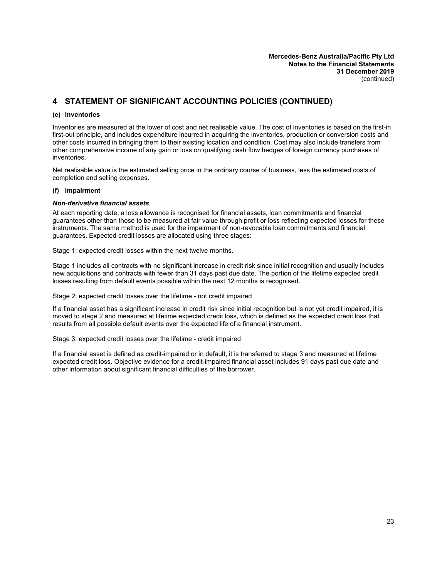# **4 STATEMENT OF SIGNIFICANT ACCOUNTING POLICIES (CONTINUED)**

#### **(e) Inventories**

Inventories are measured at the lower of cost and net realisable value. The cost of inventories is based on the first-in first-out principle, and includes expenditure incurred in acquiring the inventories, production or conversion costs and other costs incurred in bringing them to their existing location and condition. Cost may also include transfers from other comprehensive income of any gain or loss on qualifying cash flow hedges of foreign currency purchases of inventories.

Net realisable value is the estimated selling price in the ordinary course of business, less the estimated costs of completion and selling expenses.

#### **(f) Impairment**

#### *Non-derivative financial assets*

At each reporting date, a loss allowance is recognised for financial assets, loan commitments and financial guarantees other than those to be measured at fair value through profit or loss reflecting expected losses for these instruments. The same method is used for the impairment of non-revocable loan commitments and financial guarantees. Expected credit losses are allocated using three stages:

Stage 1: expected credit losses within the next twelve months.

Stage 1 includes all contracts with no significant increase in credit risk since initial recognition and usually includes new acquisitions and contracts with fewer than 31 days past due date. The portion of the lifetime expected credit losses resulting from default events possible within the next 12 months is recognised.

Stage 2: expected credit losses over the lifetime - not credit impaired

If a financial asset has a significant increase in credit risk since initial recognition but is not yet credit impaired, it is moved to stage 2 and measured at lifetime expected credit loss, which is defined as the expected credit loss that results from all possible default events over the expected life of a financial instrument.

Stage 3: expected credit losses over the lifetime - credit impaired

If a financial asset is defined as credit-impaired or in default, it is transferred to stage 3 and measured at lifetime expected credit loss. Objective evidence for a credit-impaired financial asset includes 91 days past due date and other information about significant financial difficulties of the borrower.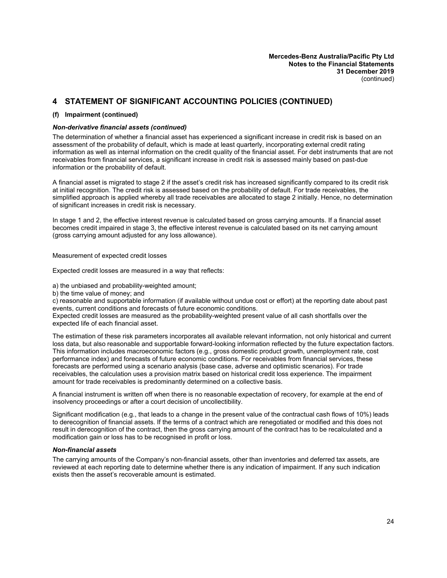# **4 STATEMENT OF SIGNIFICANT ACCOUNTING POLICIES (CONTINUED)**

#### **(f) Impairment (continued)**

#### *Non-derivative financial assets (continued)*

The determination of whether a financial asset has experienced a significant increase in credit risk is based on an assessment of the probability of default, which is made at least quarterly, incorporating external credit rating information as well as internal information on the credit quality of the financial asset. For debt instruments that are not receivables from financial services, a significant increase in credit risk is assessed mainly based on past-due information or the probability of default.

A financial asset is migrated to stage 2 if the asset's credit risk has increased significantly compared to its credit risk at initial recognition. The credit risk is assessed based on the probability of default. For trade receivables, the simplified approach is applied whereby all trade receivables are allocated to stage 2 initially. Hence, no determination of significant increases in credit risk is necessary.

In stage 1 and 2, the effective interest revenue is calculated based on gross carrying amounts. If a financial asset becomes credit impaired in stage 3, the effective interest revenue is calculated based on its net carrying amount (gross carrying amount adjusted for any loss allowance).

Measurement of expected credit losses

Expected credit losses are measured in a way that reflects:

a) the unbiased and probability-weighted amount;

b) the time value of money; and

c) reasonable and supportable information (if available without undue cost or effort) at the reporting date about past events, current conditions and forecasts of future economic conditions.

Expected credit losses are measured as the probability-weighted present value of all cash shortfalls over the expected life of each financial asset.

The estimation of these risk parameters incorporates all available relevant information, not only historical and current loss data, but also reasonable and supportable forward-looking information reflected by the future expectation factors. This information includes macroeconomic factors (e.g., gross domestic product growth, unemployment rate, cost performance index) and forecasts of future economic conditions. For receivables from financial services, these forecasts are performed using a scenario analysis (base case, adverse and optimistic scenarios). For trade receivables, the calculation uses a provision matrix based on historical credit loss experience. The impairment amount for trade receivables is predominantly determined on a collective basis.

A financial instrument is written off when there is no reasonable expectation of recovery, for example at the end of insolvency proceedings or after a court decision of uncollectibility.

Significant modification (e.g., that leads to a change in the present value of the contractual cash flows of 10%) leads to derecognition of financial assets. If the terms of a contract which are renegotiated or modified and this does not result in derecognition of the contract, then the gross carrying amount of the contract has to be recalculated and a modification gain or loss has to be recognised in profit or loss.

#### *Non-financial assets*

The carrying amounts of the Company's non-financial assets, other than inventories and deferred tax assets, are reviewed at each reporting date to determine whether there is any indication of impairment. If any such indication exists then the asset's recoverable amount is estimated.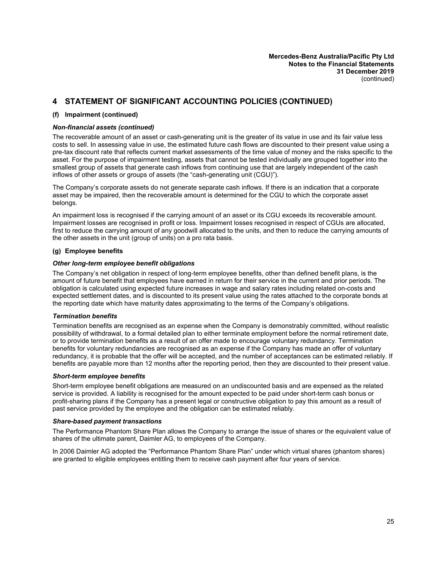# **4 STATEMENT OF SIGNIFICANT ACCOUNTING POLICIES (CONTINUED)**

#### **(f) Impairment (continued)**

#### *Non-financial assets (continued)*

The recoverable amount of an asset or cash-generating unit is the greater of its value in use and its fair value less costs to sell. In assessing value in use, the estimated future cash flows are discounted to their present value using a pre-tax discount rate that reflects current market assessments of the time value of money and the risks specific to the asset. For the purpose of impairment testing, assets that cannot be tested individually are grouped together into the smallest group of assets that generate cash inflows from continuing use that are largely independent of the cash inflows of other assets or groups of assets (the "cash-generating unit (CGU)").

The Company's corporate assets do not generate separate cash inflows. If there is an indication that a corporate asset may be impaired, then the recoverable amount is determined for the CGU to which the corporate asset belongs.

An impairment loss is recognised if the carrying amount of an asset or its CGU exceeds its recoverable amount. Impairment losses are recognised in profit or loss. Impairment losses recognised in respect of CGUs are allocated, first to reduce the carrying amount of any goodwill allocated to the units, and then to reduce the carrying amounts of the other assets in the unit (group of units) on a pro rata basis.

#### **(g) Employee benefits**

#### *Other long-term employee benefit obligations*

The Company's net obligation in respect of long-term employee benefits, other than defined benefit plans, is the amount of future benefit that employees have earned in return for their service in the current and prior periods. The obligation is calculated using expected future increases in wage and salary rates including related on-costs and expected settlement dates, and is discounted to its present value using the rates attached to the corporate bonds at the reporting date which have maturity dates approximating to the terms of the Company's obligations.

#### *Termination benefits*

Termination benefits are recognised as an expense when the Company is demonstrably committed, without realistic possibility of withdrawal, to a formal detailed plan to either terminate employment before the normal retirement date, or to provide termination benefits as a result of an offer made to encourage voluntary redundancy. Termination benefits for voluntary redundancies are recognised as an expense if the Company has made an offer of voluntary redundancy, it is probable that the offer will be accepted, and the number of acceptances can be estimated reliably. If benefits are payable more than 12 months after the reporting period, then they are discounted to their present value.

#### *Short-term employee benefits*

Short-term employee benefit obligations are measured on an undiscounted basis and are expensed as the related service is provided. A liability is recognised for the amount expected to be paid under short-term cash bonus or profit-sharing plans if the Company has a present legal or constructive obligation to pay this amount as a result of past service provided by the employee and the obligation can be estimated reliably.

#### *Share-based payment transactions*

The Performance Phantom Share Plan allows the Company to arrange the issue of shares or the equivalent value of shares of the ultimate parent, Daimler AG, to employees of the Company.

In 2006 Daimler AG adopted the "Performance Phantom Share Plan" under which virtual shares (phantom shares) are granted to eligible employees entitling them to receive cash payment after four years of service.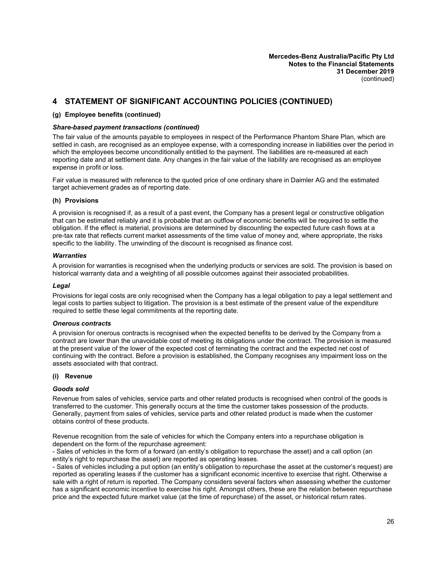# **4 STATEMENT OF SIGNIFICANT ACCOUNTING POLICIES (CONTINUED)**

#### **(g) Employee benefits (continued)**

#### *Share-based payment transactions (continued)*

The fair value of the amounts payable to employees in respect of the Performance Phantom Share Plan, which are settled in cash, are recognised as an employee expense, with a corresponding increase in liabilities over the period in which the employees become unconditionally entitled to the payment. The liabilities are re-measured at each reporting date and at settlement date. Any changes in the fair value of the liability are recognised as an employee expense in profit or loss.

Fair value is measured with reference to the quoted price of one ordinary share in Daimler AG and the estimated target achievement grades as of reporting date.

#### **(h) Provisions**

A provision is recognised if, as a result of a past event, the Company has a present legal or constructive obligation that can be estimated reliably and it is probable that an outflow of economic benefits will be required to settle the obligation. If the effect is material, provisions are determined by discounting the expected future cash flows at a pre-tax rate that reflects current market assessments of the time value of money and, where appropriate, the risks specific to the liability. The unwinding of the discount is recognised as finance cost.

#### *Warranties*

A provision for warranties is recognised when the underlying products or services are sold. The provision is based on historical warranty data and a weighting of all possible outcomes against their associated probabilities.

#### *Legal*

Provisions for legal costs are only recognised when the Company has a legal obligation to pay a legal settlement and legal costs to parties subject to litigation. The provision is a best estimate of the present value of the expenditure required to settle these legal commitments at the reporting date.

#### *Onerous contracts*

A provision for onerous contracts is recognised when the expected benefits to be derived by the Company from a contract are lower than the unavoidable cost of meeting its obligations under the contract. The provision is measured at the present value of the lower of the expected cost of terminating the contract and the expected net cost of continuing with the contract. Before a provision is established, the Company recognises any impairment loss on the assets associated with that contract.

#### **(i) Revenue**

#### *Goods sold*

Revenue from sales of vehicles, service parts and other related products is recognised when control of the goods is transferred to the customer. This generally occurs at the time the customer takes possession of the products. Generally, payment from sales of vehicles, service parts and other related product is made when the customer obtains control of these products.

Revenue recognition from the sale of vehicles for which the Company enters into a repurchase obligation is dependent on the form of the repurchase agreement:

- Sales of vehicles in the form of a forward (an entity's obligation to repurchase the asset) and a call option (an entity's right to repurchase the asset) are reported as operating leases.

- Sales of vehicles including a put option (an entity's obligation to repurchase the asset at the customer's request) are reported as operating leases if the customer has a significant economic incentive to exercise that right. Otherwise a sale with a right of return is reported. The Company considers several factors when assessing whether the customer has a significant economic incentive to exercise his right. Amongst others, these are the relation between repurchase price and the expected future market value (at the time of repurchase) of the asset, or historical return rates.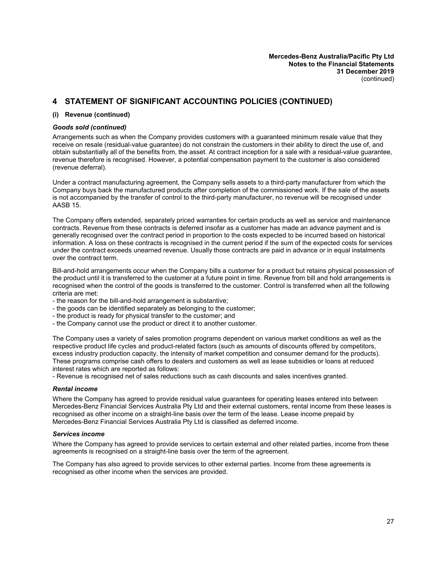# **4 STATEMENT OF SIGNIFICANT ACCOUNTING POLICIES (CONTINUED)**

#### **(i) Revenue (continued)**

#### *Goods sold (continued)*

Arrangements such as when the Company provides customers with a guaranteed minimum resale value that they receive on resale (residual-value guarantee) do not constrain the customers in their ability to direct the use of, and obtain substantially all of the benefits from, the asset. At contract inception for a sale with a residual-value guarantee, revenue therefore is recognised. However, a potential compensation payment to the customer is also considered (revenue deferral).

Under a contract manufacturing agreement, the Company sells assets to a third-party manufacturer from which the Company buys back the manufactured products after completion of the commissioned work. If the sale of the assets is not accompanied by the transfer of control to the third-party manufacturer, no revenue will be recognised under AASB 15.

The Company offers extended, separately priced warranties for certain products as well as service and maintenance contracts. Revenue from these contracts is deferred insofar as a customer has made an advance payment and is generally recognised over the contract period in proportion to the costs expected to be incurred based on historical information. A loss on these contracts is recognised in the current period if the sum of the expected costs for services under the contract exceeds unearned revenue. Usually those contracts are paid in advance or in equal instalments over the contract term.

Bill-and-hold arrangements occur when the Company bills a customer for a product but retains physical possession of the product until it is transferred to the customer at a future point in time. Revenue from bill and hold arrangements is recognised when the control of the goods is transferred to the customer. Control is transferred when all the following criteria are met:

- the reason for the bill-and-hold arrangement is substantive;

- the goods can be identified separately as belonging to the customer;
- the product is ready for physical transfer to the customer; and
- the Company cannot use the product or direct it to another customer.

The Company uses a variety of sales promotion programs dependent on various market conditions as well as the respective product life cycles and product-related factors (such as amounts of discounts offered by competitors, excess industry production capacity, the intensity of market competition and consumer demand for the products). These programs comprise cash offers to dealers and customers as well as lease subsidies or loans at reduced interest rates which are reported as follows:

- Revenue is recognised net of sales reductions such as cash discounts and sales incentives granted.

#### *Rental income*

Where the Company has agreed to provide residual value guarantees for operating leases entered into between Mercedes-Benz Financial Services Australia Pty Ltd and their external customers, rental income from these leases is recognised as other income on a straight-line basis over the term of the lease. Lease income prepaid by Mercedes-Benz Financial Services Australia Pty Ltd is classified as deferred income.

#### *Services income*

Where the Company has agreed to provide services to certain external and other related parties, income from these agreements is recognised on a straight-line basis over the term of the agreement.

The Company has also agreed to provide services to other external parties. Income from these agreements is recognised as other income when the services are provided.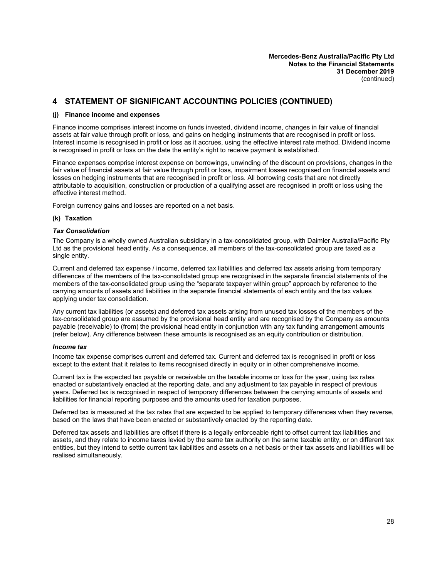# **4 STATEMENT OF SIGNIFICANT ACCOUNTING POLICIES (CONTINUED)**

#### **(j) Finance income and expenses**

Finance income comprises interest income on funds invested, dividend income, changes in fair value of financial assets at fair value through profit or loss, and gains on hedging instruments that are recognised in profit or loss. Interest income is recognised in profit or loss as it accrues, using the effective interest rate method. Dividend income is recognised in profit or loss on the date the entity's right to receive payment is established.

Finance expenses comprise interest expense on borrowings, unwinding of the discount on provisions, changes in the fair value of financial assets at fair value through profit or loss, impairment losses recognised on financial assets and losses on hedging instruments that are recognised in profit or loss. All borrowing costs that are not directly attributable to acquisition, construction or production of a qualifying asset are recognised in profit or loss using the effective interest method.

Foreign currency gains and losses are reported on a net basis.

#### **(k) Taxation**

#### *Tax Consolidation*

The Company is a wholly owned Australian subsidiary in a tax-consolidated group, with Daimler Australia/Pacific Pty Ltd as the provisional head entity. As a consequence, all members of the tax-consolidated group are taxed as a single entity.

Current and deferred tax expense / income, deferred tax liabilities and deferred tax assets arising from temporary differences of the members of the tax-consolidated group are recognised in the separate financial statements of the members of the tax-consolidated group using the "separate taxpayer within group" approach by reference to the carrying amounts of assets and liabilities in the separate financial statements of each entity and the tax values applying under tax consolidation.

Any current tax liabilities (or assets) and deferred tax assets arising from unused tax losses of the members of the tax-consolidated group are assumed by the provisional head entity and are recognised by the Company as amounts payable (receivable) to (from) the provisional head entity in conjunction with any tax funding arrangement amounts (refer below). Any difference between these amounts is recognised as an equity contribution or distribution.

#### *Income tax*

Income tax expense comprises current and deferred tax. Current and deferred tax is recognised in profit or loss except to the extent that it relates to items recognised directly in equity or in other comprehensive income.

Current tax is the expected tax payable or receivable on the taxable income or loss for the year, using tax rates enacted or substantively enacted at the reporting date, and any adjustment to tax payable in respect of previous years. Deferred tax is recognised in respect of temporary differences between the carrying amounts of assets and liabilities for financial reporting purposes and the amounts used for taxation purposes.

Deferred tax is measured at the tax rates that are expected to be applied to temporary differences when they reverse, based on the laws that have been enacted or substantively enacted by the reporting date.

Deferred tax assets and liabilities are offset if there is a legally enforceable right to offset current tax liabilities and assets, and they relate to income taxes levied by the same tax authority on the same taxable entity, or on different tax entities, but they intend to settle current tax liabilities and assets on a net basis or their tax assets and liabilities will be realised simultaneously.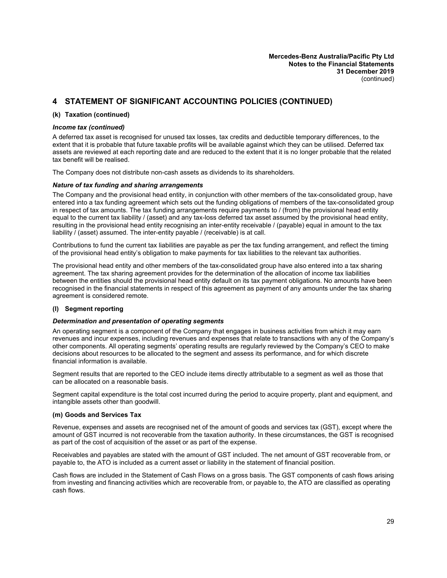# **4 STATEMENT OF SIGNIFICANT ACCOUNTING POLICIES (CONTINUED)**

#### **(k) Taxation (continued)**

#### *Income tax (continued)*

A deferred tax asset is recognised for unused tax losses, tax credits and deductible temporary differences, to the extent that it is probable that future taxable profits will be available against which they can be utilised. Deferred tax assets are reviewed at each reporting date and are reduced to the extent that it is no longer probable that the related tax benefit will be realised.

The Company does not distribute non-cash assets as dividends to its shareholders.

#### *Nature of tax funding and sharing arrangements*

The Company and the provisional head entity, in conjunction with other members of the tax-consolidated group, have entered into a tax funding agreement which sets out the funding obligations of members of the tax-consolidated group in respect of tax amounts. The tax funding arrangements require payments to / (from) the provisional head entity equal to the current tax liability / (asset) and any tax-loss deferred tax asset assumed by the provisional head entity, resulting in the provisional head entity recognising an inter-entity receivable / (payable) equal in amount to the tax liability / (asset) assumed. The inter-entity payable / (receivable) is at call.

Contributions to fund the current tax liabilities are payable as per the tax funding arrangement, and reflect the timing of the provisional head entity's obligation to make payments for tax liabilities to the relevant tax authorities.

The provisional head entity and other members of the tax-consolidated group have also entered into a tax sharing agreement. The tax sharing agreement provides for the determination of the allocation of income tax liabilities between the entities should the provisional head entity default on its tax payment obligations. No amounts have been recognised in the financial statements in respect of this agreement as payment of any amounts under the tax sharing agreement is considered remote.

#### **(l) Segment reporting**

#### *Determination and presentation of operating segments*

An operating segment is a component of the Company that engages in business activities from which it may earn revenues and incur expenses, including revenues and expenses that relate to transactions with any of the Company's other components. All operating segments' operating results are regularly reviewed by the Company's CEO to make decisions about resources to be allocated to the segment and assess its performance, and for which discrete financial information is available.

Segment results that are reported to the CEO include items directly attributable to a segment as well as those that can be allocated on a reasonable basis.

Segment capital expenditure is the total cost incurred during the period to acquire property, plant and equipment, and intangible assets other than goodwill.

#### **(m) Goods and Services Tax**

Revenue, expenses and assets are recognised net of the amount of goods and services tax (GST), except where the amount of GST incurred is not recoverable from the taxation authority. In these circumstances, the GST is recognised as part of the cost of acquisition of the asset or as part of the expense.

Receivables and payables are stated with the amount of GST included. The net amount of GST recoverable from, or payable to, the ATO is included as a current asset or liability in the statement of financial position.

Cash flows are included in the Statement of Cash Flows on a gross basis. The GST components of cash flows arising from investing and financing activities which are recoverable from, or payable to, the ATO are classified as operating cash flows.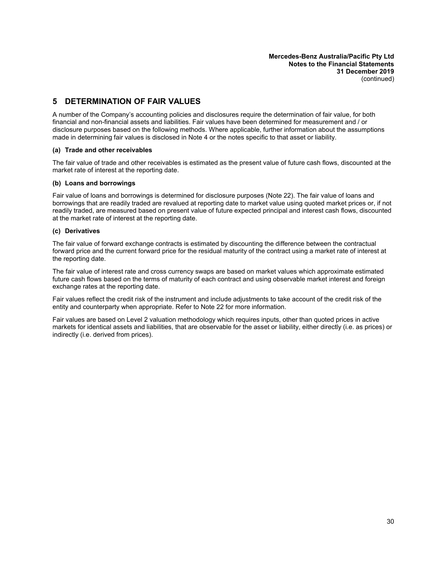# <span id="page-31-0"></span>**5 DETERMINATION OF FAIR VALUES**

A number of the Company's accounting policies and disclosures require the determination of fair value, for both financial and non-financial assets and liabilities. Fair values have been determined for measurement and / or disclosure purposes based on the following methods. Where applicable, further information about the assumptions made in determining fair values is disclosed in Note 4 or the notes specific to that asset or liability.

#### **(a) Trade and other receivables**

The fair value of trade and other receivables is estimated as the present value of future cash flows, discounted at the market rate of interest at the reporting date.

#### **(b) Loans and borrowings**

Fair value of loans and borrowings is determined for disclosure purposes (Note 22). The fair value of loans and borrowings that are readily traded are revalued at reporting date to market value using quoted market prices or, if not readily traded, are measured based on present value of future expected principal and interest cash flows, discounted at the market rate of interest at the reporting date.

#### **(c) Derivatives**

The fair value of forward exchange contracts is estimated by discounting the difference between the contractual forward price and the current forward price for the residual maturity of the contract using a market rate of interest at the reporting date.

The fair value of interest rate and cross currency swaps are based on market values which approximate estimated future cash flows based on the terms of maturity of each contract and using observable market interest and foreign exchange rates at the reporting date.

Fair values reflect the credit risk of the instrument and include adjustments to take account of the credit risk of the entity and counterparty when appropriate. Refer to Note [22](#page-44-2) for more information.

Fair values are based on Level 2 valuation methodology which requires inputs, other than quoted prices in active markets for identical assets and liabilities, that are observable for the asset or liability, either directly (i.e. as prices) or indirectly (i.e. derived from prices).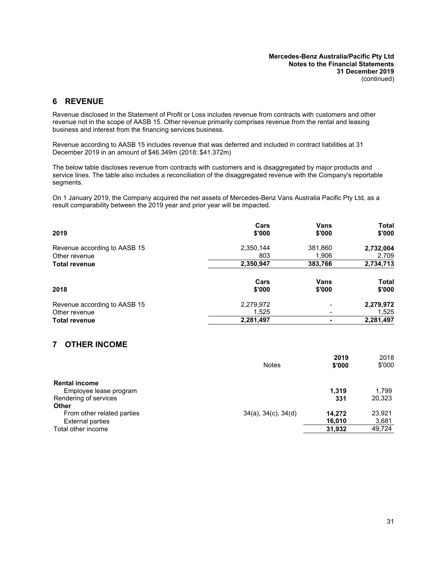# <span id="page-32-0"></span>**6 REVENUE**

Revenue disclosed in the Statement of Profit or Loss includes revenue from contracts with customers and other revenue not in the scope of AASB 15. Other revenue primarily comprises revenue from the rental and leasing business and interest from the financing services business.

Revenue according to AASB 15 includes revenue that was deferred and included in contract liabilities at 31 December 2019 in an amount of \$46.349m (2018: \$41.372m)

The below table discloses revenue from contracts with customers and is disaggregated by major products and service lines. The table also includes a reconciliation of the disaggregated revenue with the Company's reportable segments.

On 1 January 2019, the Company acquired the net assets of Mercedes-Benz Vans Australia Pacific Pty Ltd, as a result comparability between the 2019 year and prior year will be impacted.

| 2019                         | Cars<br>\$'000 | Vans<br>\$'000 | <b>Total</b><br>\$'000 |
|------------------------------|----------------|----------------|------------------------|
| Revenue according to AASB 15 | 2,350,144      | 381,860        | 2,732,004              |
| Other revenue                | 803            | 1,906          | 2,709                  |
| <b>Total revenue</b>         | 2,350,947      | 383,766        | 2,734,713              |
| 2018                         | Cars<br>\$'000 | Vans<br>\$'000 | <b>Total</b><br>\$'000 |
| Revenue according to AASB 15 | 2,279,972      |                | 2,279,972              |
| Other revenue                | 1,525          |                | 1,525                  |
| <b>Total revenue</b>         | 2,281,497      |                | 2,281,497              |

## <span id="page-32-1"></span>**7 OTHER INCOME**

|                                                       | <b>Notes</b>                | 2019<br>\$'000   | 2018<br>\$'000  |
|-------------------------------------------------------|-----------------------------|------------------|-----------------|
| <b>Rental income</b>                                  |                             |                  |                 |
| Employee lease program<br>Rendering of services       |                             | 1.319<br>331     | 1.799<br>20,323 |
| <b>Other</b>                                          |                             |                  |                 |
| From other related parties<br><b>External parties</b> | $34(a)$ , $34(c)$ , $34(d)$ | 14.272<br>16.010 | 23.921<br>3,681 |
| Total other income                                    |                             | 31,932           | 49,724          |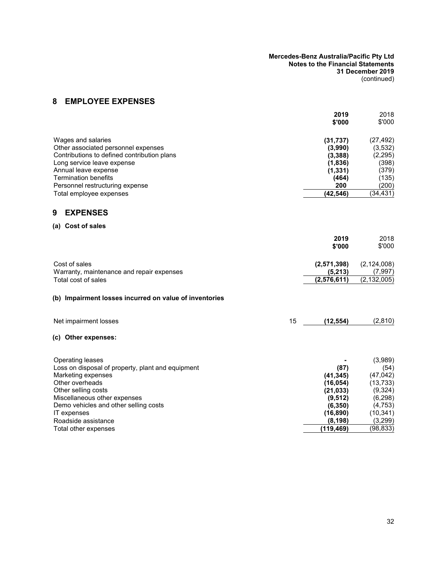# <span id="page-33-1"></span>**8 EMPLOYEE EXPENSES**

<span id="page-33-3"></span><span id="page-33-2"></span><span id="page-33-0"></span>

|                                                        |    | 2019<br>\$'000 | 2018<br>\$'000 |
|--------------------------------------------------------|----|----------------|----------------|
| Wages and salaries                                     |    | (31, 737)      | (27, 492)      |
| Other associated personnel expenses                    |    | (3,990)        | (3,532)        |
| Contributions to defined contribution plans            |    | (3, 388)       | (2, 295)       |
| Long service leave expense                             |    | (1,836)        | (398)          |
| Annual leave expense                                   |    | (1, 331)       | (379)          |
| <b>Termination benefits</b>                            |    | (464)          | (135)          |
| Personnel restructuring expense                        |    | 200            | (200)          |
| Total employee expenses                                |    | (42, 546)      | (34, 431)      |
| 9<br><b>EXPENSES</b>                                   |    |                |                |
| (a) Cost of sales                                      |    |                |                |
|                                                        |    | 2019           | 2018           |
|                                                        |    | \$'000         | \$'000         |
| Cost of sales                                          |    | (2,571,398)    | (2, 124, 008)  |
| Warranty, maintenance and repair expenses              |    | (5, 213)       | (7,997)        |
| Total cost of sales                                    |    | (2,576,611)    | (2, 132, 005)  |
| (b) Impairment losses incurred on value of inventories |    |                |                |
| Net impairment losses                                  | 15 | (12, 554)      | (2,810)        |
| (c) Other expenses:                                    |    |                |                |
| <b>Operating leases</b>                                |    |                | (3,989)        |
| Loss on disposal of property, plant and equipment      |    | (87)           | (54)           |
| Marketing expenses                                     |    | (41, 345)      | (47, 042)      |
| Other overheads                                        |    | (16, 054)      | (13, 733)      |
| Other selling costs                                    |    | (21, 033)      | (9, 324)       |
| Miscellaneous other expenses                           |    | (9, 512)       | (6, 298)       |
| Demo vehicles and other selling costs                  |    | (6, 350)       | (4, 753)       |
| IT expenses                                            |    | (16, 890)      | (10, 341)      |
| Roadside assistance                                    |    | (8, 198)       | (3, 299)       |
| Total other expenses                                   |    | (119, 469)     | (98, 833)      |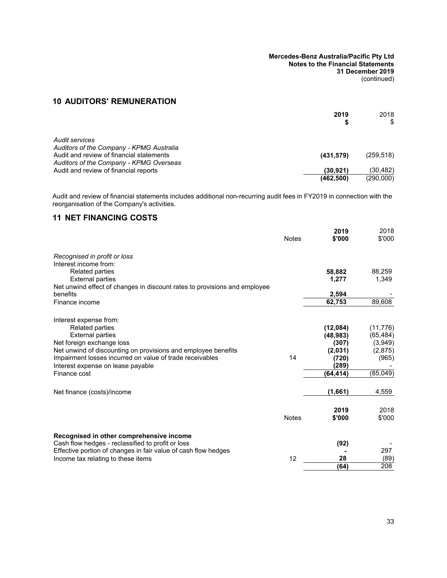# **10 AUDITORS' REMUNERATION**

|                                                                                     | 2019       | 2018       |
|-------------------------------------------------------------------------------------|------------|------------|
|                                                                                     |            | \$         |
| Audit services                                                                      |            |            |
| Auditors of the Company - KPMG Australia                                            |            |            |
| Audit and review of financial statements<br>Auditors of the Company - KPMG Overseas | (431, 579) | (259, 518) |
| Audit and review of financial reports                                               | (30, 921)  | (30,482)   |
|                                                                                     | (462, 500) | (290,000)  |

Audit and review of financial statements includes additional non-recurring audit fees in FY2019 in connection with the reorganisation of the Company's activities.

# <span id="page-34-0"></span>**11 NET FINANCING COSTS**

|                                                                           | <b>Notes</b> | 2019<br>\$'000 | 2018<br>\$'000 |
|---------------------------------------------------------------------------|--------------|----------------|----------------|
| Recognised in profit or loss                                              |              |                |                |
| Interest income from:                                                     |              |                |                |
| <b>Related parties</b>                                                    |              | 58,882         | 88,259         |
| <b>External parties</b>                                                   |              | 1,277          | 1,349          |
| Net unwind effect of changes in discount rates to provisions and employee |              |                |                |
| benefits                                                                  |              | 2,594          |                |
| Finance income                                                            |              | 62,753         | 89,608         |
| Interest expense from:                                                    |              |                |                |
| <b>Related parties</b>                                                    |              | (12,084)       | (11, 776)      |
| <b>External parties</b>                                                   |              | (48, 983)      | (65, 484)      |
| Net foreign exchange loss                                                 |              | (307)          | (3,949)        |
| Net unwind of discounting on provisions and employee benefits             |              | (2,031)        | (2,875)        |
| Impairment losses incurred on value of trade receivables                  | 14           | (720)          | (965)          |
| Interest expense on lease payable                                         |              | (289)          |                |
| Finance cost                                                              |              | (64.414)       | (85,049)       |
|                                                                           |              |                |                |
| Net finance (costs)/income                                                |              | (1,661)        | 4,559          |
|                                                                           |              |                | 2018           |
|                                                                           | <b>Notes</b> | 2019<br>\$'000 | \$'000         |
|                                                                           |              |                |                |
| Recognised in other comprehensive income                                  |              |                |                |
| Cash flow hedges - reclassified to profit or loss                         |              | (92)           |                |
| Effective portion of changes in fair value of cash flow hedges            |              |                | 297            |
| Income tax relating to these items                                        | 12           | 28             | (89)           |
|                                                                           |              | (64)           | 208            |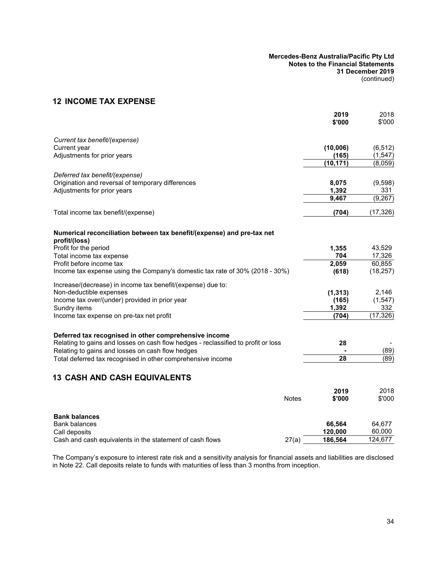# <span id="page-35-1"></span>**12 INCOME TAX EXPENSE**

|                                                                                         |              | 2019<br>\$'000 | 2018<br>\$'000 |
|-----------------------------------------------------------------------------------------|--------------|----------------|----------------|
| Current tax benefit/(expense)                                                           |              |                |                |
| Current year                                                                            |              | (10,006)       | (6, 512)       |
| Adjustments for prior years                                                             |              | (165)          | (1, 547)       |
|                                                                                         |              | (10, 171)      | (8,059)        |
| Deferred tax benefit/(expense)                                                          |              |                |                |
| Origination and reversal of temporary differences                                       |              | 8,075          | (9,598)        |
| Adjustments for prior years                                                             |              | 1,392          | 331            |
|                                                                                         |              | 9,467          | (9, 267)       |
| Total income tax benefit/(expense)                                                      |              | (704)          | (17, 326)      |
| Numerical reconciliation between tax benefit/(expense) and pre-tax net<br>profit/(loss) |              |                |                |
| Profit for the period                                                                   |              | 1,355          | 43,529         |
| Total income tax expense                                                                |              | 704            | 17,326         |
| Profit before income tax                                                                |              | 2,059          | 60,855         |
| Income tax expense using the Company's domestic tax rate of 30% (2018 - 30%)            |              | (618)          | (18, 257)      |
| Increase/(decrease) in income tax benefit/(expense) due to:                             |              |                |                |
| Non-deductible expenses                                                                 |              | (1, 313)       | 2,146          |
| Income tax over/(under) provided in prior year                                          |              | (165)          | (1, 547)       |
| Sundry items                                                                            |              | 1,392          | 332            |
| Income tax expense on pre-tax net profit                                                |              | (704)          | (17, 326)      |
| Deferred tax recognised in other comprehensive income                                   |              |                |                |
| Relating to gains and losses on cash flow hedges - reclassified to profit or loss       |              | 28             |                |
| Relating to gains and losses on cash flow hedges                                        |              |                | (89)           |
| Total deferred tax recognised in other comprehensive income                             |              | 28             | (89)           |
| <b>13 CASH AND CASH EQUIVALENTS</b>                                                     |              |                |                |
|                                                                                         |              | 2019           | 2018           |
|                                                                                         | <b>Notes</b> | \$'000         | \$'000         |
| <b>Bank balances</b>                                                                    |              |                |                |
| <b>Bank balances</b>                                                                    |              | 66,564         | 64,677         |
| Call deposits                                                                           |              | 120,000        | 60,000         |
| Cash and cash equivalents in the statement of cash flows                                | 27(a)        | 186,564        | 124,677        |

<span id="page-35-0"></span>The Company's exposure to interest rate risk and a sensitivity analysis for financial assets and liabilities are disclosed in Note [22](#page-44-2). Call deposits relate to funds with maturities of less than 3 months from inception.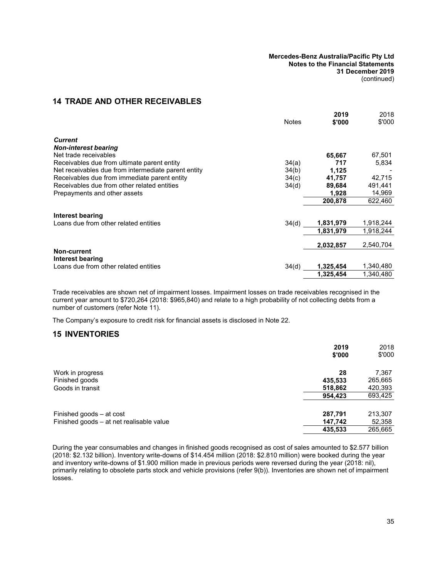# <span id="page-36-1"></span><span id="page-36-0"></span>**14 TRADE AND OTHER RECEIVABLES**

|                                                     | <b>Notes</b> | 2019<br>\$'000 | 2018<br>\$'000 |
|-----------------------------------------------------|--------------|----------------|----------------|
| <b>Current</b>                                      |              |                |                |
| <b>Non-interest bearing</b>                         |              |                |                |
| Net trade receivables                               |              | 65,667         | 67,501         |
| Receivables due from ultimate parent entity         | 34(a)        | 717            | 5,834          |
| Net receivables due from intermediate parent entity | 34(b)        | 1,125          |                |
| Receivables due from immediate parent entity        | 34(c)        | 41,757         | 42,715         |
| Receivables due from other related entities         | 34(d)        | 89,684         | 491,441        |
| Prepayments and other assets                        |              | 1,928          | 14,969         |
|                                                     |              | 200.878        | 622,460        |
| Interest bearing                                    |              |                |                |
| Loans due from other related entities               | 34(d)        | 1,831,979      | 1,918,244      |
|                                                     |              | 1.831.979      | 1,918,244      |
|                                                     |              | 2,032,857      | 2.540.704      |
| Non-current<br>Interest bearing                     |              |                |                |
| Loans due from other related entities               | 34(d)        | 1,325,454      | 1,340,480      |
|                                                     |              | 1.325.454      | 1,340,480      |

Trade receivables are shown net of impairment losses. Impairment losses on trade receivables recognised in the current year amount to \$720,264 (2018: \$965,840) and relate to a high probability of not collecting debts from a number of customers (refer Note [11\)](#page-34-0).

The Company's exposure to credit risk for financial assets is disclosed in Note [22](#page-44-0).

### **15 INVENTORIES**

|                                          | 2019<br>\$'000 | 2018<br>\$'000 |
|------------------------------------------|----------------|----------------|
| Work in progress                         | 28             | 7,367          |
| Finished goods                           | 435,533        | 265,665        |
| Goods in transit                         | 518,862        | 420,393        |
|                                          | 954,423        | 693,425        |
| Finished goods - at cost                 | 287,791        | 213,307        |
| Finished goods – at net realisable value | 147,742        | 52,358         |
|                                          | 435,533        | 265,665        |

During the year consumables and changes in finished goods recognised as cost of sales amounted to \$2.577 billion (2018: \$2.132 billion). Inventory write-downs of \$14.454 million (2018: \$2.810 million) were booked during the year and inventory write-downs of \$1.900 million made in previous periods were reversed during the year (2018: nil), primarily relating to obsolete parts stock and vehicle provisions (refer [9\(b\)\)](#page-33-0). Inventories are shown net of impairment losses.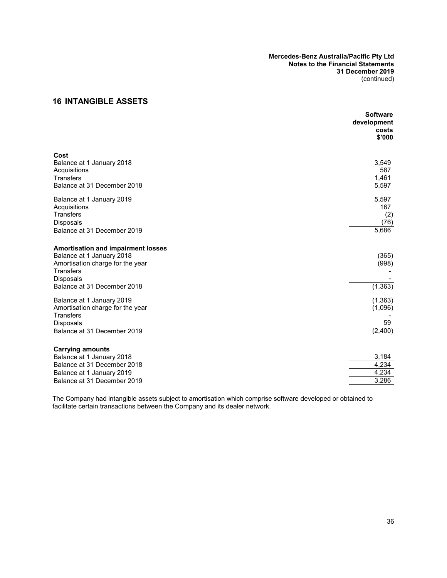# **16 INTANGIBLE ASSETS**

|                                           | <b>Software</b><br>development<br>costs |
|-------------------------------------------|-----------------------------------------|
|                                           | \$'000                                  |
| Cost                                      |                                         |
| Balance at 1 January 2018                 | 3,549                                   |
| Acquisitions<br><b>Transfers</b>          | 587<br>1,461                            |
| Balance at 31 December 2018               | 5,597                                   |
| Balance at 1 January 2019                 | 5,597                                   |
| Acquisitions                              | 167                                     |
| <b>Transfers</b><br><b>Disposals</b>      | (2)<br>(76)                             |
| Balance at 31 December 2019               | 5,686                                   |
| <b>Amortisation and impairment losses</b> |                                         |
| Balance at 1 January 2018                 | (365)                                   |
| Amortisation charge for the year          | (998)                                   |
| <b>Transfers</b><br><b>Disposals</b>      |                                         |
| Balance at 31 December 2018               | (1, 363)                                |
| Balance at 1 January 2019                 | (1, 363)                                |
| Amortisation charge for the year          | (1,096)                                 |
| <b>Transfers</b><br><b>Disposals</b>      | 59                                      |
| Balance at 31 December 2019               | (2,400)                                 |
| <b>Carrying amounts</b>                   |                                         |
| Balance at 1 January 2018                 | 3,184                                   |
| Balance at 31 December 2018               | 4,234                                   |
| Balance at 1 January 2019                 | 4,234                                   |
| Balance at 31 December 2019               | 3,286                                   |

The Company had intangible assets subject to amortisation which comprise software developed or obtained to facilitate certain transactions between the Company and its dealer network.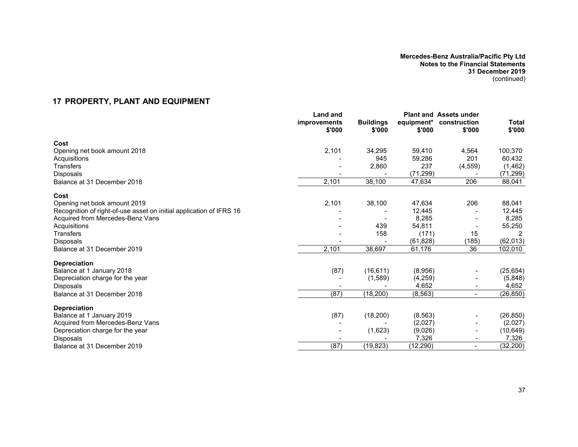# **17 PROPERTY, PLANT AND EQUIPMENT**

<span id="page-38-0"></span>

|                                                                     | <b>Land and</b><br>improvements<br>\$'000 | <b>Buildings</b><br>\$'000 | equipment*<br>\$'000 | <b>Plant and Assets under</b><br>construction<br>\$'000 | <b>Total</b><br>\$'000 |
|---------------------------------------------------------------------|-------------------------------------------|----------------------------|----------------------|---------------------------------------------------------|------------------------|
| Cost                                                                |                                           |                            |                      |                                                         |                        |
| Opening net book amount 2018                                        | 2,101                                     | 34,295                     | 59,410               | 4,564                                                   | 100,370                |
| Acquisitions                                                        |                                           | 945                        | 59,286               | 201                                                     | 60,432                 |
| <b>Transfers</b>                                                    |                                           | 2,860                      | 237                  | (4, 559)                                                | (1, 462)               |
| <b>Disposals</b>                                                    |                                           |                            | (71, 299)            |                                                         | (71, 299)              |
| Balance at 31 December 2018                                         | 2,101                                     | 38,100                     | 47,634               | 206                                                     | 88,041                 |
| Cost                                                                |                                           |                            |                      |                                                         |                        |
| Opening net book amount 2019                                        | 2,101                                     | 38,100                     | 47,634               | 206                                                     | 88,041                 |
| Recognition of right-of-use asset on initial application of IFRS 16 |                                           |                            | 12,445               |                                                         | 12,445                 |
| Acquired from Mercedes-Benz Vans                                    |                                           |                            | 8,285                |                                                         | 8,285                  |
| Acquisitions                                                        |                                           | 439                        | 54,811               |                                                         | 55,250                 |
| <b>Transfers</b>                                                    |                                           | 158                        | (171)                | 15                                                      |                        |
| <b>Disposals</b>                                                    |                                           |                            | (61, 828)            | (185)                                                   | (62, 013)              |
| Balance at 31 December 2019                                         | 2,101                                     | 38,697                     | 61,176               | 36                                                      | 102,010                |
| <b>Depreciation</b>                                                 |                                           |                            |                      |                                                         |                        |
| Balance at 1 January 2018                                           | (87)                                      | (16, 611)                  | (8,956)              |                                                         | (25, 654)              |
| Depreciation charge for the year                                    |                                           | (1,589)                    | (4,259)              |                                                         | (5,848)                |
| Disposals                                                           |                                           |                            | 4,652                |                                                         | 4,652                  |
| Balance at 31 December 2018                                         | (87)                                      | (18, 200)                  | (8, 563)             | $\blacksquare$                                          | (26, 850)              |
| <b>Depreciation</b>                                                 |                                           |                            |                      |                                                         |                        |
| Balance at 1 January 2019                                           | (87)                                      | (18, 200)                  | (8, 563)             |                                                         | (26, 850)              |
| Acquired from Mercedes-Benz Vans                                    |                                           |                            | (2,027)              |                                                         | (2,027)                |
| Depreciation charge for the year                                    |                                           | (1,623)                    | (9,026)              |                                                         | (10, 649)              |
| <b>Disposals</b>                                                    |                                           |                            | 7,326                |                                                         | 7,326                  |
| Balance at 31 December 2019                                         | (87)                                      | (19, 823)                  | (12, 290)            | $\blacksquare$                                          | (32, 200)              |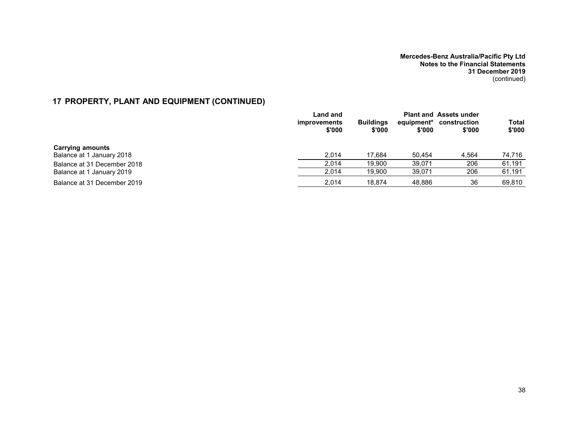# **17 PROPERTY, PLANT AND EQUIPMENT (CONTINUED)**

|                             | Land and               |                            |                      | <b>Plant and Assets under</b> |                        |
|-----------------------------|------------------------|----------------------------|----------------------|-------------------------------|------------------------|
|                             | improvements<br>\$'000 | <b>Buildings</b><br>\$'000 | equipment*<br>\$'000 | construction<br>\$'000        | <b>Total</b><br>\$'000 |
| <b>Carrying amounts</b>     |                        |                            |                      |                               |                        |
| Balance at 1 January 2018   | 2.014                  | 17.684                     | 50.454               | 4.564                         | 74,716                 |
| Balance at 31 December 2018 | 2.014                  | 19.900                     | 39.071               | 206                           | 61,191                 |
| Balance at 1 January 2019   | 2.014                  | 19.900                     | 39.071               | 206                           | 61,191                 |
| Balance at 31 December 2019 | 2.014                  | 18.874                     | 48.886               | 36                            | 69.810                 |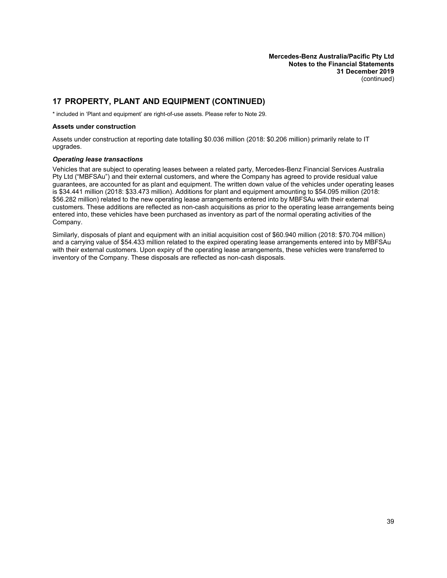# <span id="page-40-0"></span>**17 PROPERTY, PLANT AND EQUIPMENT (CONTINUED)**

\* included in 'Plant and equipment' are right-of-use assets. Please refer to Note 29.

#### **Assets under construction**

Assets under construction at reporting date totalling \$0.036 million (2018: \$0.206 million) primarily relate to IT upgrades.

#### *Operating lease transactions*

Vehicles that are subject to operating leases between a related party, Mercedes-Benz Financial Services Australia Pty Ltd ("MBFSAu") and their external customers, and where the Company has agreed to provide residual value guarantees, are accounted for as plant and equipment. The written down value of the vehicles under operating leases is \$34.441 million (2018: \$33.473 million). Additions for plant and equipment amounting to \$54.095 million (2018: \$56.282 million) related to the new operating lease arrangements entered into by MBFSAu with their external customers. These additions are reflected as non-cash acquisitions as prior to the operating lease arrangements being entered into, these vehicles have been purchased as inventory as part of the normal operating activities of the Company.

Similarly, disposals of plant and equipment with an initial acquisition cost of \$60.940 million (2018: \$70.704 million) and a carrying value of \$54.433 million related to the expired operating lease arrangements entered into by MBFSAu with their external customers. Upon expiry of the operating lease arrangements, these vehicles were transferred to inventory of the Company. These disposals are reflected as non-cash disposals.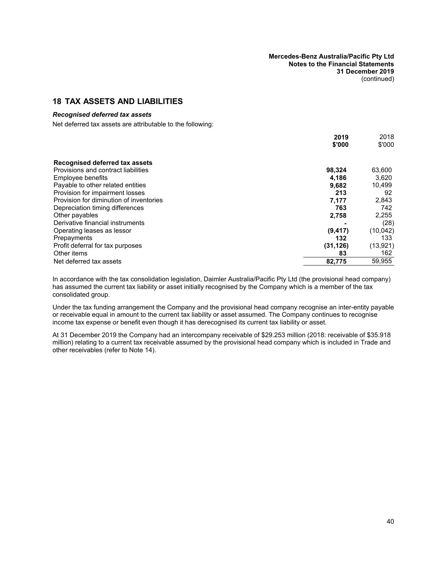## **18 TAX ASSETS AND LIABILITIES**

#### *Recognised deferred tax assets*

Net deferred tax assets are attributable to the following:

|                                         | 2019      | 2018      |
|-----------------------------------------|-----------|-----------|
|                                         | \$'000    | \$'000    |
| Recognised deferred tax assets          |           |           |
| Provisions and contract liabilities     | 98,324    | 63,600    |
| Employee benefits                       | 4,186     | 3,620     |
| Payable to other related entities       | 9.682     | 10.499    |
| Provision for impairment losses         | 213       | 92        |
| Provision for diminution of inventories | 7,177     | 2,843     |
| Depreciation timing differences         | 763       | 742       |
| Other payables                          | 2,758     | 2,255     |
| Derivative financial instruments        |           | (28)      |
| Operating leases as lessor              | (9, 417)  | (10, 042) |
| Prepayments                             | 132       | 133       |
| Profit deferral for tax purposes        | (31, 126) | (13, 921) |
| Other items                             | 83        | 162       |
| Net deferred tax assets                 | 82,775    | 59.955    |

In accordance with the tax consolidation legislation, Daimler Australia/Pacific Pty Ltd (the provisional head company) has assumed the current tax liability or asset initially recognised by the Company which is a member of the tax consolidated group.

Under the tax funding arrangement the Company and the provisional head company recognise an inter-entity payable or receivable equal in amount to the current tax liability or asset assumed. The Company continues to recognise income tax expense or benefit even though it has derecognised its current tax liability or asset.

At 31 December 2019 the Company had an intercompany receivable of \$29.253 million (2018: receivable of \$35.918 million) relating to a current tax receivable assumed by the provisional head company which is included in Trade and other receivables (refer to Note [14\)](#page-36-0).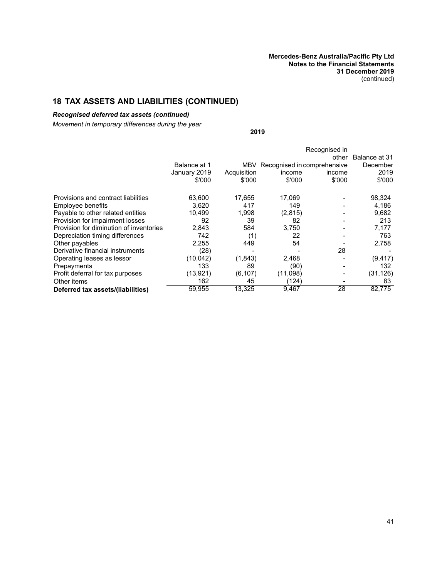# **18 TAX ASSETS AND LIABILITIES (CONTINUED)**

## *Recognised deferred tax assets (continued)*

*Movement in temporary differences during the year*

**2019**

|                                         |              |             |                                 | Recognised in |                           |
|-----------------------------------------|--------------|-------------|---------------------------------|---------------|---------------------------|
|                                         | Balance at 1 |             | MBV Recognised in comprehensive | other         | Balance at 31<br>December |
|                                         | January 2019 | Acquisition | income                          | income        | 2019                      |
|                                         | \$'000       | \$'000      | \$'000                          | \$'000        | \$'000                    |
| Provisions and contract liabilities     | 63,600       | 17.655      | 17.069                          |               | 98,324                    |
| Employee benefits                       | 3.620        | 417         | 149                             |               | 4,186                     |
| Payable to other related entities       | 10.499       | 1.998       | (2,815)                         |               | 9,682                     |
| Provision for impairment losses         | 92           | 39          | 82                              |               | 213                       |
| Provision for diminution of inventories | 2,843        | 584         | 3,750                           |               | 7,177                     |
| Depreciation timing differences         | 742          | (1)         | 22                              |               | 763                       |
| Other payables                          | 2,255        | 449         | 54                              |               | 2,758                     |
| Derivative financial instruments        | (28)         |             |                                 | 28            |                           |
| Operating leases as lessor              | (10,042)     | (1,843)     | 2,468                           |               | (9, 417)                  |
| Prepayments                             | 133          | 89          | (90)                            |               | 132                       |
| Profit deferral for tax purposes        | (13,921)     | (6, 107)    | (11,098)                        |               | (31, 126)                 |
| Other items                             | 162          | 45          | (124)                           |               | 83                        |
| Deferred tax assets/(liabilities)       | 59,955       | 13,325      | 9,467                           | 28            | 82,775                    |
|                                         |              |             |                                 |               |                           |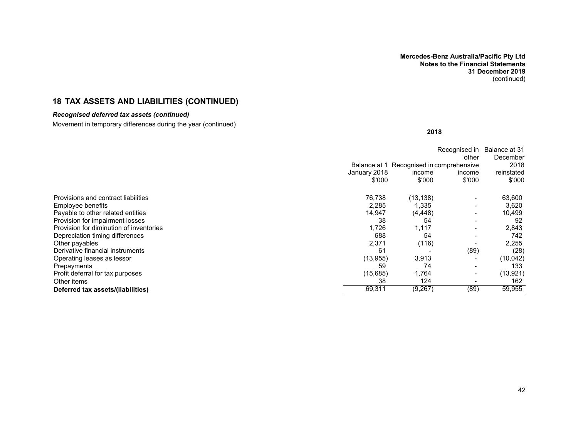# **18 TAX ASSETS AND LIABILITIES (CONTINUED)**

### *Recognised deferred tax assets (continued)*

Movement in temporary differences during the year (continued)

**2018**

|                                         |              |                                          | Recognised in | Balance at 31 |
|-----------------------------------------|--------------|------------------------------------------|---------------|---------------|
|                                         |              |                                          | other         | December      |
|                                         |              | Balance at 1 Recognised in comprehensive |               | 2018          |
|                                         | January 2018 | income                                   | income        | reinstated    |
|                                         | \$'000       | \$'000                                   | \$'000        | \$'000        |
| Provisions and contract liabilities     | 76,738       | (13, 138)                                |               | 63,600        |
| Employee benefits                       | 2,285        | 1,335                                    |               | 3,620         |
| Payable to other related entities       | 14,947       | (4, 448)                                 |               | 10,499        |
| Provision for impairment losses         | 38           | 54                                       |               | 92            |
| Provision for diminution of inventories | 1,726        | 1,117                                    |               | 2,843         |
| Depreciation timing differences         | 688          | 54                                       |               | 742           |
| Other payables                          | 2,371        | (116)                                    |               | 2,255         |
| Derivative financial instruments        | 61           |                                          | (89)          | (28)          |
| Operating leases as lessor              | (13, 955)    | 3,913                                    |               | (10, 042)     |
| Prepayments                             | 59           | 74                                       |               | 133           |
| Profit deferral for tax purposes        | (15,685)     | 1,764                                    |               | (13, 921)     |
| Other items                             | 38           | 124                                      |               | 162           |
| Deferred tax assets/(liabilities)       | 69,311       | (9,267)                                  | (89)          | 59,955        |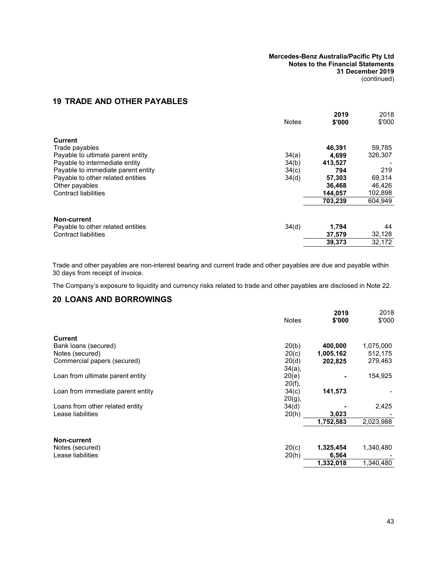# <span id="page-44-4"></span><span id="page-44-2"></span><span id="page-44-0"></span>**19 TRADE AND OTHER PAYABLES**

<span id="page-44-1"></span>

|                                    | <b>Notes</b> | 2019<br>\$'000 | 2018<br>\$'000 |
|------------------------------------|--------------|----------------|----------------|
| Current                            |              |                |                |
| Trade payables                     |              | 46,391         | 59,785         |
| Payable to ultimate parent entity  | 34(a)        | 4.699          | 326,307        |
| Payable to intermediate entity     | 34(b)        | 413.527        |                |
| Payable to immediate parent entity | 34(c)        | 794            | 219            |
| Payable to other related entities  | 34(d)        | 57.303         | 69,314         |
| Other payables                     |              | 36,468         | 46,426         |
| <b>Contract liabilities</b>        |              | 144.057        | 102,898        |
|                                    |              | 703.239        | 604,949        |
| Non-current                        |              |                |                |
| Payable to other related entities  | 34(d)        | 1,794          | 44             |
| Contract liabilities               |              | 37,579         | 32,128         |
|                                    |              | 39.373         | 32.172         |
|                                    |              |                |                |

Trade and other payables are non-interest bearing and current trade and other payables are due and payable within 30 days from receipt of invoice.

<span id="page-44-3"></span>The Company's exposure to liquidity and currency risks related to trade and other payables are disclosed in Note [22.](#page-44-0)

# **20 LOANS AND BORROWINGS**

|                                   | <b>Notes</b> | 2019<br>\$'000 | 2018<br>\$'000 |
|-----------------------------------|--------------|----------------|----------------|
| <b>Current</b>                    |              |                |                |
| Bank loans (secured)              | 20(b)        | 400,000        | 1,075,000      |
| Notes (secured)                   | 20(c)        | 1,005,162      | 512,175        |
| Commercial papers (secured)       | 20(d)        | 202,825        | 279,463        |
|                                   | $34(a)$ ,    |                |                |
| Loan from ultimate parent entity  | 20(e)        |                | 154,925        |
|                                   | 20(f),       |                |                |
| Loan from immediate parent entity | 34(c)        | 141,573        |                |
|                                   | $20(g)$ ,    |                |                |
| Loans from other related entity   | 34(d)        |                | 2,425          |
| Lease liabilities                 | 20(h)        | 3,023          |                |
|                                   |              | 1,752,583      | 2,023,988      |
| <b>Non-current</b>                |              |                |                |
| Notes (secured)                   | 20(c)        | 1,325,454      | 1,340,480      |
| Lease liabilities                 | 20(h)        | 6,564          |                |
|                                   |              | 1,332,018      | 1,340,480      |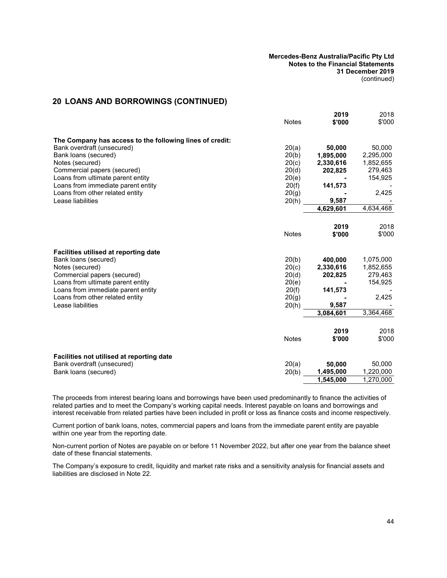## **20 LOANS AND BORROWINGS (CONTINUED)**

|                                                          | <b>Notes</b> | 2019<br>\$'000      | 2018<br>\$'000 |
|----------------------------------------------------------|--------------|---------------------|----------------|
| The Company has access to the following lines of credit: |              |                     |                |
| Bank overdraft (unsecured)                               | 20(a)        | 50,000              | 50,000         |
| Bank loans (secured)                                     | 20(b)        | 1,895,000           | 2,295,000      |
| Notes (secured)                                          | 20(c)        | 2,330,616           | 1,852,655      |
| Commercial papers (secured)                              | 20(d)        | 202,825             | 279,463        |
| Loans from ultimate parent entity                        | 20(e)        |                     | 154,925        |
| Loans from immediate parent entity                       | 20(f)        | 141,573             |                |
| Loans from other related entity                          | 20(g)        |                     | 2,425          |
| Lease liabilities                                        | 20(h)        | 9,587               |                |
|                                                          |              | 4,629,601           | 4,634,468      |
|                                                          |              |                     |                |
|                                                          |              | 2019                | 2018           |
|                                                          | <b>Notes</b> | \$'000              | \$'000         |
| Facilities utilised at reporting date                    |              |                     |                |
| Bank loans (secured)                                     | 20(b)        | 400,000             | 1,075,000      |
| Notes (secured)                                          | 20(c)        | 2,330,616           | 1,852,655      |
| Commercial papers (secured)                              | 20(d)        | 202,825             | 279,463        |
| Loans from ultimate parent entity                        | 20(e)        |                     | 154,925        |
| Loans from immediate parent entity                       | 20(f)        | 141,573             |                |
| Loans from other related entity                          | 20(g)        |                     | 2,425          |
| Lease liabilities                                        | 20(h)        | 9,587               |                |
|                                                          |              | 3,084,601           | 3,364,468      |
|                                                          |              |                     |                |
|                                                          |              | 2019                | 2018           |
|                                                          | <b>Notes</b> | \$'000              | \$'000         |
|                                                          |              |                     |                |
| Facilities not utilised at reporting date                |              |                     | 50,000         |
| Bank overdraft (unsecured)                               | 20(a)        | 50,000<br>1,495,000 | 1,220,000      |
| Bank loans (secured)                                     | 20(b)        | 1,545,000           |                |
|                                                          |              |                     | 1,270,000      |

The proceeds from interest bearing loans and borrowings have been used predominantly to finance the activities of related parties and to meet the Company's working capital needs. Interest payable on loans and borrowings and interest receivable from related parties have been included in profit or loss as finance costs and income respectively.

Current portion of bank loans, notes, commercial papers and loans from the immediate parent entity are payable within one year from the reporting date.

Non-current portion of Notes are payable on or before 11 November 2022, but after one year from the balance sheet date of these financial statements.

The Company's exposure to credit, liquidity and market rate risks and a sensitivity analysis for financial assets and liabilities are disclosed in Note [22](#page-44-0).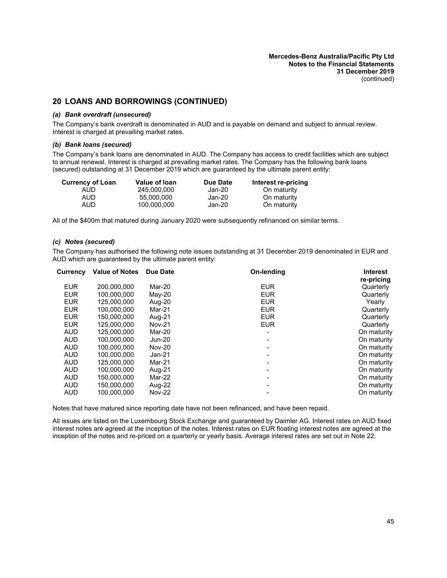## <span id="page-46-2"></span>**20 LOANS AND BORROWINGS (CONTINUED)**

#### *(a) Bank overdraft (unsecured)*

<span id="page-46-0"></span>The Company's bank overdraft is denominated in AUD and is payable on demand and subject to annual review. Interest is charged at prevailing market rates.

#### *(b) Bank loans (secured)*

The Company's bank loans are denominated in AUD. The Company has access to credit facilities which are subject to annual renewal. Interest is charged at prevailing market rates. The Company has the following bank loans (secured) outstanding at 31 December 2019 which are guaranteed by the ultimate parent entity:

| Currency of Loan | Value of Ioan | Due Date | Interest re-pricing |
|------------------|---------------|----------|---------------------|
| AUD              | 245.000.000   | Jan-20   | On maturity         |
| <b>AUD</b>       | 55.000.000    | Jan-20   | On maturity         |
| AUD              | 100.000.000   | Jan-20   | On maturity         |

<span id="page-46-1"></span>All of the \$400m that matured during January 2020 were subsequently refinanced on similar terms.

#### *(c) Notes (secured)*

The Company has authorised the following note issues outstanding at 31 December 2019 denominated in EUR and AUD which are guaranteed by the ultimate parent entity:

| Currency   | <b>Value of Notes</b> | Due Date      | On-lending | <b>Interest</b> |
|------------|-----------------------|---------------|------------|-----------------|
|            |                       |               |            | re-pricing      |
| <b>EUR</b> | 200.000.000           | Mar-20        | <b>EUR</b> | Quarterly       |
| <b>EUR</b> | 100,000,000           | May-20        | <b>EUR</b> | Quarterly       |
| <b>EUR</b> | 125.000.000           | Aug-20        | <b>EUR</b> | Yearly          |
| <b>EUR</b> | 100,000,000           | Mar-21        | <b>EUR</b> | Quarterly       |
| <b>EUR</b> | 150.000.000           | Aug-21        | <b>EUR</b> | Quarterly       |
| <b>EUR</b> | 125.000.000           | <b>Nov-21</b> | <b>EUR</b> | Quarterly       |
| <b>AUD</b> | 125.000.000           | Mar-20        |            | On maturity     |
| <b>AUD</b> | 100.000.000           | Jun-20        |            | On maturity     |
| <b>AUD</b> | 100,000,000           | <b>Nov-20</b> |            | On maturity     |
| <b>AUD</b> | 100.000.000           | Jan-21        |            | On maturity     |
| <b>AUD</b> | 125.000.000           | Mar-21        |            | On maturity     |
| <b>AUD</b> | 100,000,000           | Aug-21        |            | On maturity     |
| <b>AUD</b> | 150.000.000           | Mar-22        |            | On maturity     |
| <b>AUD</b> | 150,000,000           | Aug-22        |            | On maturity     |
| <b>AUD</b> | 100.000.000           | <b>Nov-22</b> |            | On maturity     |
|            |                       |               |            |                 |

Notes that have matured since reporting date have not been refinanced, and have been repaid.

All issues are listed on the Luxembourg Stock Exchange and guaranteed by Daimler AG. Interest rates on AUD fixed interest notes are agreed at the inception of the notes. Interest rates on EUR floating interest notes are agreed at the inception of the notes and re-priced on a quarterly or yearly basis. Average interest rates are set out in Note [22.](#page-44-0)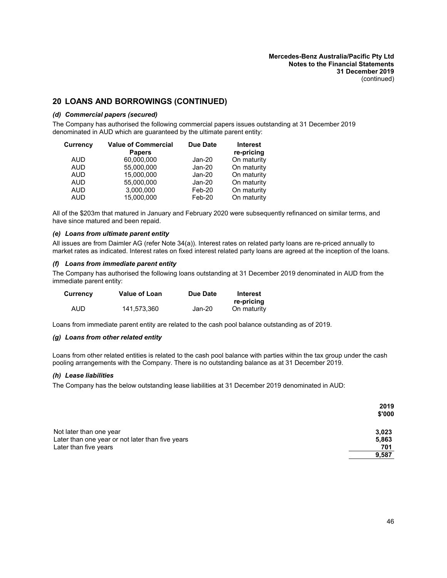# <span id="page-47-0"></span>**20 LOANS AND BORROWINGS (CONTINUED)**

#### *(d) Commercial papers (secured)*

The Company has authorised the following commercial papers issues outstanding at 31 December 2019 denominated in AUD which are guaranteed by the ultimate parent entity:

| Currencv   | <b>Value of Commercial</b><br><b>Papers</b> | Due Date | <b>Interest</b><br>re-pricing |
|------------|---------------------------------------------|----------|-------------------------------|
| <b>AUD</b> | 60,000,000                                  | $Jan-20$ | On maturity                   |
| <b>AUD</b> | 55,000,000                                  | $Jan-20$ | On maturity                   |
| <b>AUD</b> | 15,000,000                                  | Jan-20   | On maturity                   |
| <b>AUD</b> | 55.000.000                                  | $Jan-20$ | On maturity                   |
| <b>AUD</b> | 3,000,000                                   | Feb-20   | On maturity                   |
| <b>AUD</b> | 15,000,000                                  | Feb-20   | On maturity                   |

<span id="page-47-1"></span>All of the \$203m that matured in January and February 2020 were subsequently refinanced on similar terms, and have since matured and been repaid.

#### *(e) Loans from ultimate parent entity*

<span id="page-47-2"></span>All issues are from Daimler AG (refer Note [34\(a\)\)](#page-69-0). Interest rates on related party loans are re-priced annually to market rates as indicated. Interest rates on fixed interest related party loans are agreed at the inception of the loans.

#### *(f) Loans from immediate parent entity*

The Company has authorised the following loans outstanding at 31 December 2019 denominated in AUD from the immediate parent entity:

| <b>Currency</b> | <b>Value of Loan</b> | Due Date | Interest<br>re-pricing |
|-----------------|----------------------|----------|------------------------|
| AUD             | 141.573.360          | Jan-20   | On maturity            |

<span id="page-47-3"></span>Loans from immediate parent entity are related to the cash pool balance outstanding as of 2019.

#### *(g) Loans from other related entity*

<span id="page-47-4"></span>Loans from other related entities is related to the cash pool balance with parties within the tax group under the cash pooling arrangements with the Company. There is no outstanding balance as at 31 December 2019.

#### *(h) Lease liabilities*

The Company has the below outstanding lease liabilities at 31 December 2019 denominated in AUD:

|                                                  | 2019   |
|--------------------------------------------------|--------|
|                                                  | \$'000 |
| Not later than one year                          | 3,023  |
| Later than one year or not later than five years | 5,863  |
| Later than five years                            | 701    |
|                                                  | 9,587  |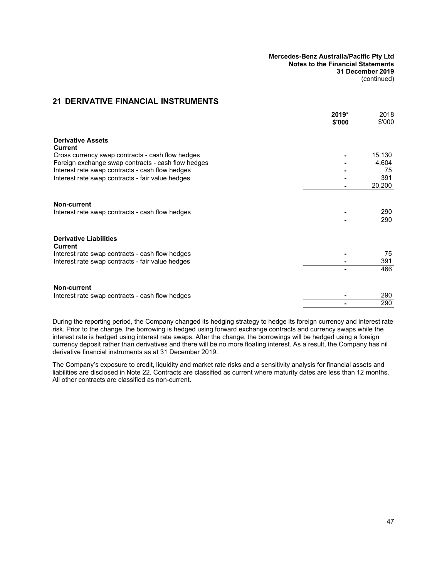## <span id="page-48-0"></span>**21 DERIVATIVE FINANCIAL INSTRUMENTS**

|                                                    | $2019*$<br>\$'000 | 2018<br>\$'000 |
|----------------------------------------------------|-------------------|----------------|
| <b>Derivative Assets</b><br><b>Current</b>         |                   |                |
| Cross currency swap contracts - cash flow hedges   |                   | 15,130         |
| Foreign exchange swap contracts - cash flow hedges |                   | 4,604          |
| Interest rate swap contracts - cash flow hedges    |                   | 75             |
| Interest rate swap contracts - fair value hedges   |                   | 391            |
|                                                    |                   | 20,200         |
| <b>Non-current</b>                                 |                   | 290            |
| Interest rate swap contracts - cash flow hedges    |                   | 290            |
|                                                    |                   |                |
| <b>Derivative Liabilities</b><br>Current           |                   |                |
| Interest rate swap contracts - cash flow hedges    |                   | 75             |
| Interest rate swap contracts - fair value hedges   |                   | 391            |
|                                                    |                   | 466            |
| Non-current                                        |                   |                |
| Interest rate swap contracts - cash flow hedges    |                   | 290            |
|                                                    |                   | 290            |
|                                                    |                   |                |

During the reporting period, the Company changed its hedging strategy to hedge its foreign currency and interest rate risk. Prior to the change, the borrowing is hedged using forward exchange contracts and currency swaps while the interest rate is hedged using interest rate swaps. After the change, the borrowings will be hedged using a foreign currency deposit rather than derivatives and there will be no more floating interest. As a result, the Company has nil derivative financial instruments as at 31 December 2019.

The Company's exposure to credit, liquidity and market rate risks and a sensitivity analysis for financial assets and liabilities are disclosed in Note [22](#page-44-0). Contracts are classified as current where maturity dates are less than 12 months. All other contracts are classified as non-current.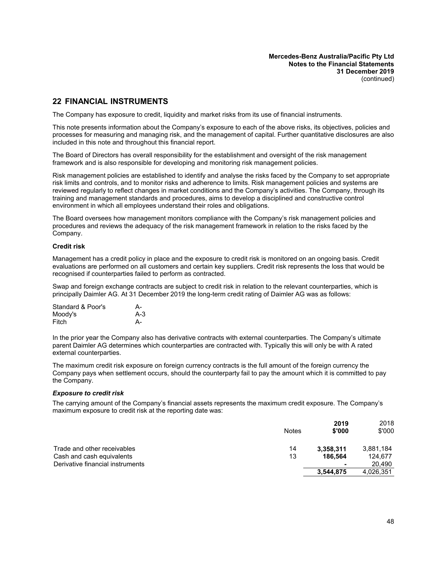### **22 FINANCIAL INSTRUMENTS**

The Company has exposure to credit, liquidity and market risks from its use of financial instruments.

This note presents information about the Company's exposure to each of the above risks, its objectives, policies and processes for measuring and managing risk, and the management of capital. Further quantitative disclosures are also included in this note and throughout this financial report.

The Board of Directors has overall responsibility for the establishment and oversight of the risk management framework and is also responsible for developing and monitoring risk management policies.

Risk management policies are established to identify and analyse the risks faced by the Company to set appropriate risk limits and controls, and to monitor risks and adherence to limits. Risk management policies and systems are reviewed regularly to reflect changes in market conditions and the Company's activities. The Company, through its training and management standards and procedures, aims to develop a disciplined and constructive control environment in which all employees understand their roles and obligations.

The Board oversees how management monitors compliance with the Company's risk management policies and procedures and reviews the adequacy of the risk management framework in relation to the risks faced by the Company.

#### **Credit risk**

Management has a credit policy in place and the exposure to credit risk is monitored on an ongoing basis. Credit evaluations are performed on all customers and certain key suppliers. Credit risk represents the loss that would be recognised if counterparties failed to perform as contracted.

Swap and foreign exchange contracts are subject to credit risk in relation to the relevant counterparties, which is principally Daimler AG. At 31 December 2019 the long-term credit rating of Daimler AG was as follows:

| Standard & Poor's | А-    |
|-------------------|-------|
| Moody's           | $A-3$ |
| Fitch             | А-    |

In the prior year the Company also has derivative contracts with external counterparties. The Company's ultimate parent Daimler AG determines which counterparties are contracted with. Typically this will only be with A rated external counterparties.

The maximum credit risk exposure on foreign currency contracts is the full amount of the foreign currency the Company pays when settlement occurs, should the counterparty fail to pay the amount which it is committed to pay the Company.

#### *Exposure to credit risk*

The carrying amount of the Company's financial assets represents the maximum credit exposure. The Company's maximum exposure to credit risk at the reporting date was:

|                                  | Notes | 2019<br>\$'000 | 2018<br>\$'000 |
|----------------------------------|-------|----------------|----------------|
| Trade and other receivables      | 14    | 3,358,311      | 3,881,184      |
| Cash and cash equivalents        | 13    | 186.564        | 124,677        |
| Derivative financial instruments |       |                | 20.490         |
|                                  |       | 3,544,875      | 4,026,351      |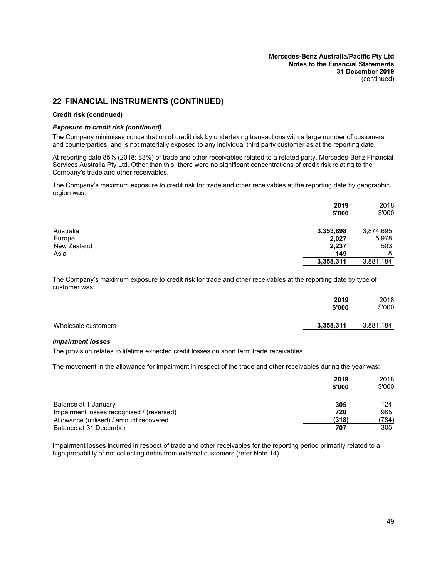## **22 FINANCIAL INSTRUMENTS (CONTINUED)**

#### **Credit risk (continued)**

#### *Exposure to credit risk (continued)*

The Company minimises concentration of credit risk by undertaking transactions with a large number of customers and counterparties, and is not materially exposed to any individual third party customer as at the reporting date.

At reporting date 85% (2018: 83%) of trade and other receivables related to a related party, Mercedes-Benz Financial Services Australia Pty Ltd. Other than this, there were no significant concentrations of credit risk relating to the Company's trade and other receivables.

The Company's maximum exposure to credit risk for trade and other receivables at the reporting date by geographic region was:

|             | 2019<br>\$'000 | 2018<br>\$'000 |
|-------------|----------------|----------------|
| Australia   | 3,353,898      | 3,874,695      |
| Europe      | 2,027          | 5,978          |
| New Zealand | 2,237          | 503            |
| Asia        | 149            | 8              |
|             | 3,358,311      | 3,881,184      |

The Company's maximum exposure to credit risk for trade and other receivables at the reporting date by type of customer was:

|                     | 2019<br>\$'000 | 2018<br>\$'000 |
|---------------------|----------------|----------------|
| Wholesale customers | 3,358,311      | 3,881,184      |

#### *Impairment losses*

The provision relates to lifetime expected credit losses on short term trade receivables.

The movement in the allowance for impairment in respect of the trade and other receivables during the year was:

|                                           | 2019<br>\$'000 | 2018<br>\$'000 |
|-------------------------------------------|----------------|----------------|
| Balance at 1 January                      | 305            | 124            |
| Impairment losses recognised / (reversed) | 720            | 965            |
| Allowance (utilised) / amount recovered   | (318)          | (784)          |
| Balance at 31 December                    | 707            | 305            |

Impairment losses incurred in respect of trade and other receivables for the reporting period primarily related to a high probability of not collecting debts from external customers (refer Note [14](#page-36-0)).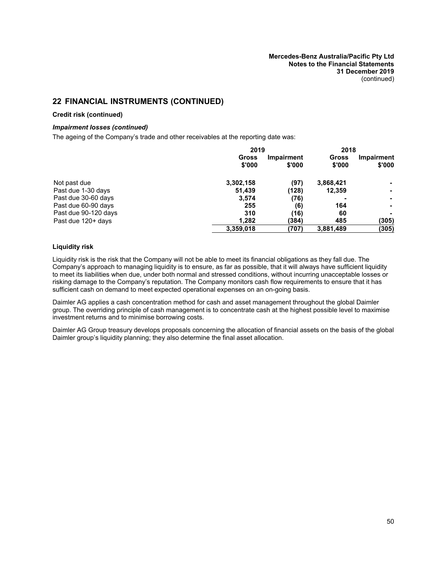# **22 FINANCIAL INSTRUMENTS (CONTINUED)**

#### **Credit risk (continued)**

#### *Impairment losses (continued)*

The ageing of the Company's trade and other receivables at the reporting date was:

|                      |                        | 2019                 |                 | 2018                        |
|----------------------|------------------------|----------------------|-----------------|-----------------------------|
|                      | <b>Gross</b><br>\$'000 | Impairment<br>\$'000 | Gross<br>\$'000 | <b>Impairment</b><br>\$'000 |
| Not past due         | 3,302,158              | (97)                 | 3,868,421       |                             |
| Past due 1-30 days   | 51,439                 | (128)                | 12,359          | ۰                           |
| Past due 30-60 days  | 3,574                  | (76)                 |                 | ۰.                          |
| Past due 60-90 days  | 255                    | (6)                  | 164             |                             |
| Past due 90-120 days | 310                    | (16)                 | 60              |                             |
| Past due 120+ days   | 1.282                  | (384)                | 485             | (305)                       |
|                      | 3,359,018              | (707)                | 3,881,489       | (305)                       |

#### **Liquidity risk**

Liquidity risk is the risk that the Company will not be able to meet its financial obligations as they fall due. The Company's approach to managing liquidity is to ensure, as far as possible, that it will always have sufficient liquidity to meet its liabilities when due, under both normal and stressed conditions, without incurring unacceptable losses or risking damage to the Company's reputation. The Company monitors cash flow requirements to ensure that it has sufficient cash on demand to meet expected operational expenses on an on-going basis.

Daimler AG applies a cash concentration method for cash and asset management throughout the global Daimler group. The overriding principle of cash management is to concentrate cash at the highest possible level to maximise investment returns and to minimise borrowing costs.

Daimler AG Group treasury develops proposals concerning the allocation of financial assets on the basis of the global Daimler group's liquidity planning; they also determine the final asset allocation.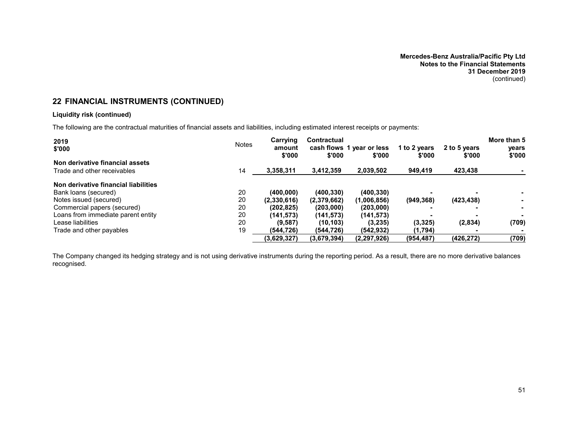# **22 FINANCIAL INSTRUMENTS (CONTINUED)**

### **Liquidity risk (continued)**

The following are the contractual maturities of financial assets and liabilities, including estimated interest receipts or payments:

| 2019<br>\$'000                       | <b>Notes</b> | Carrying<br>amount<br>\$'000 | <b>Contractual</b><br>\$'000 | cash flows 1 year or less<br>\$'000 | 1 to 2 years<br>\$'000 | 2 to 5 years<br>\$'000 | More than 5<br>vears<br>\$'000 |
|--------------------------------------|--------------|------------------------------|------------------------------|-------------------------------------|------------------------|------------------------|--------------------------------|
| Non derivative financial assets      |              |                              |                              |                                     |                        |                        |                                |
| Trade and other receivables          | 14           | 3,358,311                    | 3,412,359                    | 2,039,502                           | 949,419                | 423,438                |                                |
| Non derivative financial liabilities |              |                              |                              |                                     |                        |                        |                                |
| Bank loans (secured)                 | 20           | (400,000)                    | (400, 330)                   | (400, 330)                          |                        |                        |                                |
| Notes issued (secured)               | 20           | (2,330,616)                  | (2,379,662)                  | (1,006,856)                         | (949, 368)             | (423, 438)             |                                |
| Commercial papers (secured)          | 20           | (202.825)                    | (203,000)                    | (203,000)                           |                        |                        | . .                            |
| Loans from immediate parent entity   | 20           | (141.573)                    | (141,573)                    | (141, 573)                          |                        |                        |                                |
| Lease liabilities                    | 20           | (9, 587)                     | (10, 103)                    | (3,235)                             | (3,325)                | (2,834)                | (709)                          |
| Trade and other payables             | 19           | (544.726)                    | (544.726)                    | (542.932)                           | (1,794)                |                        |                                |
|                                      |              | (3,629,327)                  | (3,679,394)                  | (2, 297, 926)                       | (954, 487)             | (426, 272)             | (709)                          |

The Company changed its hedging strategy and is not using derivative instruments during the reporting period. As a result, there are no more derivative balances recognised.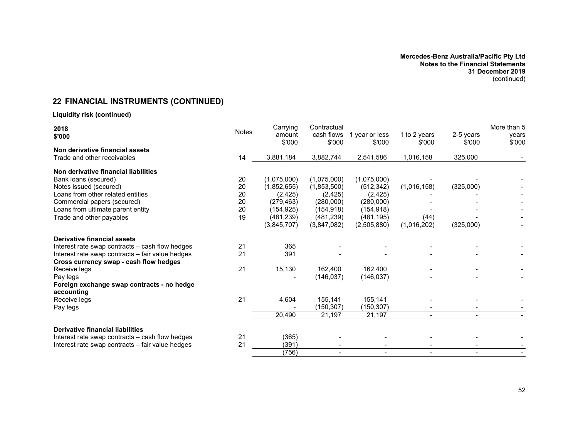# **22 FINANCIAL INSTRUMENTS (CONTINUED)**

## **Liquidity risk (continued)**

| 2018<br>\$'000                                   | <b>Notes</b> | Carrying<br>amount<br>\$'000 | Contractual<br>cash flows<br>\$'000 | 1 year or less<br>\$'000 | 1 to 2 years<br>\$'000 | 2-5 years<br>\$'000 | More than 5<br>years<br>\$'000 |
|--------------------------------------------------|--------------|------------------------------|-------------------------------------|--------------------------|------------------------|---------------------|--------------------------------|
| Non derivative financial assets                  |              |                              |                                     |                          |                        |                     |                                |
| Trade and other receivables                      | 14           | 3,881,184                    | 3,882,744                           | 2,541,586                | 1,016,158              | 325,000             |                                |
| Non derivative financial liabilities             |              |                              |                                     |                          |                        |                     |                                |
| Bank loans (secured)                             | 20           | (1,075,000)                  | (1,075,000)                         | (1,075,000)              |                        |                     |                                |
| Notes issued (secured)                           | 20           | (1,852,655)                  | (1,853,500)                         | (512, 342)               | (1,016,158)            | (325,000)           |                                |
| Loans from other related entities                | 20           | (2, 425)                     | (2, 425)                            | (2, 425)                 |                        |                     |                                |
| Commercial papers (secured)                      | 20           | (279, 463)                   | (280,000)                           | (280,000)                |                        |                     |                                |
| Loans from ultimate parent entity                | 20           | (154,925)                    | (154, 918)                          | (154, 918)               |                        |                     |                                |
| Trade and other payables                         | 19           | (481,239)                    | (481,239)                           | (481,195)                | (44)                   |                     |                                |
|                                                  |              | (3,845,707)                  | (3,847,082)                         | (2,505,880)              | (1,016,202)            | (325,000)           |                                |
| Derivative financial assets                      |              |                              |                                     |                          |                        |                     |                                |
| Interest rate swap contracts - cash flow hedges  | 21           | 365                          |                                     |                          |                        |                     |                                |
| Interest rate swap contracts - fair value hedges | 21           | 391                          |                                     |                          |                        |                     |                                |
| Cross currency swap - cash flow hedges           |              |                              |                                     |                          |                        |                     |                                |
| Receive legs                                     | 21           | 15,130                       | 162,400                             | 162,400                  |                        |                     |                                |
| Pay legs                                         |              |                              | (146, 037)                          | (146, 037)               |                        |                     |                                |
| Foreign exchange swap contracts - no hedge       |              |                              |                                     |                          |                        |                     |                                |
| accounting                                       | 21           |                              |                                     |                          |                        |                     |                                |
| Receive legs                                     |              | 4,604                        | 155,141                             | 155,141                  |                        |                     |                                |
| Pay legs                                         |              |                              | (150, 307)                          | (150,307)                |                        |                     |                                |
|                                                  |              | 20,490                       | 21,197                              | 21,197                   |                        |                     |                                |
| <b>Derivative financial liabilities</b>          |              |                              |                                     |                          |                        |                     |                                |
| Interest rate swap contracts - cash flow hedges  | 21           | (365)                        |                                     |                          |                        |                     |                                |
| Interest rate swap contracts - fair value hedges | 21           | (391)                        |                                     |                          |                        |                     |                                |
|                                                  |              | (756)                        |                                     |                          |                        |                     |                                |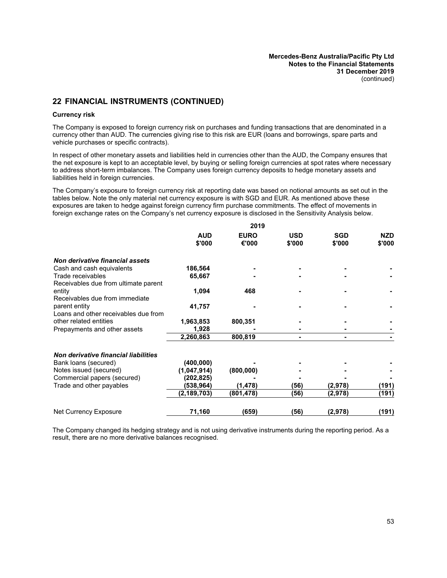# **22 FINANCIAL INSTRUMENTS (CONTINUED)**

#### **Currency risk**

The Company is exposed to foreign currency risk on purchases and funding transactions that are denominated in a currency other than AUD. The currencies giving rise to this risk are EUR (loans and borrowings, spare parts and vehicle purchases or specific contracts).

In respect of other monetary assets and liabilities held in currencies other than the AUD, the Company ensures that the net exposure is kept to an acceptable level, by buying or selling foreign currencies at spot rates where necessary to address short-term imbalances. The Company uses foreign currency deposits to hedge monetary assets and liabilities held in foreign currencies.

The Company's exposure to foreign currency risk at reporting date was based on notional amounts as set out in the tables below. Note the only material net currency exposure is with SGD and EUR. As mentioned above these exposures are taken to hedge against foreign currency firm purchase commitments. The effect of movements in foreign exchange rates on the Company's net currency exposure is disclosed in the Sensitivity Analysis below.

**2019**

|                                                           |                      | 2019                 |                      |                      |                      |
|-----------------------------------------------------------|----------------------|----------------------|----------------------|----------------------|----------------------|
|                                                           | <b>AUD</b><br>\$'000 | <b>EURO</b><br>€'000 | <b>USD</b><br>\$'000 | <b>SGD</b><br>\$'000 | <b>NZD</b><br>\$'000 |
| Non derivative financial assets                           |                      |                      |                      |                      |                      |
| Cash and cash equivalents                                 | 186,564              |                      |                      |                      |                      |
| Trade receivables<br>Receivables due from ultimate parent | 65,667               |                      |                      |                      |                      |
| entity<br>Receivables due from immediate                  | 1,094                | 468                  |                      |                      |                      |
| parent entity<br>Loans and other receivables due from     | 41,757               |                      |                      |                      |                      |
| other related entities                                    | 1,963,853            | 800,351              |                      |                      |                      |
| Prepayments and other assets                              | 1,928                |                      |                      |                      |                      |
|                                                           | 2,260,863            | 800,819              | -                    |                      |                      |
| Non derivative financial liabilities                      |                      |                      |                      |                      |                      |
| Bank loans (secured)                                      | (400, 000)           |                      |                      |                      |                      |
| Notes issued (secured)                                    | (1,047,914)          | (800, 000)           |                      |                      |                      |
| Commercial papers (secured)                               | (202,825)            |                      |                      |                      |                      |
| Trade and other payables                                  | (538,964)            | (1, 478)             | (56)                 | (2,978)              | (191)                |
|                                                           | (2, 189, 703)        | (801, 478)           | (56)                 | (2,978)              | (191)                |
| Net Currency Exposure                                     | 71,160               | (659)                | (56)                 | (2, 978)             | (191)                |

The Company changed its hedging strategy and is not using derivative instruments during the reporting period. As a result, there are no more derivative balances recognised.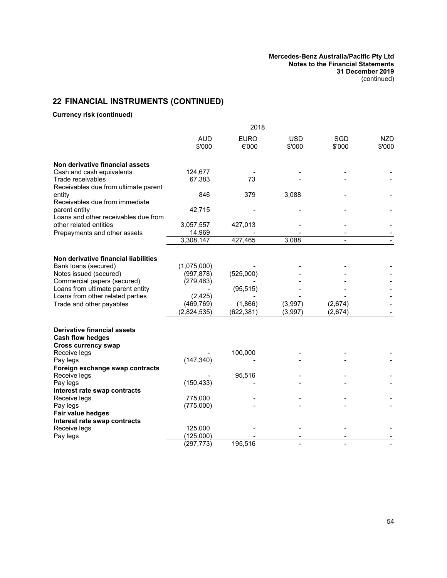# **22 FINANCIAL INSTRUMENTS (CONTINUED)**

### **Currency risk (continued)**

|                                                                                             | 2018                      |                       |                      |                    |                      |
|---------------------------------------------------------------------------------------------|---------------------------|-----------------------|----------------------|--------------------|----------------------|
|                                                                                             | <b>AUD</b><br>\$'000      | <b>EURO</b><br>€'000  | <b>USD</b><br>\$'000 | SGD<br>\$'000      | <b>NZD</b><br>\$'000 |
| Non derivative financial assets                                                             |                           |                       |                      |                    |                      |
| Cash and cash equivalents                                                                   | 124,677                   |                       |                      |                    |                      |
| Trade receivables                                                                           | 67,383                    | 73                    |                      |                    |                      |
| Receivables due from ultimate parent                                                        |                           |                       |                      |                    |                      |
| entity                                                                                      | 846                       | 379                   | 3,088                |                    |                      |
| Receivables due from immediate                                                              |                           |                       |                      |                    |                      |
| parent entity                                                                               | 42,715                    |                       |                      |                    |                      |
| Loans and other receivables due from                                                        |                           |                       |                      |                    |                      |
| other related entities                                                                      | 3,057,557                 | 427,013               |                      |                    |                      |
| Prepayments and other assets                                                                | 14,969                    |                       |                      |                    |                      |
|                                                                                             | 3,308,147                 | 427,465               | 3,088                |                    |                      |
|                                                                                             |                           |                       |                      |                    |                      |
| Non derivative financial liabilities                                                        |                           |                       |                      |                    |                      |
| Bank loans (secured)                                                                        | (1,075,000)               |                       |                      |                    |                      |
| Notes issued (secured)                                                                      | (997, 878)                | (525,000)             |                      |                    |                      |
| Commercial papers (secured)                                                                 | (279, 463)                |                       |                      |                    |                      |
| Loans from ultimate parent entity                                                           |                           | (95, 515)             |                      |                    |                      |
| Loans from other related parties                                                            | (2, 425)                  |                       |                      |                    |                      |
| Trade and other payables                                                                    | (469, 769)<br>(2,824,535) | (1,866)<br>(622, 381) | (3,997)<br>(3,997)   | (2,674)<br>(2,674) |                      |
|                                                                                             |                           |                       |                      |                    |                      |
| <b>Derivative financial assets</b><br><b>Cash flow hedges</b><br><b>Cross currency swap</b> |                           |                       |                      |                    |                      |
| Receive legs                                                                                |                           | 100,000               |                      |                    |                      |
| Pay legs                                                                                    | (147, 340)                |                       |                      |                    |                      |
| Foreign exchange swap contracts                                                             |                           |                       |                      |                    |                      |
| Receive legs                                                                                |                           | 95,516                |                      |                    |                      |
| Pay legs                                                                                    | (150, 433)                |                       |                      |                    |                      |
| Interest rate swap contracts                                                                |                           |                       |                      |                    |                      |
| Receive legs                                                                                | 775,000                   |                       |                      |                    |                      |
| Pay legs                                                                                    | (775,000)                 |                       |                      |                    |                      |
| Fair value hedges                                                                           |                           |                       |                      |                    |                      |
| Interest rate swap contracts                                                                |                           |                       |                      |                    |                      |
| Receive legs                                                                                | 125,000                   |                       |                      |                    |                      |
| Pay legs                                                                                    | (125,000)                 |                       |                      |                    |                      |
|                                                                                             | (297, 773)                | 195,516               |                      |                    |                      |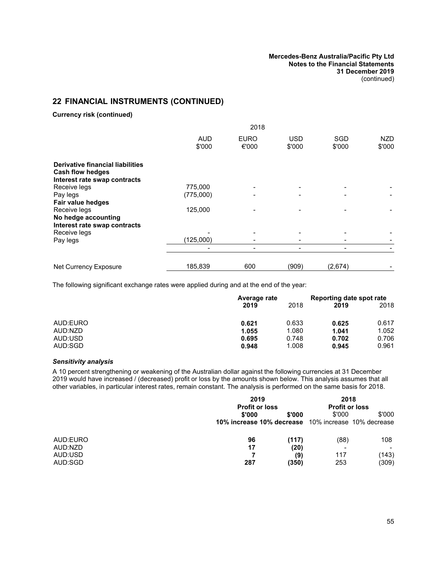# **22 FINANCIAL INSTRUMENTS (CONTINUED)**

**Currency risk (continued)**

|                                                                                                    | 2018                 |                      |                      |                      |               |
|----------------------------------------------------------------------------------------------------|----------------------|----------------------|----------------------|----------------------|---------------|
|                                                                                                    | <b>AUD</b><br>\$'000 | <b>EURO</b><br>€'000 | <b>USD</b><br>\$'000 | <b>SGD</b><br>\$'000 | NZD<br>\$'000 |
| <b>Derivative financial liabilities</b><br><b>Cash flow hedges</b><br>Interest rate swap contracts |                      |                      |                      |                      |               |
| Receive legs                                                                                       | 775,000              |                      |                      |                      |               |
| Pay legs                                                                                           | (775,000)            |                      |                      |                      |               |
| Fair value hedges                                                                                  |                      |                      |                      |                      |               |
| Receive legs                                                                                       | 125,000              |                      |                      |                      |               |
| No hedge accounting<br>Interest rate swap contracts                                                |                      |                      |                      |                      |               |
| Receive legs                                                                                       |                      |                      |                      |                      |               |
| Pay legs                                                                                           | (125,000)            |                      |                      |                      |               |
|                                                                                                    |                      |                      |                      |                      |               |
| Net Currency Exposure                                                                              | 185,839              | 600                  | (909)                | (2,674)              |               |

The following significant exchange rates were applied during and at the end of the year:

|          | Average rate |       |       | Reporting date spot rate |
|----------|--------------|-------|-------|--------------------------|
|          | 2019         | 2018  | 2019  | 2018                     |
| AUD:EURO | 0.621        | 0.633 | 0.625 | 0.617                    |
| AUD:NZD  | 1.055        | 1.080 | 1.041 | 1.052                    |
| AUD:USD  | 0.695        | 0.748 | 0.702 | 0.706                    |
| AUD:SGD  | 0.948        | 1.008 | 0.945 | 0.961                    |

### *Sensitivity analysis*

A 10 percent strengthening or weakening of the Australian dollar against the following currencies at 31 December 2019 would have increased / (decreased) profit or loss by the amounts shown below. This analysis assumes that all other variables, in particular interest rates, remain constant. The analysis is performed on the same basis for 2018.

|          | 2019                      |        | 2018                  |                           |
|----------|---------------------------|--------|-----------------------|---------------------------|
|          | <b>Profit or loss</b>     |        | <b>Profit or loss</b> |                           |
|          | \$'000                    | \$'000 | \$'000                | \$'000                    |
|          | 10% increase 10% decrease |        |                       | 10% increase 10% decrease |
| AUD:EURO | 96                        | (117)  | (88)                  | 108                       |
| AUD:NZD  | 17                        | (20)   |                       |                           |
| AUD:USD  |                           | (9)    | 117                   | (143)                     |
| AUD:SGD  | 287                       | (350)  | 253                   | (309)                     |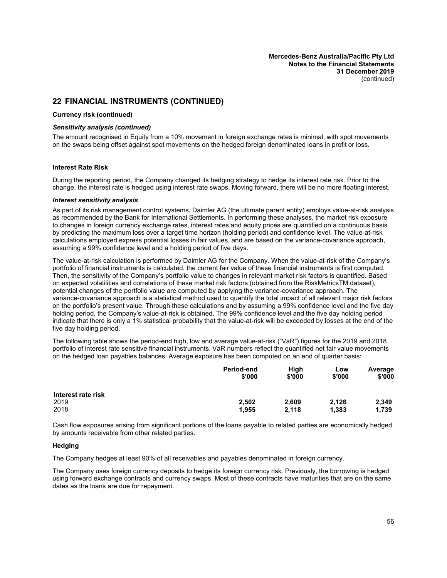### **22 FINANCIAL INSTRUMENTS (CONTINUED)**

#### **Currency risk (continued)**

#### *Sensitivity analysis (continued)*

The amount recognised in Equity from a 10% movement in foreign exchange rates is minimal, with spot movements on the swaps being offset against spot movements on the hedged foreign denominated loans in profit or loss.

#### **Interest Rate Risk**

During the reporting period, the Company changed its hedging strategy to hedge its interest rate risk. Prior to the change, the interest rate is hedged using interest rate swaps. Moving forward, there will be no more floating interest.

#### *Interest sensitivity analysis*

As part of its risk management control systems, Daimler AG (the ultimate parent entity) employs value-at-risk analysis as recommended by the Bank for International Settlements. In performing these analyses, the market risk exposure to changes in foreign currency exchange rates, interest rates and equity prices are quantified on a continuous basis by predicting the maximum loss over a target time horizon (holding period) and confidence level. The value-at-risk calculations employed express potential losses in fair values, and are based on the variance-covariance approach, assuming a 99% confidence level and a holding period of five days.

The value-at-risk calculation is performed by Daimler AG for the Company. When the value-at-risk of the Company's portfolio of financial instruments is calculated, the current fair value of these financial instruments is first computed. Then, the sensitivity of the Company's portfolio value to changes in relevant market risk factors is quantified. Based on expected volatilities and correlations of these market risk factors (obtained from the RiskMetricsTM dataset), potential changes of the portfolio value are computed by applying the variance-covariance approach. The variance-covariance approach is a statistical method used to quantify the total impact of all relevant major risk factors on the portfolio's present value. Through these calculations and by assuming a 99% confidence level and the five day holding period, the Company's value-at-risk is obtained. The 99% confidence level and the five day holding period indicate that there is only a 1% statistical probability that the value-at-risk will be exceeded by losses at the end of the five day holding period.

The following table shows the period-end high, low and average value-at-risk ("VaR") figures for the 2019 and 2018 portfolio of interest rate sensitive financial instruments. VaR numbers reflect the quantified net fair value movements on the hedged loan payables balances. Average exposure has been computed on an end of quarter basis:

|                    | Period-end<br>\$'000 | High<br>\$'000 | Low<br>\$'000 | Average<br>\$'000 |
|--------------------|----------------------|----------------|---------------|-------------------|
| Interest rate risk |                      |                |               |                   |
| 2019               | 2,502                | 2,609          | 2,126         | 2,349             |
| 2018               | 1,955                | 2,118          | 1,383         | 1,739             |

Cash flow exposures arising from significant portions of the loans payable to related parties are economically hedged by amounts receivable from other related parties.

#### **Hedging**

The Company hedges at least 90% of all receivables and payables denominated in foreign currency.

The Company uses foreign currency deposits to hedge its foreign currency risk. Previously, the borrowing is hedged using forward exchange contracts and currency swaps. Most of these contracts have maturities that are on the same dates as the loans are due for repayment.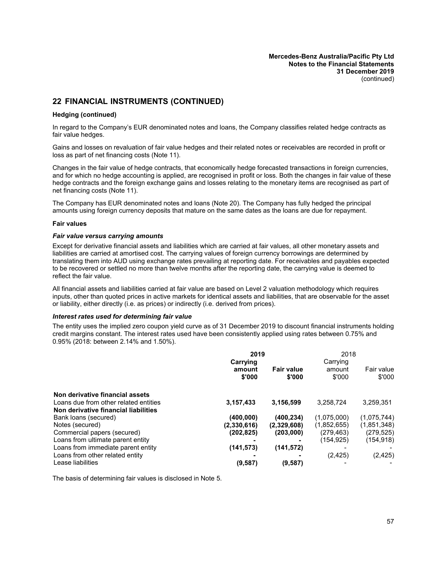## **22 FINANCIAL INSTRUMENTS (CONTINUED)**

#### **Hedging (continued)**

In regard to the Company's EUR denominated notes and loans, the Company classifies related hedge contracts as fair value hedges.

Gains and losses on revaluation of fair value hedges and their related notes or receivables are recorded in profit or loss as part of net financing costs (Note [11](#page-34-0)).

Changes in the fair value of hedge contracts, that economically hedge forecasted transactions in foreign currencies, and for which no hedge accounting is applied, are recognised in profit or loss. Both the changes in fair value of these hedge contracts and the foreign exchange gains and losses relating to the monetary items are recognised as part of net financing costs (Note [11](#page-34-0)).

The Company has EUR denominated notes and loans (Note [20\)](#page-44-3). The Company has fully hedged the principal amounts using foreign currency deposits that mature on the same dates as the loans are due for repayment.

#### **Fair values**

#### *Fair value versus carrying amounts*

Except for derivative financial assets and liabilities which are carried at fair values, all other monetary assets and liabilities are carried at amortised cost. The carrying values of foreign currency borrowings are determined by translating them into AUD using exchange rates prevailing at reporting date. For receivables and payables expected to be recovered or settled no more than twelve months after the reporting date, the carrying value is deemed to reflect the fair value.

All financial assets and liabilities carried at fair value are based on Level 2 valuation methodology which requires inputs, other than quoted prices in active markets for identical assets and liabilities, that are observable for the asset or liability, either directly (i.e. as prices) or indirectly (i.e. derived from prices).

#### *Interest rates used for determining fair value*

The entity uses the implied zero coupon yield curve as of 31 December 2019 to discount financial instruments holding credit margins constant. The interest rates used have been consistently applied using rates between 0.75% and 0.95% (2018: between 2.14% and 1.50%).

|                                       | 2019                         |                             | 2018                         |                      |
|---------------------------------------|------------------------------|-----------------------------|------------------------------|----------------------|
|                                       | Carrying<br>amount<br>\$'000 | <b>Fair value</b><br>\$'000 | Carrying<br>amount<br>\$'000 | Fair value<br>\$'000 |
| Non derivative financial assets       |                              |                             |                              |                      |
| Loans due from other related entities | 3,157,433                    | 3,156,599                   | 3.258.724                    | 3.259.351            |
| Non derivative financial liabilities  |                              |                             |                              |                      |
| Bank loans (secured)                  | (400, 000)                   | (400, 234)                  | (1,075,000)                  | (1,075,744)          |
| Notes (secured)                       | (2,330,616)                  | (2,329,608)                 | (1,852,655)                  | (1,851,348)          |
| Commercial papers (secured)           | (202, 825)                   | (203,000)                   | (279,463)                    | (279,525)            |
| Loans from ultimate parent entity     |                              |                             | (154,925)                    | (154,918)            |
| Loans from immediate parent entity    | (141, 573)                   | (141, 572)                  |                              |                      |
| Loans from other related entity       |                              |                             | (2, 425)                     | (2, 425)             |
| Lease liabilities                     | (9, 587)                     | (9,587)                     |                              |                      |

The basis of determining fair values is disclosed in Note [5.](#page-31-0)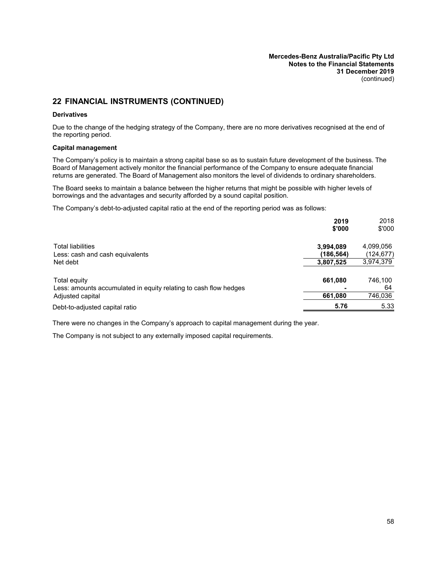# **22 FINANCIAL INSTRUMENTS (CONTINUED)**

#### **Derivatives**

Due to the change of the hedging strategy of the Company, there are no more derivatives recognised at the end of the reporting period.

#### **Capital management**

The Company's policy is to maintain a strong capital base so as to sustain future development of the business. The Board of Management actively monitor the financial performance of the Company to ensure adequate financial returns are generated. The Board of Management also monitors the level of dividends to ordinary shareholders.

The Board seeks to maintain a balance between the higher returns that might be possible with higher levels of borrowings and the advantages and security afforded by a sound capital position.

The Company's debt-to-adjusted capital ratio at the end of the reporting period was as follows:

|                                                                                  | 2019<br>\$'000         | 2018<br>\$'000         |
|----------------------------------------------------------------------------------|------------------------|------------------------|
| <b>Total liabilities</b><br>Less: cash and cash equivalents                      | 3,994,089<br>(186,564) | 4,099,056<br>(124,677) |
| Net debt                                                                         | 3,807,525              | 3,974,379              |
| Total equity<br>Less: amounts accumulated in equity relating to cash flow hedges | 661,080                | 746.100<br>64          |
| Adjusted capital                                                                 | 661,080                | 746,036                |
| Debt-to-adjusted capital ratio                                                   | 5.76                   | 5.33                   |

There were no changes in the Company's approach to capital management during the year.

The Company is not subject to any externally imposed capital requirements.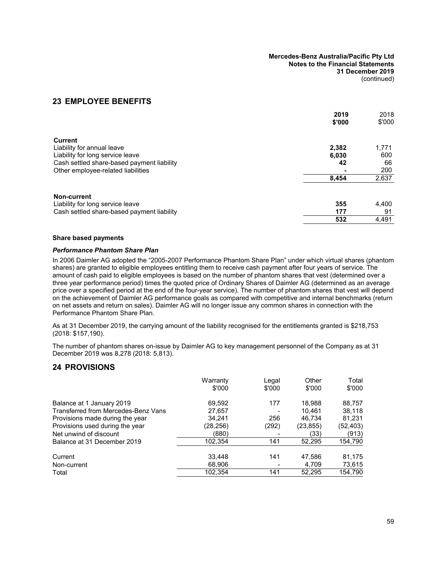## **23 EMPLOYEE BENEFITS**

|                                            | 2019<br>\$'000 | 2018<br>\$'000 |
|--------------------------------------------|----------------|----------------|
|                                            |                |                |
| <b>Current</b>                             |                |                |
| Liability for annual leave                 | 2,382          | 1,771          |
| Liability for long service leave           | 6,030          | 600            |
| Cash settled share-based payment liability | 42             | 66             |
| Other employee-related liabilities         |                | 200            |
|                                            | 8,454          | 2,637          |
| Non-current                                |                |                |
| Liability for long service leave           | 355            | 4,400          |
| Cash settled share-based payment liability | 177            | 91             |
|                                            | 532            | 4,491          |

#### **Share based payments**

#### *Performance Phantom Share Plan*

In 2006 Daimler AG adopted the "2005-2007 Performance Phantom Share Plan" under which virtual shares (phantom shares) are granted to eligible employees entitling them to receive cash payment after four years of service. The amount of cash paid to eligible employees is based on the number of phantom shares that vest (determined over a three year performance period) times the quoted price of Ordinary Shares of Daimler AG (determined as an average price over a specified period at the end of the four-year service). The number of phantom shares that vest will depend on the achievement of Daimler AG performance goals as compared with competitive and internal benchmarks (return on net assets and return on sales). Daimler AG will no longer issue any common shares in connection with the Performance Phantom Share Plan.

As at 31 December 2019, the carrying amount of the liability recognised for the entitlements granted is \$218,753 (2018: \$157,190).

<span id="page-60-0"></span>The number of phantom shares on-issue by Daimler AG to key management personnel of the Company as at 31 December 2019 was 8,278 (2018: 5,813).

### **24 PROVISIONS**

| Warranty<br>\$'000 | Legal<br>\$'000 | Other<br>\$'000 | Total<br>\$'000 |
|--------------------|-----------------|-----------------|-----------------|
| 69,592             | 177             | 18.988          | 88,757          |
| 27,657             |                 | 10.461          | 38.118          |
| 34,241             | 256             | 46,734          | 81,231          |
| (28,256)           | (292)           | (23, 855)       | (52,403)        |
| (880)              |                 | (33)            | (913)           |
| 102.354            | 141             | 52.295          | 154,790         |
| 33,448             | 141             | 47,586          | 81,175          |
| 68,906             |                 | 4.709           | 73,615          |
| 102,354            | 141             | 52,295          | 154,790         |
|                    |                 |                 |                 |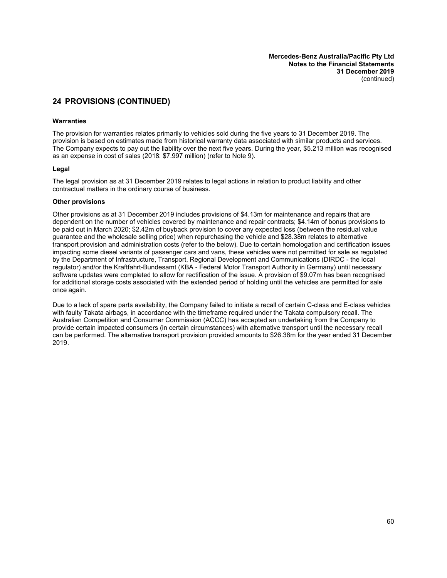# **24 PROVISIONS (CONTINUED)**

#### **Warranties**

The provision for warranties relates primarily to vehicles sold during the five years to 31 December 2019. The provision is based on estimates made from historical warranty data associated with similar products and services. The Company expects to pay out the liability over the next five years. During the year, \$5.213 million was recognised as an expense in cost of sales (2018: \$7.997 million) (refer to Note [9\)](#page-33-1).

#### **Legal**

The legal provision as at 31 December 2019 relates to legal actions in relation to product liability and other contractual matters in the ordinary course of business.

#### **Other provisions**

Other provisions as at 31 December 2019 includes provisions of \$4.13m for maintenance and repairs that are dependent on the number of vehicles covered by maintenance and repair contracts; \$4.14m of bonus provisions to be paid out in March 2020; \$2.42m of buyback provision to cover any expected loss (between the residual value guarantee and the wholesale selling price) when repurchasing the vehicle and \$28.38m relates to alternative transport provision and administration costs (refer to the below). Due to certain homologation and certification issues impacting some diesel variants of passenger cars and vans, these vehicles were not permitted for sale as regulated by the Department of Infrastructure, Transport, Regional Development and Communications (DIRDC - the local regulator) and/or the Kraftfahrt-Bundesamt (KBA - Federal Motor Transport Authority in Germany) until necessary software updates were completed to allow for rectification of the issue. A provision of \$9.07m has been recognised for additional storage costs associated with the extended period of holding until the vehicles are permitted for sale once again.

Due to a lack of spare parts availability, the Company failed to initiate a recall of certain C-class and E-class vehicles with faulty Takata airbags, in accordance with the timeframe required under the Takata compulsory recall. The Australian Competition and Consumer Commission (ACCC) has accepted an undertaking from the Company to provide certain impacted consumers (in certain circumstances) with alternative transport until the necessary recall can be performed. The alternative transport provision provided amounts to \$26.38m for the year ended 31 December 2019.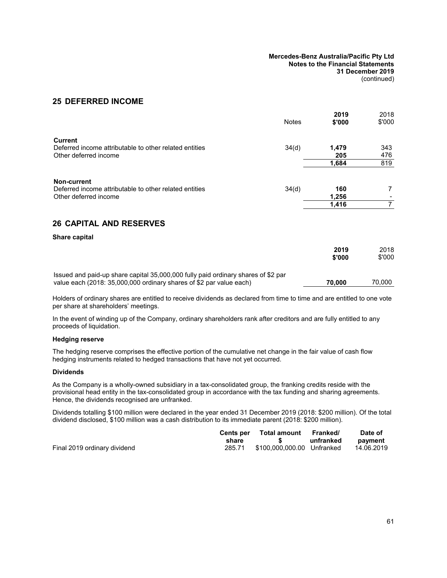### **25 DEFERRED INCOME**

|                                                                                                | <b>Notes</b> | 2019<br>\$'000 | 2018<br>\$'000 |
|------------------------------------------------------------------------------------------------|--------------|----------------|----------------|
| <b>Current</b><br>Deferred income attributable to other related entities                       | 34(d)        | 1,479          | 343            |
| Other deferred income                                                                          |              | 205<br>1,684   | 476<br>819     |
|                                                                                                |              |                |                |
| Non-current<br>Deferred income attributable to other related entities<br>Other deferred income | 34(d)        | 160<br>1,256   | 7              |
|                                                                                                |              | 1,416          | $\overline{7}$ |
| <b>26 CAPITAL AND RESERVES</b>                                                                 |              |                |                |
| Share capital                                                                                  |              |                |                |
|                                                                                                |              | 2019<br>\$'000 | 2018<br>\$'000 |
| Issued and paid-up share capital 35,000,000 fully paid ordinary shares of \$2 par              |              |                |                |

value each (2018: 35,000,000 ordinary shares of \$2 par value each) **70,000** 70,000

Holders of ordinary shares are entitled to receive dividends as declared from time to time and are entitled to one vote per share at shareholders' meetings.

In the event of winding up of the Company, ordinary shareholders rank after creditors and are fully entitled to any proceeds of liquidation.

#### **Hedging reserve**

The hedging reserve comprises the effective portion of the cumulative net change in the fair value of cash flow hedging instruments related to hedged transactions that have not yet occurred.

#### **Dividends**

As the Company is a wholly-owned subsidiary in a tax-consolidated group, the franking credits reside with the provisional head entity in the tax-consolidated group in accordance with the tax funding and sharing agreements. Hence, the dividends recognised are unfranked.

Dividends totalling \$100 million were declared in the year ended 31 December 2019 (2018: \$200 million). Of the total dividend disclosed, \$100 million was a cash distribution to its immediate parent (2018: \$200 million).

|                              |        | Cents per Total amount Franked/ |           | Date of    |
|------------------------------|--------|---------------------------------|-----------|------------|
|                              | share  |                                 | unfranked | payment    |
| Final 2019 ordinary dividend | 285.71 | \$100,000,000,00 Unfranked      |           | 14.06.2019 |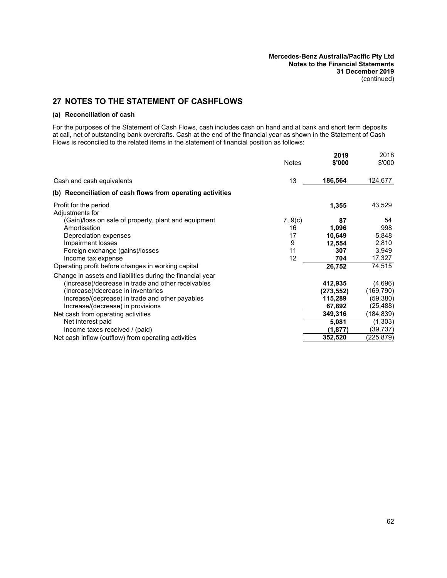# **27 NOTES TO THE STATEMENT OF CASHFLOWS**

#### **(a) Reconciliation of cash**

For the purposes of the Statement of Cash Flows, cash includes cash on hand and at bank and short term deposits at call, net of outstanding bank overdrafts. Cash at the end of the financial year as shown in the Statement of Cash Flows is reconciled to the related items in the statement of financial position as follows:

|                                                            | <b>Notes</b> | 2019<br>\$'000 | 2018<br>\$'000 |
|------------------------------------------------------------|--------------|----------------|----------------|
|                                                            |              |                |                |
| Cash and cash equivalents                                  | 13           | 186,564        | 124,677        |
| (b) Reconciliation of cash flows from operating activities |              |                |                |
| Profit for the period<br>Adjustments for                   |              | 1,355          | 43,529         |
| (Gain)/loss on sale of property, plant and equipment       | 7, 9(c)      | 87             | 54             |
| Amortisation                                               | 16           | 1,096          | 998            |
| Depreciation expenses                                      | 17           | 10,649         | 5,848          |
| Impairment losses                                          | 9            | 12,554         | 2,810          |
| Foreign exchange (gains)/losses                            | 11           | 307            | 3,949          |
| Income tax expense                                         | 12           | 704            | 17,327         |
| Operating profit before changes in working capital         |              | 26,752         | 74,515         |
| Change in assets and liabilities during the financial year |              |                |                |
| (Increase)/decrease in trade and other receivables         |              | 412,935        | (4,696)        |
| (Increase)/decrease in inventories                         |              | (273, 552)     | (169, 790)     |
| Increase/(decrease) in trade and other payables            |              | 115,289        | (59,380)       |
| Increase/(decrease) in provisions                          |              | 67,892         | (25,488)       |
| Net cash from operating activities                         |              | 349,316        | (184,839)      |
| Net interest paid                                          |              | 5,081          | (1, 303)       |
| Income taxes received / (paid)                             |              | (1,877)        | (39,737)       |
| Net cash inflow (outflow) from operating activities        |              | 352,520        | (225,879)      |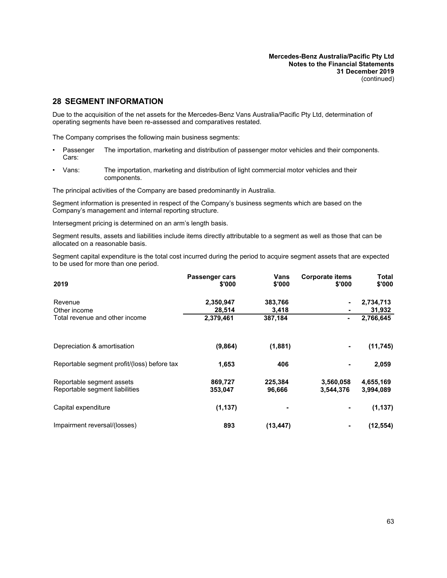# **28 SEGMENT INFORMATION**

Due to the acquisition of the net assets for the Mercedes-Benz Vans Australia/Pacific Pty Ltd, determination of operating segments have been re-assessed and comparatives restated.

The Company comprises the following main business segments:

- **Passenger** Cars: The importation, marketing and distribution of passenger motor vehicles and their components.
- Vans: The importation, marketing and distribution of light commercial motor vehicles and their components.

The principal activities of the Company are based predominantly in Australia.

Segment information is presented in respect of the Company's business segments which are based on the Company's management and internal reporting structure.

Intersegment pricing is determined on an arm's length basis.

Segment results, assets and liabilities include items directly attributable to a segment as well as those that can be allocated on a reasonable basis.

Segment capital expenditure is the total cost incurred during the period to acquire segment assets that are expected to be used for more than one period.

| 2019                                                        | Passenger cars<br>\$'000 | Vans<br>\$'000    | <b>Corporate items</b><br>\$'000 | <b>Total</b><br>\$'000 |
|-------------------------------------------------------------|--------------------------|-------------------|----------------------------------|------------------------|
| Revenue                                                     | 2,350,947                | 383,766           |                                  | 2,734,713              |
| Other income                                                | 28,514                   | 3,418             |                                  | 31,932                 |
| Total revenue and other income                              | 2,379,461                | 387,184           |                                  | 2,766,645              |
| Depreciation & amortisation                                 | (9,864)                  | (1,881)           | ٠                                | (11, 745)              |
| Reportable segment profit/(loss) before tax                 | 1,653                    | 406               |                                  | 2,059                  |
| Reportable segment assets<br>Reportable segment liabilities | 869,727<br>353,047       | 225,384<br>96,666 | 3,560,058<br>3,544,376           | 4,655,169<br>3,994,089 |
| Capital expenditure                                         | (1, 137)                 |                   |                                  | (1, 137)               |
| Impairment reversal/(losses)                                | 893                      | (13, 447)         |                                  | (12,554)               |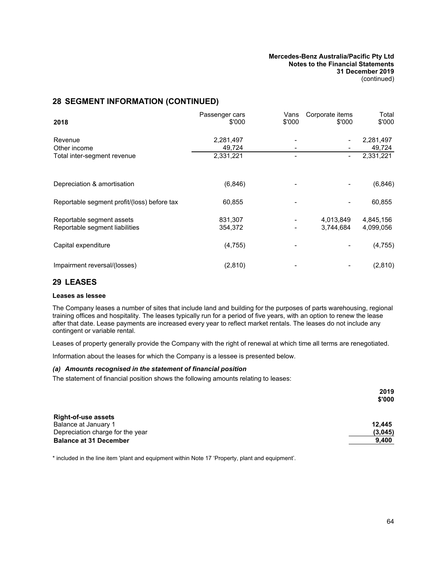# **28 SEGMENT INFORMATION (CONTINUED)**

| 2018                                                        | Passenger cars<br>\$'000 | Vans<br>\$'000 | Corporate items<br>\$'000 | Total<br>\$'000        |
|-------------------------------------------------------------|--------------------------|----------------|---------------------------|------------------------|
| Revenue<br>Other income                                     | 2,281,497<br>49,724      |                |                           | 2,281,497<br>49,724    |
| Total inter-segment revenue                                 | 2,331,221                |                |                           | 2,331,221              |
| Depreciation & amortisation                                 | (6, 846)                 |                |                           | (6, 846)               |
| Reportable segment profit/(loss) before tax                 | 60,855                   |                |                           | 60,855                 |
| Reportable segment assets<br>Reportable segment liabilities | 831,307<br>354,372       |                | 4,013,849<br>3,744,684    | 4,845,156<br>4,099,056 |
| Capital expenditure                                         | (4, 755)                 |                |                           | (4, 755)               |
| Impairment reversal/(losses)                                | (2,810)                  |                |                           | (2, 810)               |

### **29 LEASES**

#### **Leases as lessee**

The Company leases a number of sites that include land and building for the purposes of parts warehousing, regional training offices and hospitality. The leases typically run for a period of five years, with an option to renew the lease after that date. Lease payments are increased every year to reflect market rentals. The leases do not include any contingent or variable rental.

Leases of property generally provide the Company with the right of renewal at which time all terms are renegotiated.

Information about the leases for which the Company is a lessee is presented below.

#### *(a) Amounts recognised in the statement of financial position*

The statement of financial position shows the following amounts relating to leases:

|                                  | 2019    |
|----------------------------------|---------|
|                                  | \$'000  |
|                                  |         |
| <b>Right-of-use assets</b>       |         |
| Balance at January 1             | 12.445  |
| Depreciation charge for the year | (3,045) |
| <b>Balance at 31 December</b>    | 9,400   |

\* included in the line item 'plant and equipment within Note [17](#page-38-0) 'Property, plant and equipment'.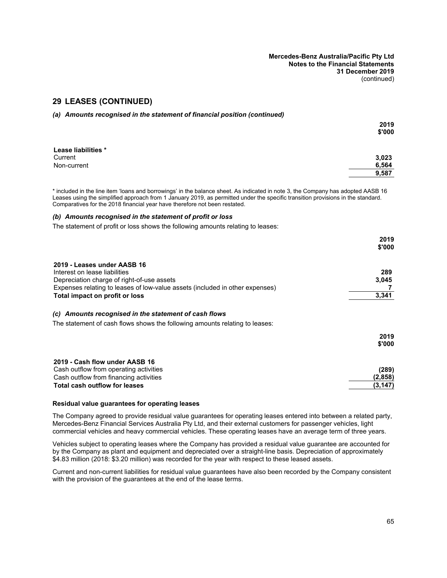### **29 LEASES (CONTINUED)**

|  | (a) Amounts recognised in the statement of financial position (continued) |  |
|--|---------------------------------------------------------------------------|--|
|  |                                                                           |  |

|                     | 2019   |
|---------------------|--------|
|                     | \$'000 |
| Lease liabilities * |        |
| Current             | 3,023  |
| Non-current         | 6,564  |
|                     | 9,587  |

\* included in the line item 'loans and borrowings' in the balance sheet. As indicated in note 3, the Company has adopted AASB 16 Leases using the simplified approach from 1 January 2019, as permitted under the specific transition provisions in the standard. Comparatives for the 2018 financial year have therefore not been restated.

#### *(b) Amounts recognised in the statement of profit or loss*

The statement of profit or loss shows the following amounts relating to leases:

|                                                                                                                                                                                                                              | 2019<br>\$'000               |
|------------------------------------------------------------------------------------------------------------------------------------------------------------------------------------------------------------------------------|------------------------------|
| 2019 - Leases under AASB 16<br>Interest on lease liabilities<br>Depreciation charge of right-of-use assets<br>Expenses relating to leases of low-value assets (included in other expenses)<br>Total impact on profit or loss | 289<br>3,045<br>3,341        |
| Amounts recognised in the statement of cash flows<br>(C)<br>The statement of cash flows shows the following amounts relating to leases:                                                                                      |                              |
|                                                                                                                                                                                                                              | 2019<br>\$'000               |
| 2019 - Cash flow under AASB 16<br>Cash outflow from operating activities<br>Cash outflow from financing activities<br>Total cash outflow for leases                                                                          | (289)<br>(2,858)<br>(3, 147) |

#### **Residual value guarantees for operating leases**

The Company agreed to provide residual value guarantees for operating leases entered into between a related party, Mercedes-Benz Financial Services Australia Pty Ltd, and their external customers for passenger vehicles, light commercial vehicles and heavy commercial vehicles. These operating leases have an average term of three years.

Vehicles subject to operating leases where the Company has provided a residual value guarantee are accounted for by the Company as plant and equipment and depreciated over a straight-line basis. Depreciation of approximately \$4.83 million (2018: \$3.20 million) was recorded for the year with respect to these leased assets.

Current and non-current liabilities for residual value guarantees have also been recorded by the Company consistent with the provision of the guarantees at the end of the lease terms.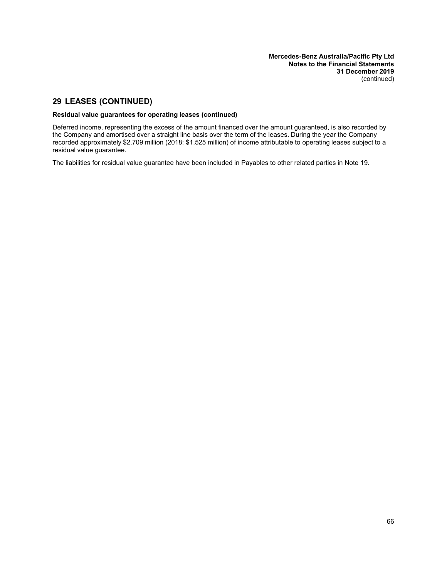# **29 LEASES (CONTINUED)**

#### **Residual value guarantees for operating leases (continued)**

Deferred income, representing the excess of the amount financed over the amount guaranteed, is also recorded by the Company and amortised over a straight line basis over the term of the leases. During the year the Company recorded approximately \$2.709 million (2018: \$1.525 million) of income attributable to operating leases subject to a residual value guarantee.

The liabilities for residual value guarantee have been included in Payables to other related parties in Note 19.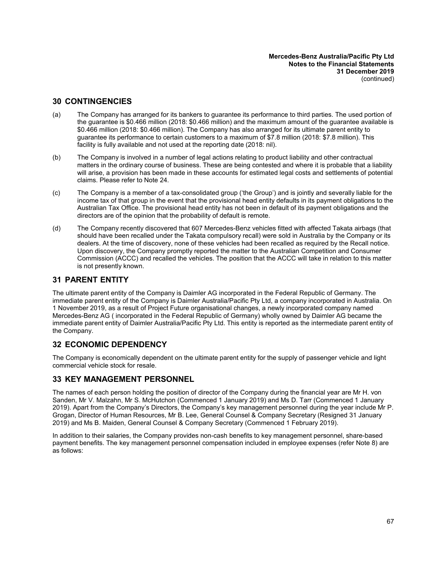### **30 CONTINGENCIES**

- (a) The Company has arranged for its bankers to guarantee its performance to third parties. The used portion of the guarantee is \$0.466 million (2018: \$0.466 million) and the maximum amount of the guarantee available is \$0.466 million (2018: \$0.466 million). The Company has also arranged for its ultimate parent entity to guarantee its performance to certain customers to a maximum of \$7.8 million (2018: \$7.8 million). This facility is fully available and not used at the reporting date (2018: nil).
- (b) The Company is involved in a number of legal actions relating to product liability and other contractual matters in the ordinary course of business. These are being contested and where it is probable that a liability will arise, a provision has been made in these accounts for estimated legal costs and settlements of potential claims. Please refer to Note [24](#page-60-0).
- (c) The Company is a member of a tax-consolidated group ('the Group') and is jointly and severally liable for the income tax of that group in the event that the provisional head entity defaults in its payment obligations to the Australian Tax Office. The provisional head entity has not been in default of its payment obligations and the directors are of the opinion that the probability of default is remote.
- (d) The Company recently discovered that 607 Mercedes-Benz vehicles fitted with affected Takata airbags (that should have been recalled under the Takata compulsory recall) were sold in Australia by the Company or its dealers. At the time of discovery, none of these vehicles had been recalled as required by the Recall notice. Upon discovery, the Company promptly reported the matter to the Australian Competition and Consumer Commission (ACCC) and recalled the vehicles. The position that the ACCC will take in relation to this matter is not presently known.

### **31 PARENT ENTITY**

The ultimate parent entity of the Company is Daimler AG incorporated in the Federal Republic of Germany. The immediate parent entity of the Company is Daimler Australia/Pacific Pty Ltd, a company incorporated in Australia. On 1 November 2019, as a result of Project Future organisational changes, a newly incorporated company named Mercedes-Benz AG ( incorporated in the Federal Republic of Germany) wholly owned by Daimler AG became the immediate parent entity of Daimler Australia/Pacific Pty Ltd. This entity is reported as the intermediate parent entity of the Company.

### **32 ECONOMIC DEPENDENCY**

The Company is economically dependent on the ultimate parent entity for the supply of passenger vehicle and light commercial vehicle stock for resale.

### **33 KEY MANAGEMENT PERSONNEL**

The names of each person holding the position of director of the Company during the financial year are Mr H. von Sanden, Mr V. Malzahn, Mr S. McHutchon (Commenced 1 January 2019) and Ms D. Tarr (Commenced 1 January 2019). Apart from the Company's Directors, the Company's key management personnel during the year include Mr P. Grogan, Director of Human Resources, Mr B. Lee, General Counsel & Company Secretary (Resigned 31 January 2019) and Ms B. Maiden, General Counsel & Company Secretary (Commenced 1 February 2019).

In addition to their salaries, the Company provides non-cash benefits to key management personnel, share-based payment benefits. The key management personnel compensation included in employee expenses (refer Note [8](#page-33-3)) are as follows: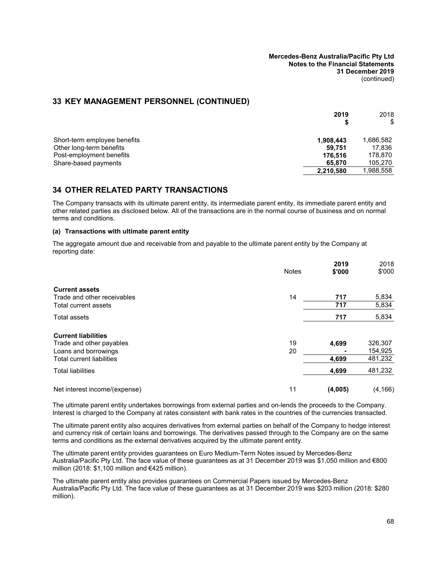### **33 KEY MANAGEMENT PERSONNEL (CONTINUED)**

|                                                  | 2019<br>S         | 2018<br>\$        |
|--------------------------------------------------|-------------------|-------------------|
| Short-term employee benefits                     | 1,908,443         | 1,686,582         |
| Other long-term benefits                         | 59,751            | 17.836<br>178.870 |
| Post-employment benefits<br>Share-based payments | 176.516<br>65,870 | 105,270           |
|                                                  | 2,210,580         | 1,988,558         |

# **34 OTHER RELATED PARTY TRANSACTIONS**

<span id="page-69-0"></span>The Company transacts with its ultimate parent entity, its intermediate parent entity, its immediate parent entity and other related parties as disclosed below. All of the transactions are in the normal course of business and on normal terms and conditions.

#### **(a) Transactions with ultimate parent entity**

The aggregate amount due and receivable from and payable to the ultimate parent entity by the Company at reporting date:

|                                                      | <b>Notes</b> | 2019<br>\$'000 | 2018<br>\$'000 |
|------------------------------------------------------|--------------|----------------|----------------|
| <b>Current assets</b><br>Trade and other receivables | 14           | 717            | 5,834          |
| Total current assets                                 |              | 717            | 5,834          |
| <b>Total assets</b>                                  |              | 717            | 5,834          |
| <b>Current liabilities</b>                           |              |                |                |
| Trade and other payables                             | 19           | 4,699          | 326,307        |
| Loans and borrowings                                 | 20           |                | 154,925        |
| <b>Total current liabilities</b>                     |              | 4,699          | 481,232        |
| <b>Total liabilities</b>                             |              | 4,699          | 481,232        |
| Net interest income/(expense)                        | 11           | (4,005)        | (4, 166)       |

The ultimate parent entity undertakes borrowings from external parties and on-lends the proceeds to the Company. Interest is charged to the Company at rates consistent with bank rates in the countries of the currencies transacted.

The ultimate parent entity also acquires derivatives from external parties on behalf of the Company to hedge interest and currency risk of certain loans and borrowings. The derivatives passed through to the Company are on the same terms and conditions as the external derivatives acquired by the ultimate parent entity.

The ultimate parent entity provides guarantees on Euro Medium-Term Notes issued by Mercedes-Benz Australia/Pacific Pty Ltd. The face value of these guarantees as at 31 December 2019 was \$1,050 million and €800 million (2018: \$1,100 million and €425 million).

The ultimate parent entity also provides guarantees on Commercial Papers issued by Mercedes-Benz Australia/Pacific Pty Ltd. The face value of these guarantees as at 31 December 2019 was \$203 million (2018: \$280 million).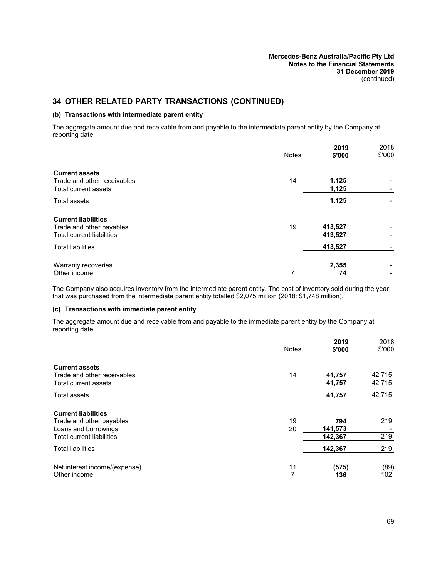## <span id="page-70-0"></span>**34 OTHER RELATED PARTY TRANSACTIONS (CONTINUED)**

#### **(b) Transactions with intermediate parent entity**

The aggregate amount due and receivable from and payable to the intermediate parent entity by the Company at reporting date:

|                                                              | <b>Notes</b> | 2019<br>\$'000     | 2018<br>\$'000 |
|--------------------------------------------------------------|--------------|--------------------|----------------|
| <b>Current assets</b><br>Trade and other receivables         | 14           | 1,125              |                |
| Total current assets                                         |              | 1,125              |                |
| Total assets                                                 |              | 1,125              |                |
| <b>Current liabilities</b>                                   |              |                    |                |
| Trade and other payables<br><b>Total current liabilities</b> | 19           | 413,527<br>413,527 |                |
| <b>Total liabilities</b>                                     |              | 413,527            |                |
| Warranty recoveries                                          |              | 2,355              |                |
| Other income                                                 | 7            | 74                 |                |

<span id="page-70-1"></span>The Company also acquires inventory from the intermediate parent entity. The cost of inventory sold during the year that was purchased from the intermediate parent entity totalled \$2,075 million (2018: \$1,748 million).

#### **(c) Transactions with immediate parent entity**

The aggregate amount due and receivable from and payable to the immediate parent entity by the Company at reporting date:

|                                                                                                                    | <b>Notes</b> | 2019<br>\$'000            | 2018<br>\$'000   |
|--------------------------------------------------------------------------------------------------------------------|--------------|---------------------------|------------------|
| <b>Current assets</b><br>Trade and other receivables<br>Total current assets                                       | 14           | 41,757<br>41,757          | 42,715<br>42,715 |
| <b>Total assets</b>                                                                                                |              | 41,757                    | 42,715           |
| <b>Current liabilities</b><br>Trade and other payables<br>Loans and borrowings<br><b>Total current liabilities</b> | 19<br>20     | 794<br>141,573<br>142,367 | 219<br>219       |
| <b>Total liabilities</b>                                                                                           |              | 142,367                   | 219              |
| Net interest income/(expense)<br>Other income                                                                      | 11<br>7      | (575)<br>136              | (89)<br>102      |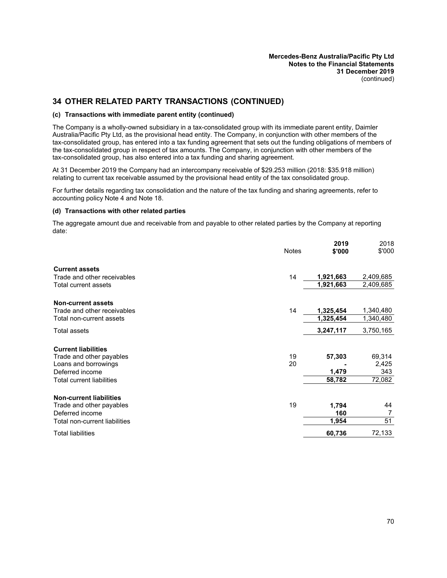### **34 OTHER RELATED PARTY TRANSACTIONS (CONTINUED)**

#### **(c) Transactions with immediate parent entity (continued)**

The Company is a wholly-owned subsidiary in a tax-consolidated group with its immediate parent entity, Daimler Australia/Pacific Pty Ltd, as the provisional head entity. The Company, in conjunction with other members of the tax-consolidated group, has entered into a tax funding agreement that sets out the funding obligations of members of the tax-consolidated group in respect of tax amounts. The Company, in conjunction with other members of the tax-consolidated group, has also entered into a tax funding and sharing agreement.

At 31 December 2019 the Company had an intercompany receivable of \$29.253 million (2018: \$35.918 million) relating to current tax receivable assumed by the provisional head entity of the tax consolidated group.

<span id="page-71-0"></span>For further details regarding tax consolidation and the nature of the tax funding and sharing agreements, refer to accounting policy Note 4 and Note [18.](#page-40-0)

#### **(d) Transactions with other related parties**

The aggregate amount due and receivable from and payable to other related parties by the Company at reporting date:

|                                                      | <b>Notes</b> | 2019<br>\$'000         | 2018<br>\$'000         |
|------------------------------------------------------|--------------|------------------------|------------------------|
|                                                      |              |                        |                        |
| <b>Current assets</b><br>Trade and other receivables | 14           |                        |                        |
| Total current assets                                 |              | 1,921,663<br>1,921,663 | 2,409,685<br>2,409,685 |
|                                                      |              |                        |                        |
| <b>Non-current assets</b>                            |              |                        |                        |
| Trade and other receivables                          | 14           | 1,325,454              | 1,340,480              |
| Total non-current assets                             |              | 1,325,454              | 1,340,480              |
| Total assets                                         |              | 3,247,117              | 3,750,165              |
| <b>Current liabilities</b>                           |              |                        |                        |
| Trade and other payables                             | 19           | 57,303                 | 69,314                 |
| Loans and borrowings                                 | 20           |                        | 2,425                  |
| Deferred income                                      |              | 1,479                  | 343                    |
| <b>Total current liabilities</b>                     |              | 58,782                 | 72,082                 |
| <b>Non-current liabilities</b>                       |              |                        |                        |
| Trade and other payables                             | 19           | 1,794                  | 44                     |
| Deferred income                                      |              | 160                    | 7                      |
| Total non-current liabilities                        |              | 1,954                  | 51                     |
| <b>Total liabilities</b>                             |              | 60,736                 | 72,133                 |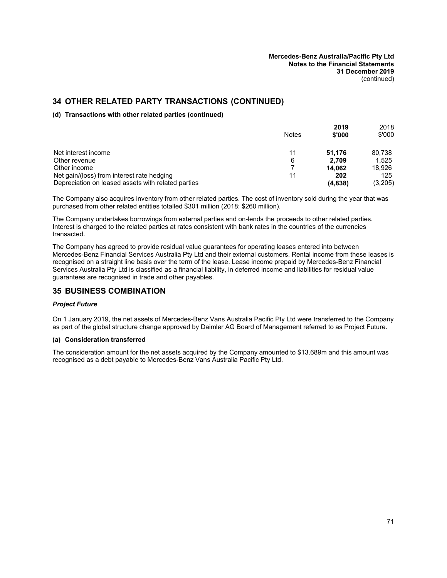## **34 OTHER RELATED PARTY TRANSACTIONS (CONTINUED)**

#### **(d) Transactions with other related parties (continued)**

|                                                    | <b>Notes</b> | 2019<br>\$'000 | 2018<br>\$'000 |
|----------------------------------------------------|--------------|----------------|----------------|
|                                                    |              |                |                |
| Net interest income                                | 11           | 51.176         | 80.738         |
| Other revenue                                      | 6            | 2.709          | 1.525          |
| Other income                                       |              | 14.062         | 18.926         |
| Net gain/(loss) from interest rate hedging         | 11           | 202            | 125            |
| Depreciation on leased assets with related parties |              | (4,838)        | (3,205)        |

The Company also acquires inventory from other related parties. The cost of inventory sold during the year that was purchased from other related entities totalled \$301 million (2018: \$260 million).

The Company undertakes borrowings from external parties and on-lends the proceeds to other related parties. Interest is charged to the related parties at rates consistent with bank rates in the countries of the currencies transacted.

The Company has agreed to provide residual value guarantees for operating leases entered into between Mercedes-Benz Financial Services Australia Pty Ltd and their external customers. Rental income from these leases is recognised on a straight line basis over the term of the lease. Lease income prepaid by Mercedes-Benz Financial Services Australia Pty Ltd is classified as a financial liability, in deferred income and liabilities for residual value guarantees are recognised in trade and other payables.

## **35 BUSINESS COMBINATION**

#### *Project Future*

On 1 January 2019, the net assets of Mercedes-Benz Vans Australia Pacific Pty Ltd were transferred to the Company as part of the global structure change approved by Daimler AG Board of Management referred to as Project Future.

#### **(a) Consideration transferred**

The consideration amount for the net assets acquired by the Company amounted to \$13.689m and this amount was recognised as a debt payable to Mercedes-Benz Vans Australia Pacific Pty Ltd.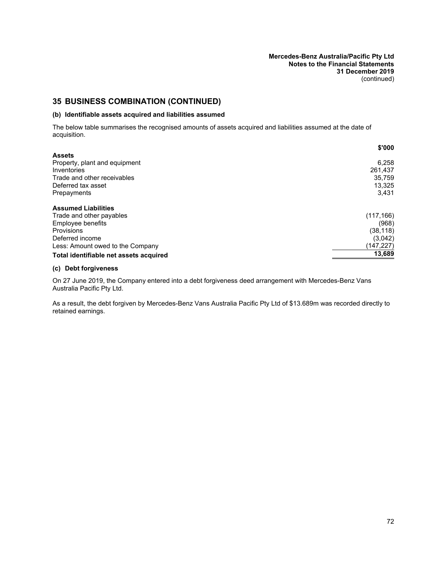**Mercedes-Benz Australia/Pacific Pty Ltd Notes to the Financial Statements 31 December 2019** (continued)

# **35 BUSINESS COMBINATION (CONTINUED)**

#### **(b) Identifiable assets acquired and liabilities assumed**

The below table summarises the recognised amounts of assets acquired and liabilities assumed at the date of acquisition.

|                                        | \$'000     |
|----------------------------------------|------------|
| <b>Assets</b>                          |            |
| Property, plant and equipment          | 6.258      |
| Inventories                            | 261,437    |
| Trade and other receivables            | 35,759     |
| Deferred tax asset                     | 13,325     |
| Prepayments                            | 3.431      |
| <b>Assumed Liabilities</b>             |            |
| Trade and other payables               | (117, 166) |
| <b>Employee benefits</b>               | (968)      |
| <b>Provisions</b>                      | (38, 118)  |
| Deferred income                        | (3,042)    |
| Less: Amount owed to the Company       | (147,227)  |
| Total identifiable net assets acquired | 13,689     |

### **(c) Debt forgiveness**

On 27 June 2019, the Company entered into a debt forgiveness deed arrangement with Mercedes-Benz Vans Australia Pacific Pty Ltd.

As a result, the debt forgiven by Mercedes-Benz Vans Australia Pacific Pty Ltd of \$13.689m was recorded directly to retained earnings.